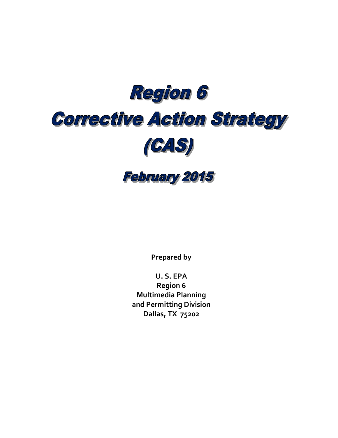# Region 6 **Corrective Action Strategy** (CAS)

## **February 2015**

**Prepared by**

**U. S. EPA Region 6 Multimedia Planning and Permitting Division Dallas, TX 75202**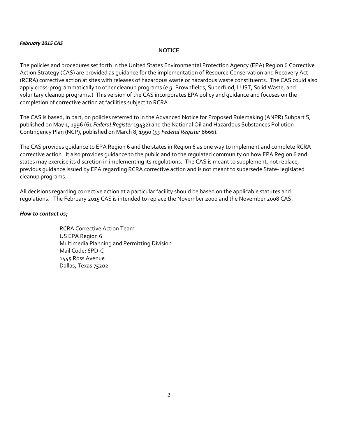#### **NOTICE**

The policies and procedures set forth in the United States Environmental Protection Agency (EPA) Region 6 Corrective Action Strategy (CAS) are provided as guidance for the implementation of Resource Conservation and Recovery Act (RCRA) corrective action at sites with releases of hazardous waste or hazardous waste constituents. The CAS could also apply cross‐programmatically to other cleanup programs (*e.g*. Brownfields, Superfund, LUST, Solid Waste, and voluntary cleanup programs.) This version of the CAS incorporates EPA policy and guidance and focuses on the completion of corrective action at facilities subject to RCRA.

The CAS is based, in part, on policies referred to in the Advanced Notice for Proposed Rulemaking (ANPR) Subpart S, published on May 1, 1996 (61 *Federal Register* 19432) and the National Oil and Hazardous Substances Pollution Contingency Plan (NCP), published on March 8, 1990 (*55 Federal Register* 8666).

The CAS provides guidance to EPA Region 6 and the states in Region 6 as one way to implement and complete RCRA corrective action. It also provides guidance to the public and to the regulated community on how EPA Region 6 and states may exercise its discretion in implementing its regulations. The CAS is meant to supplement, not replace, previous guidance issued by EPA regarding RCRA corrective action and is not meant to supersede State‐ legislated cleanup programs.

All decisions regarding corrective action at a particular facility should be based on the applicable statutes and regulations. The February 2015 CAS is intended to replace the November 2000 and the November 2008 CAS.

#### *How to contact us;*

 RCRA Corrective Action Team US EPA Region 6 Multimedia Planning and Permitting Division Mail Code: 6PD‐C 1445 Ross Avenue Dallas, Texas 75202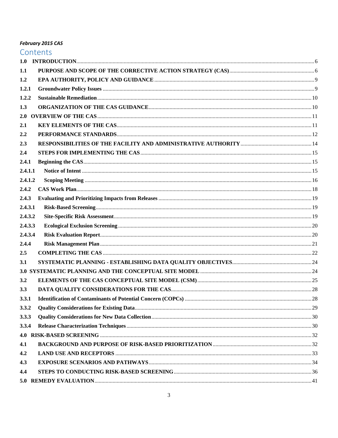| Contents |  |
|----------|--|
|          |  |
| 1.1      |  |
| 1.2      |  |
| 1.2.1    |  |
| 1.2.2    |  |
| 1.3      |  |
|          |  |
| 2.1      |  |
| 2.2      |  |
| 2.3      |  |
| 2.4      |  |
| 2.4.1    |  |
| 2.4.1.1  |  |
| 2.4.1.2  |  |
| 2.4.2    |  |
| 2.4.3    |  |
| 2.4.3.1  |  |
| 2.4.3.2  |  |
| 2.4.3.3  |  |
| 2.4.3.4  |  |
| 2.4.4    |  |
| 2.5      |  |
| 3.1      |  |
|          |  |
| 3.2      |  |
| 3.3      |  |
| 3.3.1    |  |
| 3.3.2    |  |
| 3.3.3    |  |
| 3.3.4    |  |
| 4.0      |  |
| 4.1      |  |
| 4.2      |  |
| 4.3      |  |
| 4.4      |  |
|          |  |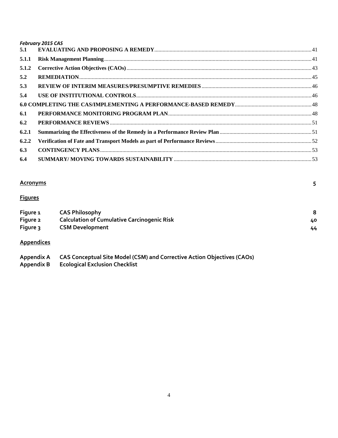|       | <b>February 2015 CAS</b> |  |
|-------|--------------------------|--|
| 5.1   |                          |  |
| 5.1.1 |                          |  |
| 5.1.2 |                          |  |
| 5.2   |                          |  |
| 5.3   |                          |  |
| 5.4   |                          |  |
|       |                          |  |
| 6.1   |                          |  |
| 6.2   |                          |  |
| 6.2.1 |                          |  |
| 6.2.2 |                          |  |
| 6.3   |                          |  |
| 6.4   |                          |  |

#### **Acronyms 5**

## **Figures**

| Figure 1 | <b>CAS Philosophy</b>                              |    |
|----------|----------------------------------------------------|----|
| Figure 2 | <b>Calculation of Cumulative Carcinogenic Risk</b> | 40 |
| Figure 3 | <b>CSM Development</b>                             | 44 |
|          |                                                    |    |

## **Appendices**

| Appendix A CAS Conceptual Site Model (CSM) and Corrective Action Objectives (CAOs)                             |
|----------------------------------------------------------------------------------------------------------------|
| . A a a concelled December 11 Provident Classical district in the United States of the States of the States of |

**Appendix B Ecological Exclusion Checklist**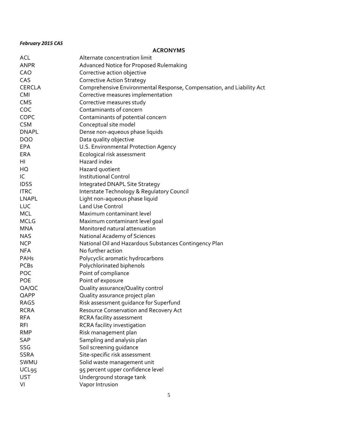### **ACRONYMS**

| <b>ACL</b>        | Alternate concentration limit                                         |
|-------------------|-----------------------------------------------------------------------|
| <b>ANPR</b>       | Advanced Notice for Proposed Rulemaking                               |
| CAO               | Corrective action objective                                           |
| CAS               | <b>Corrective Action Strategy</b>                                     |
| <b>CERCLA</b>     | Comprehensive Environmental Response, Compensation, and Liability Act |
| <b>CMI</b>        | Corrective measures implementation                                    |
| <b>CMS</b>        | Corrective measures study                                             |
| COC               | Contaminants of concern                                               |
| COPC              | Contaminants of potential concern                                     |
| <b>CSM</b>        | Conceptual site model                                                 |
| <b>DNAPL</b>      | Dense non-aqueous phase liquids                                       |
| <b>DQO</b>        | Data quality objective                                                |
| <b>EPA</b>        | U.S. Environmental Protection Agency                                  |
| <b>ERA</b>        | Ecological risk assessment                                            |
| HI                | Hazard index                                                          |
| HQ                | Hazard quotient                                                       |
| IC                | <b>Institutional Control</b>                                          |
| <b>IDSS</b>       | Integrated DNAPL Site Strategy                                        |
| <b>ITRC</b>       | Interstate Technology & Regulatory Council                            |
| <b>LNAPL</b>      | Light non-aqueous phase liquid                                        |
| LUC               | <b>Land Use Control</b>                                               |
| <b>MCL</b>        | Maximum contaminant level                                             |
| <b>MCLG</b>       | Maximum contaminant level goal                                        |
| <b>MNA</b>        | Monitored natural attenuation                                         |
| <b>NAS</b>        | National Academy of Sciences                                          |
| <b>NCP</b>        | National Oil and Hazardous Substances Contingency Plan                |
| <b>NFA</b>        | No further action                                                     |
| PAHs              | Polycyclic aromatic hydrocarbons                                      |
| <b>PCBs</b>       | Polychlorinated biphenols                                             |
| POC               | Point of compliance                                                   |
| <b>POE</b>        | Point of exposure                                                     |
| QA/QC             | Quality assurance/Quality control                                     |
| QAPP              | Quality assurance project plan                                        |
| RAGS              | Risk assessment guidance for Superfund                                |
| <b>RCRA</b>       | Resource Conservation and Recovery Act                                |
| <b>RFA</b>        | <b>RCRA</b> facility assessment                                       |
| <b>RFI</b>        | RCRA facility investigation                                           |
| <b>RMP</b>        | Risk management plan                                                  |
| SAP               | Sampling and analysis plan                                            |
| SSG               | Soil screening guidance                                               |
| <b>SSRA</b>       | Site-specific risk assessment                                         |
| SWMU              | Solid waste management unit                                           |
| UCL <sub>95</sub> | 95 percent upper confidence level                                     |
| <b>UST</b>        | Underground storage tank                                              |
| VI                | Vapor Intrusion                                                       |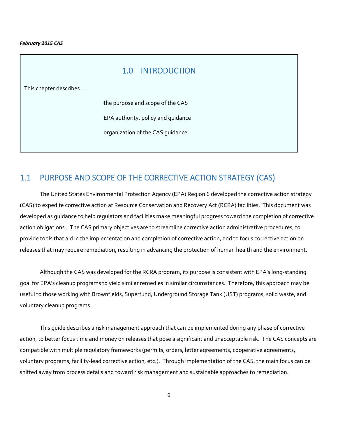## 1.0 INTRODUCTION

This chapter describes . . .

the purpose and scope of the CAS

EPA authority, policy and guidance

organization of the CAS guidance

## 1.1 PURPOSE AND SCOPE OF THE CORRECTIVE ACTION STRATEGY (CAS)

The United States Environmental Protection Agency (EPA) Region 6 developed the corrective action strategy (CAS) to expedite corrective action at Resource Conservation and Recovery Act (RCRA) facilities. This document was developed as guidance to help regulators and facilities make meaningful progress toward the completion of corrective action obligations. The CAS primary objectives are to streamline corrective action administrative procedures, to provide tools that aid in the implementation and completion of corrective action, and to focus corrective action on releases that may require remediation, resulting in advancing the protection of human health and the environment.

Although the CAS was developed for the RCRA program, its purpose is consistent with EPA's long‐standing goal for EPA's cleanup programs to yield similar remedies in similar circumstances. Therefore, this approach may be useful to those working with Brownfields, Superfund, Underground Storage Tank (UST) programs, solid waste, and voluntary cleanup programs.

This guide describes a risk management approach that can be implemented during any phase of corrective action, to better focus time and money on releases that pose a significant and unacceptable risk. The CAS concepts are compatible with multiple regulatory frameworks (permits, orders, letter agreements, cooperative agreements, voluntary programs, facility‐lead corrective action, etc.). Through implementation of the CAS, the main focus can be shifted away from process details and toward risk management and sustainable approaches to remediation.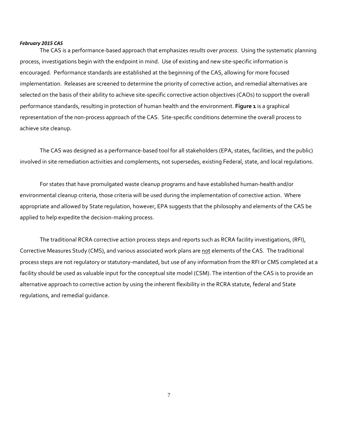The CAS is a performance‐based approach that emphasizes *results* over *process*. Using the systematic planning process, investigations begin with the endpoint in mind. Use of existing and new site‐specific information is encouraged. Performance standards are established at the beginning of the CAS, allowing for more focused implementation. Releases are screened to determine the priority of corrective action, and remedial alternatives are selected on the basis of their ability to achieve site-specific corrective action objectives (CAOs) to support the overall performance standards, resulting in protection of human health and the environment. **Figure 1** is a graphical representation of the non‐process approach of the CAS. Site‐specific conditions determine the overall process to achieve site cleanup.

The CAS was designed as a performance‐based tool for all stakeholders (EPA, states, facilities, and the public) involved in site remediation activities and complements, not supersedes, existing Federal, state, and local regulations.

For states that have promulgated waste cleanup programs and have established human‐health and/or environmental cleanup criteria, those criteria will be used during the implementation of corrective action. Where appropriate and allowed by State regulation, however, EPA suggests that the philosophy and elements of the CAS be applied to help expedite the decision‐making process.

The traditional RCRA corrective action process steps and reports such as RCRA facility investigations, (RFI), Corrective Measures Study (CMS), and various associated work plans are not elements of the CAS. The traditional process steps are not regulatory or statutory‐mandated, but use of any information from the RFI or CMS completed at a facility should be used as valuable input for the conceptual site model (CSM). The intention of the CAS is to provide an alternative approach to corrective action by using the inherent flexibility in the RCRA statute, federal and State regulations, and remedial guidance.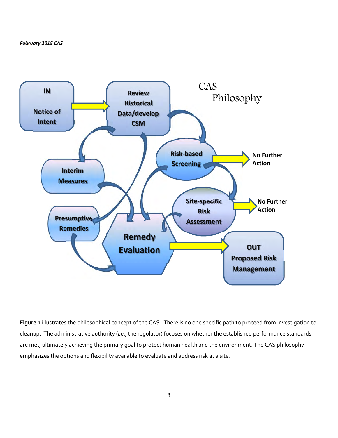

**Figure 1** illustrates the philosophical concept of the CAS. There is no one specific path to proceed from investigation to cleanup. The administrative authority (*i.e*., the regulator) focuses on whether the established performance standards are met, ultimately achieving the primary goal to protect human health and the environment. The CAS philosophy emphasizes the options and flexibility available to evaluate and address risk at a site*.*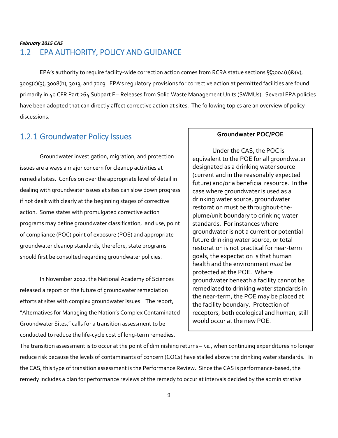## *February 2015 CAS* 1.2 EPA AUTHORITY, POLICY AND GUIDANCE

EPA's authority to require facility-wide correction action comes from RCRA statue sections §§3004(u)&(v), 3005(c)(3), 3008(h), 3013, and 7003. EPA's regulatory provisions for corrective action at permitted facilities are found primarily in 40 CFR Part 264 Subpart F – Releases from Solid Waste Management Units (SWMUs). Several EPA policies have been adopted that can directly affect corrective action at sites. The following topics are an overview of policy discussions.

## 1.2.1 Groundwater Policy Issues

Groundwater investigation, migration, and protection issues are always a major concern for cleanup activities at remedial sites. Confusion over the appropriate level of detail in dealing with groundwater issues at sites can slow down progress if not dealt with clearly at the beginning stages of corrective action. Some states with promulgated corrective action programs may define groundwater classification, land use, point of compliance (POC) point of exposure (POE) and appropriate groundwater cleanup standards, therefore, state programs should first be consulted regarding groundwater policies.

In November 2012, the National Academy of Sciences released a report on the future of groundwater remediation efforts at sites with complex groundwater issues. The report, "Alternatives for Managing the Nation's Complex Contaminated Groundwater Sites," calls for a transition assessment to be conducted to reduce the life‐cycle cost of long‐term remedies.

#### **Groundwater POC/POE**

Under the CAS, the POC is equivalent to the POE for all groundwater designated as a drinking water source (current and in the reasonably expected future) and/or a beneficial resource. In the case where groundwater is used as a drinking water source, groundwater restoration must be throughout‐the‐ plume/unit boundary to drinking water standards. For instances where groundwater is not a current or potential future drinking water source, or total restoration is not practical for near‐term goals, the expectation is that human health and the environment *must* be protected at the POE. Where groundwater beneath a facility cannot be remediated to drinking water standards in the near‐term, the POE may be placed at the facility boundary. Protection of receptors, both ecological and human, still would occur at the new POE.

The transition assessment is to occur at the point of diminishing returns – *i.e.*, when continuing expenditures no longer reduce risk because the levels of contaminants of concern (COCs) have stalled above the drinking water standards. In the CAS, this type of transition assessment is the Performance Review. Since the CAS is performance‐based, the remedy includes a plan for performance reviews of the remedy to occur at intervals decided by the administrative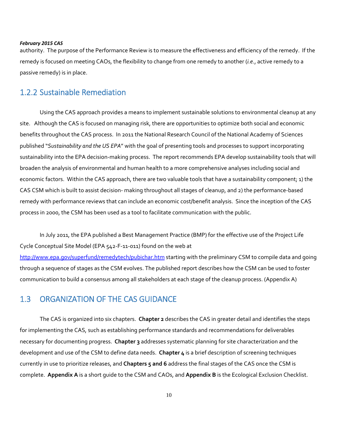authority. The purpose of the Performance Review is to measure the effectiveness and efficiency of the remedy. If the remedy is focused on meeting CAOs, the flexibility to change from one remedy to another (*i.e.*, active remedy to a passive remedy) is in place.

## 1.2.2 Sustainable Remediation

Using the CAS approach provides a means to implement sustainable solutions to environmental cleanup at any site. Although the CAS is focused on managing risk, there are opportunities to optimize both social and economic benefits throughout the CAS process. In 2011 the National Research Council of the National Academy of Sciences published "*Sustainability and the US EPA*" with the goal of presenting tools and processes to support incorporating sustainability into the EPA decision‐making process. The report recommends EPA develop sustainability tools that will broaden the analysis of environmental and human health to a more comprehensive analyses including social and economic factors. Within the CAS approach, there are two valuable tools that have a sustainability component; 1) the CAS CSM which is built to assist decision‐ making throughout all stages of cleanup, and 2) the performance‐based remedy with performance reviews that can include an economic cost/benefit analysis. Since the inception of the CAS process in 2000, the CSM has been used as a tool to facilitate communication with the public.

In July 2011, the EPA published a Best Management Practice (BMP) for the effective use of the Project Life Cycle Conceptual Site Model (EPA 542‐F‐11‐011) found on the web at http://www.epa.gov/superfund/remedytech/pubichar.htm starting with the preliminary CSM to compile data and going through a sequence of stages as the CSM evolves. The published report describes how the CSM can be used to foster communication to build a consensus among all stakeholders at each stage of the cleanup process. (Appendix A)

## 1.3 ORGANIZATION OF THE CAS GUIDANCE

The CAS is organized into six chapters. **Chapter 2** describes the CAS in greater detail and identifies the steps for implementing the CAS, such as establishing performance standards and recommendations for deliverables necessary for documenting progress. **Chapter 3** addresses systematic planning for site characterization and the development and use of the CSM to define data needs. **Chapter 4** is a brief description of screening techniques currently in use to prioritize releases, and **Chapters 5 and 6** address the final stages of the CAS once the CSM is complete. **Appendix A** is a short guide to the CSM and CAOs, and **Appendix B** is the Ecological Exclusion Checklist.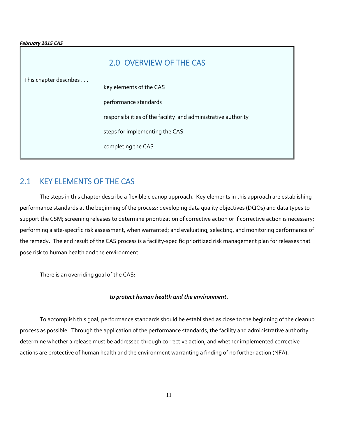|                        | 2.0 OVERVIEW OF THE CAS                                       |
|------------------------|---------------------------------------------------------------|
| This chapter describes | key elements of the CAS                                       |
|                        | performance standards                                         |
|                        | responsibilities of the facility and administrative authority |
|                        | steps for implementing the CAS                                |
|                        | completing the CAS                                            |

## 2.1 KEY ELEMENTS OF THE CAS

The steps in this chapter describe a flexible cleanup approach. Key elements in this approach are establishing performance standards at the beginning of the process; developing data quality objectives (DQOs) and data types to support the CSM; screening releases to determine prioritization of corrective action or if corrective action is necessary; performing a site-specific risk assessment, when warranted; and evaluating, selecting, and monitoring performance of the remedy. The end result of the CAS process is a facility-specific prioritized risk management plan for releases that pose risk to human health and the environment.

There is an overriding goal of the CAS:

#### *to protect human health and the environment.*

To accomplish this goal, performance standards should be established as close to the beginning of the cleanup process as possible. Through the application of the performance standards, the facility and administrative authority determine whether a release must be addressed through corrective action, and whether implemented corrective actions are protective of human health and the environment warranting a finding of no further action (NFA).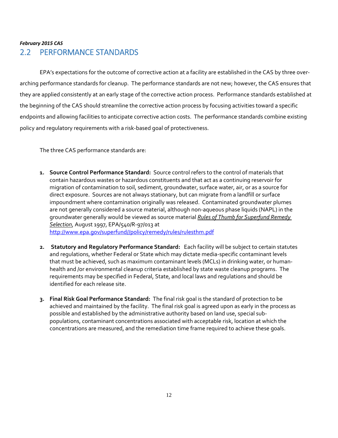## *February 2015 CAS* 2.2 PERFORMANCE STANDARDS

EPA's expectations for the outcome of corrective action at a facility are established in the CAS by three over‐ arching performance standards for cleanup. The performance standards are not new; however, the CAS ensures that they are applied consistently at an early stage of the corrective action process. Performance standards established at the beginning of the CAS should streamline the corrective action process by focusing activities toward a specific endpoints and allowing facilities to anticipate corrective action costs. The performance standards combine existing policy and regulatory requirements with a risk‐based goal of protectiveness.

The three CAS performance standards are:

- **1. Source Control Performance Standard:** Source control refers to the control of materials that contain hazardous wastes or hazardous constituents and that act as a continuing reservoir for migration of contamination to soil, sediment, groundwater, surface water, air, or as a source for direct exposure. Sources are not always stationary, but can migrate from a landfill or surface impoundment where contamination originally was released. Contaminated groundwater plumes are not generally considered a source material, although non‐aqueous phase liquids (NAPL) in the groundwater generally would be viewed as source material *Rules of Thumb for Superfund Remedy Selection*, August 1997, EPA/540/R‐97/013 at http://www.epa.gov/superfund//policy/remedy/rules/rulesthm.pdf
- **2. Statutory and Regulatory Performance Standard:** Each facility will be subject to certain statutes and regulations, whether Federal or State which may dictate media‐specific contaminant levels that must be achieved, such as maximum contaminant levels (MCLs) in drinking water, or human‐ health and /or environmental cleanup criteria established by state waste cleanup programs. The requirements may be specified in Federal, State, and local laws and regulations and should be identified for each release site.
- **3. Final Risk Goal Performance Standard:** The final risk goal is the standard of protection to be achieved and maintained by the facility. The final risk goal is agreed upon as early in the process as possible and established by the administrative authority based on land use, special sub‐ populations, contaminant concentrations associated with acceptable risk, location at which the concentrations are measured, and the remediation time frame required to achieve these goals.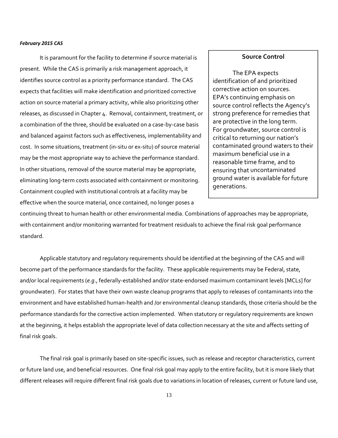It is paramount for the facility to determine if source material is present. While the CAS is primarily a risk management approach, it identifies source control as a priority performance standard. The CAS expects that facilities will make identification and prioritized corrective action on source material a primary activity, while also prioritizing other releases, as discussed in Chapter 4. Removal, containment, treatment, or a combination of the three, should be evaluated on a case‐by‐case basis and balanced against factors such as effectiveness, implementability and cost. In some situations, treatment (in‐situ or ex‐situ) of source material may be the most appropriate way to achieve the performance standard. In other situations, removal of the source material may be appropriate, eliminating long‐term costs associated with containment or monitoring. Containment coupled with institutional controls at a facility may be effective when the source material, once contained, no longer poses a

#### **Source Control**

The EPA expects identification of and prioritized corrective action on sources. EPA's continuing emphasis on source control reflects the Agency's strong preference for remedies that are protective in the long term. For groundwater, source control is critical to returning our nation's contaminated ground waters to their maximum beneficial use in a reasonable time frame, and to ensuring that uncontaminated ground water is available for future generations.

continuing threat to human health or other environmental media. Combinations of approaches may be appropriate, with containment and/or monitoring warranted for treatment residuals to achieve the final risk goal performance standard.

Applicable statutory and regulatory requirements should be identified at the beginning of the CAS and will become part of the performance standards for the facility. These applicable requirements may be Federal, state, and/or local requirements (*e.g*., federally‐established and/or state‐endorsed maximum contaminant levels [MCLs] for groundwater). For states that have their own waste cleanup programs that apply to releases of contaminants into the environment and have established human‐health and /or environmental cleanup standards, those criteria should be the performance standards for the corrective action implemented. When statutory or regulatory requirements are known at the beginning, it helps establish the appropriate level of data collection necessary at the site and affects setting of final risk goals.

The final risk goal is primarily based on site‐specific issues, such as release and receptor characteristics, current or future land use, and beneficial resources. One final risk goal may apply to the entire facility, but it is more likely that different releases will require different final risk goals due to variations in location of releases, current or future land use,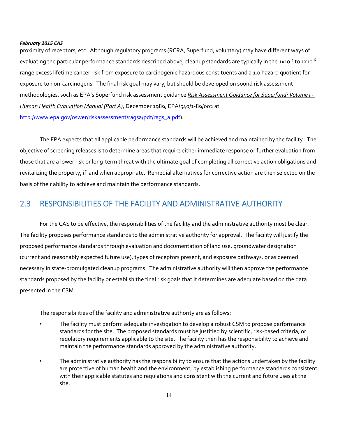proximity of receptors, etc. Although regulatory programs (RCRA, Superfund, voluntary) may have different ways of evaluating the particular performance standards described above, cleanup standards are typically in the 1x10<sup>-4</sup> to 1x10<sup>-6</sup> range excess lifetime cancer risk from exposure to carcinogenic hazardous constituents and a 1.0 hazard quotient for exposure to non-carcinogens. The final risk goal may vary, but should be developed on sound risk assessment methodologies, such as EPA's Superfund risk assessment guidance *Risk Assessment Guidance for Superfund: Volume I ‐ Human Health Evaluation Manual (Part A)*, December 1989, EPA/540/1‐89/002 at http://www.epa.gov/oswer/riskassessment/ragsa/pdf/rags\_a.pdf).

The EPA expects that all applicable performance standards will be achieved and maintained by the facility. The objective of screening releases is to determine areas that require either immediate response or further evaluation from those that are a lower risk or long‐term threat with the ultimate goal of completing all corrective action obligations and revitalizing the property, if and when appropriate. Remedial alternatives for corrective action are then selected on the basis of their ability to achieve and maintain the performance standards.

## 2.3 RESPONSIBILITIES OF THE FACILITY AND ADMINISTRATIVE AUTHORITY

For the CAS to be effective, the responsibilities of the facility and the administrative authority must be clear. The facility proposes performance standards to the administrative authority for approval. The facility will justify the proposed performance standards through evaluation and documentation of land use, groundwater designation (current and reasonably expected future use), types of receptors present, and exposure pathways, or as deemed necessary in state‐promulgated cleanup programs. The administrative authority will then approve the performance standards proposed by the facility or establish the final risk goals that it determines are adequate based on the data presented in the CSM.

The responsibilities of the facility and administrative authority are as follows:

- The facility must perform adequate investigation to develop a robust CSM to propose performance standards for the site. The proposed standards must be justified by scientific, risk‐based criteria, or regulatory requirements applicable to the site. The facility then has the responsibility to achieve and maintain the performance standards approved by the administrative authority.
- The administrative authority has the responsibility to ensure that the actions undertaken by the facility are protective of human health and the environment, by establishing performance standards consistent with their applicable statutes and regulations and consistent with the current and future uses at the site.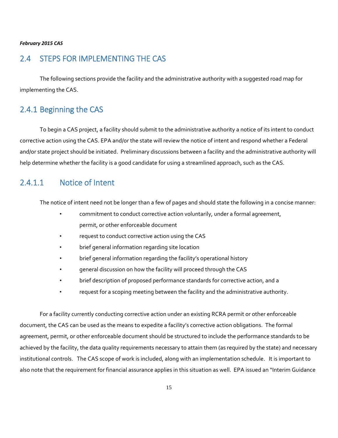## 2.4 STEPS FOR IMPLEMENTING THE CAS

The following sections provide the facility and the administrative authority with a suggested road map for implementing the CAS.

## 2.4.1 Beginning the CAS

To begin a CAS project, a facility should submit to the administrative authority a notice of its intent to conduct corrective action using the CAS. EPA and/or the state will review the notice of intent and respond whether a Federal and/or state project should be initiated. Preliminary discussions between a facility and the administrative authority will help determine whether the facility is a good candidate for using a streamlined approach, such as the CAS.

## 2.4.1.1 Notice of Intent

The notice of intent need not be longer than a few of pages and should state the following in a concise manner:

- commitment to conduct corrective action voluntarily, under a formal agreement, permit, or other enforceable document
- request to conduct corrective action using the CAS
- brief general information regarding site location
- brief general information regarding the facility's operational history
- general discussion on how the facility will proceed through the CAS
- brief description of proposed performance standards for corrective action, and a
- request for a scoping meeting between the facility and the administrative authority.

For a facility currently conducting corrective action under an existing RCRA permit or other enforceable document, the CAS can be used as the means to expedite a facility's corrective action obligations. The formal agreement, permit, or other enforceable document should be structured to include the performance standards to be achieved by the facility, the data quality requirements necessary to attain them (as required by the state) and necessary institutional controls. The CAS scope of work is included, along with an implementation schedule. It is important to also note that the requirement for financial assurance applies in this situation as well. EPA issued an "Interim Guidance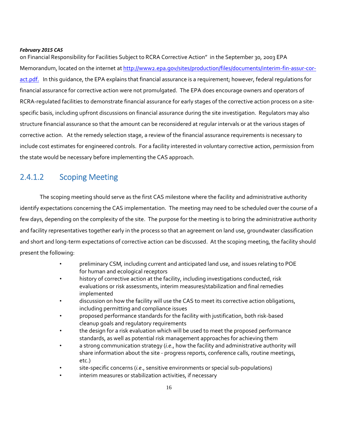on Financial Responsibility for Facilities Subject to RCRA Corrective Action" in the September 30, 2003 EPA Memorandum, located on the internet at http://www2.epa.gov/sites/production/files/documents/interim-fin-assur-coract.pdf. In this quidance, the EPA explains that financial assurance is a requirement; however, federal requlations for financial assurance for corrective action were not promulgated. The EPA does encourage owners and operators of RCRA‐regulated facilities to demonstrate financial assurance for early stages of the corrective action process on a site‐ specific basis, including upfront discussions on financial assurance during the site investigation. Regulators may also structure financial assurance so that the amount can be reconsidered at regular intervals or at the various stages of corrective action. At the remedy selection stage, a review of the financial assurance requirements is necessary to include cost estimates for engineered controls. For a facility interested in voluntary corrective action, permission from the state would be necessary before implementing the CAS approach.

## 2.4.1.2 Scoping Meeting

The scoping meeting should serve as the first CAS milestone where the facility and administrative authority identify expectations concerning the CAS implementation. The meeting may need to be scheduled over the course of a few days, depending on the complexity of the site. The purpose for the meeting is to bring the administrative authority and facility representatives together early in the process so that an agreement on land use, groundwater classification and short and long-term expectations of corrective action can be discussed. At the scoping meeting, the facility should present the following:

- preliminary CSM*,* including current and anticipated land use, and issues relating to POE for human and ecological receptors
- history of corrective action at the facility, including investigations conducted, risk evaluations or risk assessments, interim measures/stabilization and final remedies implemented
- discussion on how the facility will use the CAS to meet its corrective action obligations, including permitting and compliance issues
- proposed performance standards for the facility with justification, both risk-based cleanup goals and regulatory requirements
- the design for a risk evaluation which will be used to meet the proposed performance standards, as well as potential risk management approaches for achieving them
- a strong communication strategy (*i.e*., how the facility and administrative authority will share information about the site ‐ progress reports, conference calls, routine meetings, etc.)
- site‐specific concerns (*i.e*., sensitive environments or special sub‐populations)
- interim measures or stabilization activities, if necessary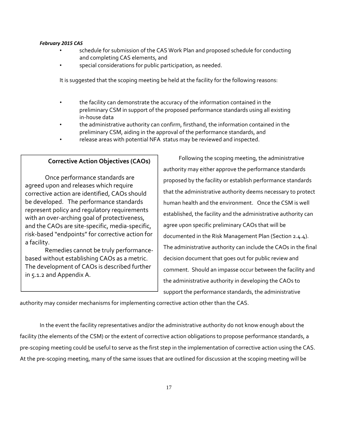- schedule for submission of the CAS Work Plan and proposed schedule for conducting and completing CAS elements, and
- special considerations for public participation, as needed.

It is suggested that the scoping meeting be held at the facility for the following reasons:

- the facility can demonstrate the accuracy of the information contained in the preliminary CSM in support of the proposed performance standards using all existing in‐house data
- the administrative authority can confirm, firsthand, the information contained in the preliminary CSM, aiding in the approval of the performance standards, and
- release areas with potential NFA status may be reviewed and inspected.

#### **Corrective Action Objectives (CAOs)**

Once performance standards are agreed upon and releases which require corrective action are identified, CAOs should be developed. The performance standards represent policy and regulatory requirements with an over-arching goal of protectiveness, and the CAOs are site‐specific, media‐specific, risk‐based "endpoints" for corrective action for a facility.

Remedies cannot be truly performance‐ based without establishing CAOs as a metric. The development of CAOs is described further in 5.1.2 and Appendix A.

Following the scoping meeting, the administrative authority may either approve the performance standards proposed by the facility or establish performance standards that the administrative authority deems necessary to protect human health and the environment. Once the CSM is well established, the facility and the administrative authority can agree upon specific preliminary CAOs that will be documented in the Risk Management Plan (Section 2.4.4). The administrative authority can include the CAOs in the final decision document that goes out for public review and comment. Should an impasse occur between the facility and the administrative authority in developing the CAOs to support the performance standards, the administrative

authority may consider mechanisms for implementing corrective action other than the CAS.

In the event the facility representatives and/or the administrative authority do not know enough about the facility (the elements of the CSM) or the extent of corrective action obligations to propose performance standards, a pre‐scoping meeting could be useful to serve as the first step in the implementation of corrective action using the CAS. At the pre‐scoping meeting, many of the same issues that are outlined for discussion at the scoping meeting will be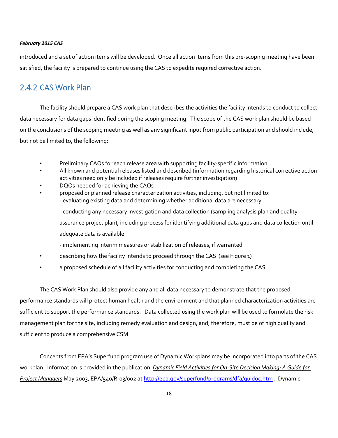introduced and a set of action items will be developed. Once all action items from this pre‐scoping meeting have been satisfied, the facility is prepared to continue using the CAS to expedite required corrective action.

## 2.4.2 CAS Work Plan

The facility should prepare a CAS work plan that describes the activities the facility intends to conduct to collect data necessary for data gaps identified during the scoping meeting. The scope of the CAS work plan should be based on the conclusions of the scoping meeting as well as any significant input from public participation and should include, but not be limited to, the following:

- Preliminary CAOs for each release area with supporting facility‐specific information
- All known and potential releases listed and described (information regarding historical corrective action activities need only be included if releases require further investigation)
- DQOs needed for achieving the CAOs
- proposed or planned release characterization activities, including, but not limited to: ‐ evaluating existing data and determining whether additional data are necessary

‐ conducting any necessary investigation and data collection (sampling analysis plan and quality assurance project plan), including process for identifying additional data gaps and data collection until adequate data is available

‐ implementing interim measures or stabilization of releases, if warranted

- describing how the facility intends to proceed through the CAS (see Figure 1)
- a proposed schedule of all facility activities for conducting and completing the CAS

The CAS Work Plan should also provide any and all data necessary to demonstrate that the proposed performance standards will protect human health and the environment and that planned characterization activities are sufficient to support the performance standards. Data collected using the work plan will be used to formulate the risk management plan for the site, including remedy evaluation and design, and, therefore, must be of high quality and sufficient to produce a comprehensive CSM.

Concepts from EPA's Superfund program use of Dynamic Workplans may be incorporated into parts of the CAS workplan. Information is provided in the publication *Dynamic Field Activities for On‐Site Decision Making: A Guide for Project Managers* May 2003, EPA/540/R‐03/002 at http://epa.gov/superfund/programs/dfa/guidoc.htm . Dynamic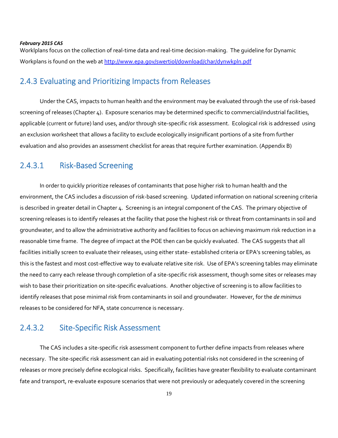Worklplans focus on the collection of real‐time data and real‐time decision‐making. The guideline for Dynamic Workplans is found on the web at http://www.epa.gov/swertiol/download/char/dynwkpln.pdf

## 2.4.3 Evaluating and Prioritizing Impacts from Releases

Under the CAS, impacts to human health and the environment may be evaluated through the use of risk‐based screening of releases (Chapter 4). Exposure scenarios may be determined specific to commercial/industrial facilities, applicable (current or future) land uses, and/or through site‐specific risk assessment. Ecological risk is addressed using an exclusion worksheet that allows a facility to exclude ecologically insignificant portions of a site from further evaluation and also provides an assessment checklist for areas that require further examination. (Appendix B)

## 2.4.3.1 Risk‐Based Screening

In order to quickly prioritize releases of contaminants that pose higher risk to human health and the environment, the CAS includes a discussion of risk‐based screening. Updated information on national screening criteria is described in greater detail in Chapter 4. Screening is an integral component of the CAS. The primary objective of screening releases is to identify releases at the facility that pose the highest risk or threat from contaminants in soil and groundwater, and to allow the administrative authority and facilities to focus on achieving maximum risk reduction in a reasonable time frame. The degree of impact at the POE then can be quickly evaluated. The CAS suggests that all facilities initially screen to evaluate their releases, using either state‐ established criteria or EPA's screening tables, as this is the fastest and most cost‐effective way to evaluate relative site risk. Use of EPA's screening tables may eliminate the need to carry each release through completion of a site‐specific risk assessment, though some sites or releases may wish to base their prioritization on site‐specific evaluations. Another objective of screening is to allow facilities to identify releases that pose minimal risk from contaminants in soil and groundwater. However, for the *de minimus* releases to be considered for NFA, state concurrence is necessary.

## 2.4.3.2 Site‐Specific Risk Assessment

The CAS includes a site‐specific risk assessment component to further define impacts from releases where necessary. The site‐specific risk assessment can aid in evaluating potential risks not considered in the screening of releases or more precisely define ecological risks. Specifically, facilities have greater flexibility to evaluate contaminant fate and transport, re-evaluate exposure scenarios that were not previously or adequately covered in the screening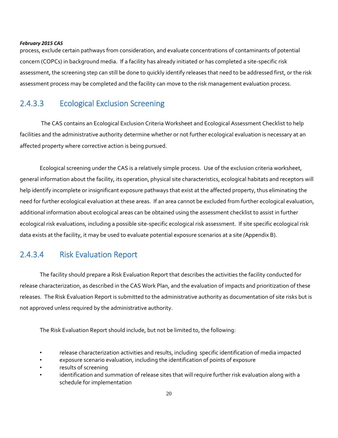process, exclude certain pathways from consideration, and evaluate concentrations of contaminants of potential concern (COPCs) in background media. If a facility has already initiated or has completed a site‐specific risk assessment, the screening step can still be done to quickly identify releases that need to be addressed first, or the risk assessment process may be completed and the facility can move to the risk management evaluation process.

## 2.4.3.3 Ecological Exclusion Screening

 The CAS contains an Ecological Exclusion Criteria Worksheet and Ecological Assessment Checklist to help facilities and the administrative authority determine whether or not further ecological evaluation is necessary at an affected property where corrective action is being pursued.

Ecological screening under the CAS is a relatively simple process. Use of the exclusion criteria worksheet, general information about the facility, its operation, physical site characteristics, ecological habitats and receptors will help identify incomplete or insignificant exposure pathways that exist at the affected property, thus eliminating the need for further ecological evaluation at these areas. If an area cannot be excluded from further ecological evaluation, additional information about ecological areas can be obtained using the assessment checklist to assist in further ecological risk evaluations, including a possible site‐specific ecological risk assessment. If site specific ecological risk data exists at the facility, it may be used to evaluate potential exposure scenarios at a site *(*Appendix B).

## 2.4.3.4 Risk Evaluation Report

The facility should prepare a Risk Evaluation Report that describes the activities the facility conducted for release characterization, as described in the CAS Work Plan, and the evaluation of impacts and prioritization of these releases. The Risk Evaluation Report is submitted to the administrative authority as documentation of site risks but is not approved unless required by the administrative authority.

The Risk Evaluation Report should include, but not be limited to, the following:

- release characterization activities and results, including specific identification of media impacted
- exposure scenario evaluation, including the identification of points of exposure
- results of screening
- identification and summation of release sites that will require further risk evaluation along with a schedule for implementation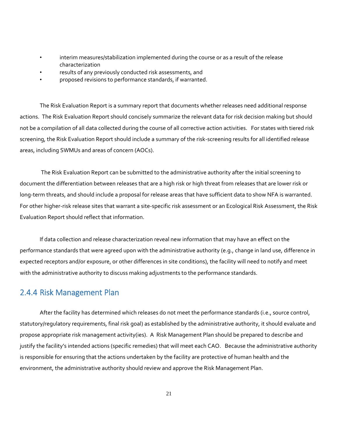- interim measures/stabilization implemented during the course or as a result of the release characterization
- results of any previously conducted risk assessments, and
- proposed revisions to performance standards, if warranted.

The Risk Evaluation Report is a summary report that documents whether releases need additional response actions. The Risk Evaluation Report should concisely summarize the relevant data for risk decision making but should not be a compilation of all data collected during the course of all corrective action activities. For states with tiered risk screening, the Risk Evaluation Report should include a summary of the risk‐screening results for all identified release areas, including SWMUs and areas of concern (AOCs).

 The Risk Evaluation Report can be submitted to the administrative authority after the initial screening to document the differentiation between releases that are a high risk or high threat from releases that are lower risk or long-term threats, and should include a proposal for release areas that have sufficient data to show NFA is warranted. For other higher-risk release sites that warrant a site-specific risk assessment or an Ecological Risk Assessment, the Risk Evaluation Report should reflect that information.

If data collection and release characterization reveal new information that may have an effect on the performance standards that were agreed upon with the administrative authority (e.g., change in land use, difference in expected receptors and/or exposure, or other differences in site conditions), the facility will need to notify and meet with the administrative authority to discuss making adjustments to the performance standards.

## 2.4.4 Risk Management Plan

After the facility has determined which releases do not meet the performance standards (i.e., source control, statutory/regulatory requirements, final risk goal) as established by the administrative authority, it should evaluate and propose appropriate risk management activity(ies). A Risk Management Plan should be prepared to describe and justify the facility's intended actions (specific remedies) that will meet each CAO. Because the administrative authority is responsible for ensuring that the actions undertaken by the facility are protective of human health and the environment, the administrative authority should review and approve the Risk Management Plan.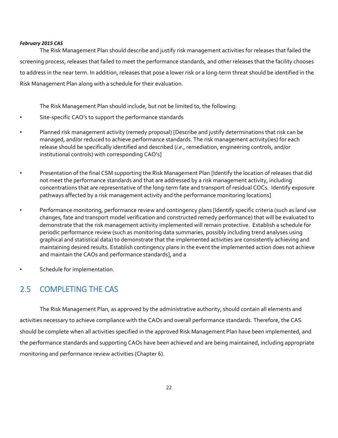The Risk Management Plan should describe and justify risk management activities for releases that failed the screening process, releases that failed to meet the performance standards, and other releases that the facility chooses to address in the near term. In addition, releases that pose a lower risk or a long‐term threat should be identified in the Risk Management Plan along with a schedule for their evaluation.

The Risk Management Plan should include, but not be limited to, the following:

- Site-specific CAO's to support the performance standards
- Planned risk management activity (remedy proposal) [Describe and justify determinations that risk can be managed, and/or reduced to achieve performance standards. The risk management activity(ies) for each release should be specifically identified and described (*i.e*., remediation, engineering controls, and/or institutional controls) with corresponding CAO's]
- Presentation of the final CSM supporting the Risk Management Plan [Identify the location of releases that did not meet the performance standards and that are addressed by a risk management activity, including concentrations that are representative of the long‐term fate and transport of residual COCs. Identify exposure pathways affected by a risk management activity and the performance monitoring locations]
- Performance monitoring, performance review and contingency plans [Identify specific criteria (such as land use changes, fate and transport model verification and constructed remedy performance) that will be evaluated to demonstrate that the risk management activity implemented will remain protective. Establish a schedule for periodic performance review (such as monitoring data summaries, possibly including trend analyses using graphical and statistical data) to demonstrate that the implemented activities are consistently achieving and maintaining desired results. Establish contingency plans in the event the implemented action does not achieve and maintain the CAOs and performance standards], and a
	- Schedule for implementation.

## 2.5 COMPLETING THE CAS

The Risk Management Plan, as approved by the administrative authority, should contain all elements and activities necessary to achieve compliance with the CAOs and overall performance standards. Therefore, the CAS should be complete when all activities specified in the approved Risk Management Plan have been implemented, and the performance standards and supporting CAOs have been achieved and are being maintained, including appropriate monitoring and performance review activities (Chapter 6).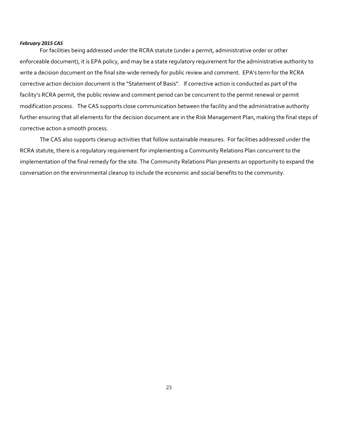For facilities being addressed under the RCRA statute (under a permit, administrative order or other enforceable document), it is EPA policy, and may be a state regulatory requirement for the administrative authority to write a decision document on the final site-wide remedy for public review and comment. EPA's term for the RCRA corrective action decision document is the "Statement of Basis". If corrective action is conducted as part of the facility's RCRA permit, the public review and comment period can be concurrent to the permit renewal or permit modification process. The CAS supports close communication between the facility and the administrative authority further ensuring that all elements for the decision document are in the Risk Management Plan, making the final steps of corrective action a smooth process.

The CAS also supports cleanup activities that follow sustainable measures. For facilities addressed under the RCRA statute, there is a regulatory requirement for implementing a Community Relations Plan concurrent to the implementation of the final remedy for the site. The Community Relations Plan presents an opportunity to expand the conversation on the environmental cleanup to include the economic and social benefits to the community.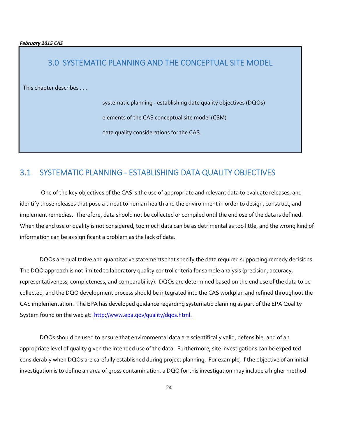## 3.0 SYSTEMATIC PLANNING AND THE CONCEPTUAL SITE MODEL

This chapter describes . . .

systematic planning ‐ establishing date quality objectives (DQOs)

elements of the CAS conceptual site model (CSM)

data quality considerations for the CAS.

## 3.1 SYSTEMATIC PLANNING ‐ ESTABLISHING DATA QUALITY OBJECTIVES

 One of the key objectives of the CAS is the use of appropriate and relevant data to evaluate releases, and identify those releases that pose a threat to human health and the environment in order to design, construct, and implement remedies. Therefore, data should not be collected or compiled until the end use of the data is defined. When the end use or quality is not considered, too much data can be as detrimental as too little, and the wrong kind of information can be as significant a problem as the lack of data.

DQOs are qualitative and quantitative statements that specify the data required supporting remedy decisions. The DQO approach is not limited to laboratory quality control criteria for sample analysis (precision, accuracy, representativeness, completeness, and comparability). DQOs are determined based on the end use of the data to be collected, and the DQO development process should be integrated into the CAS workplan and refined throughout the CAS implementation. The EPA has developed guidance regarding systematic planning as part of the EPA Quality System found on the web at: http://www.epa.gov/quality/dqos.html.

DQOs should be used to ensure that environmental data are scientifically valid, defensible, and of an appropriate level of quality given the intended use of the data. Furthermore, site investigations can be expedited considerably when DQOs are carefully established during project planning. For example, if the objective of an initial investigation is to define an area of gross contamination, a DQO for this investigation may include a higher method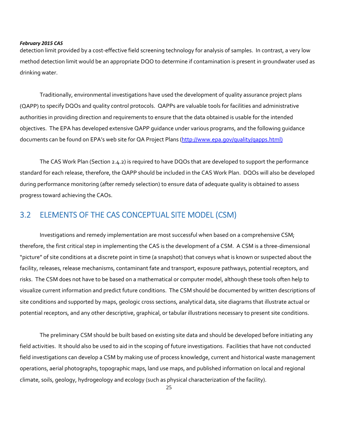detection limit provided by a cost‐effective field screening technology for analysis of samples. In contrast, a very low method detection limit would be an appropriate DQO to determine if contamination is present in groundwater used as drinking water.

Traditionally, environmental investigations have used the development of quality assurance project plans (QAPP) to specify DQOs and quality control protocols. QAPPs are valuable tools for facilities and administrative authorities in providing direction and requirements to ensure that the data obtained is usable for the intended objectives. The EPA has developed extensive QAPP guidance under various programs, and the following guidance documents can be found on EPA's web site for QA Project Plans (http://www.epa.gov/quality/gapps.html)

The CAS Work Plan (Section 2.4.2) is required to have DQOs that are developed to support the performance standard for each release, therefore, the QAPP should be included in the CAS Work Plan. DQOs will also be developed during performance monitoring (after remedy selection) to ensure data of adequate quality is obtained to assess progress toward achieving the CAOs.

## 3.2 ELEMENTS OF THE CAS CONCEPTUAL SITE MODEL (CSM)

Investigations and remedy implementation are most successful when based on a comprehensive CSM; therefore, the first critical step in implementing the CAS is the development of a CSM. A CSM is a three‐dimensional "picture" of site conditions at a discrete point in time (a snapshot) that conveys what is known or suspected about the facility, releases, release mechanisms, contaminant fate and transport, exposure pathways, potential receptors, and risks. The CSM does not have to be based on a mathematical or computer model, although these tools often help to visualize current information and predict future conditions. The CSM should be documented by written descriptions of site conditions and supported by maps, geologic cross sections, analytical data, site diagrams that illustrate actual or potential receptors, and any other descriptive, graphical, or tabular illustrations necessary to present site conditions.

The preliminary CSM should be built based on existing site data and should be developed before initiating any field activities. It should also be used to aid in the scoping of future investigations. Facilities that have not conducted field investigations can develop a CSM by making use of process knowledge, current and historical waste management operations, aerial photographs, topographic maps, land use maps, and published information on local and regional climate, soils, geology, hydrogeology and ecology (such as physical characterization of the facility).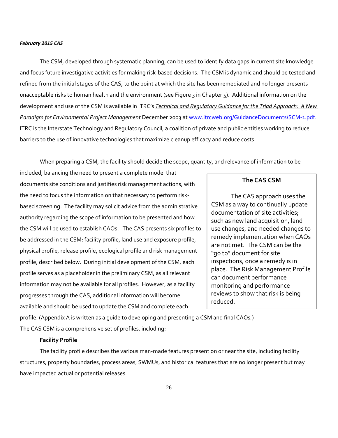The CSM, developed through systematic planning, can be used to identify data gaps in current site knowledge and focus future investigative activities for making risk‐based decisions. The CSM is dynamic and should be tested and refined from the initial stages of the CAS, to the point at which the site has been remediated and no longer presents unacceptable risks to human health and the environment (see Figure 3 in Chapter 5). Additional information on the development and use of the CSM is available in ITRC's *Technical and Regulatory Guidance for the Triad Approach: A New Paradigm for Environmental Project Management* December 2003 at www.itrcweb.org/GuidanceDocuments/SCM‐1.pdf. ITRC is the Interstate Technology and Regulatory Council, a coalition of private and public entities working to reduce barriers to the use of innovative technologies that maximize cleanup efficacy and reduce costs.

When preparing a CSM, the facility should decide the scope, quantity, and relevance of information to be

included, balancing the need to present a complete model that documents site conditions and justifies risk management actions, with the need to focus the information on that necessary to perform risk‐ based screening. The facility may solicit advice from the administrative authority regarding the scope of information to be presented and how the CSM will be used to establish CAOs. The CAS presents six profiles to be addressed in the CSM: facility profile, land use and exposure profile, physical profile, release profile, ecological profile and risk management profile, described below. During initial development of the CSM, each profile serves as a placeholder in the preliminary CSM, as all relevant information may not be available for all profiles. However, as a facility progresses through the CAS, additional information will become available and should be used to update the CSM and complete each

#### **The CAS CSM**

The CAS approach uses the CSM as a way to continually update documentation of site activities; such as new land acquisition, land use changes, and needed changes to remedy implementation when CAOs are not met. The CSM can be the "go to" document for site inspections, once a remedy is in place. The Risk Management Profile can document performance monitoring and performance reviews to show that risk is being reduced.

profile. (Appendix A is written as a guide to developing and presenting a CSM and final CAOs*.*)

The CAS CSM is a comprehensive set of profiles, including:

#### **Facility Profile**

The facility profile describes the various man-made features present on or near the site, including facility structures, property boundaries, process areas, SWMUs, and historical features that are no longer present but may have impacted actual or potential releases.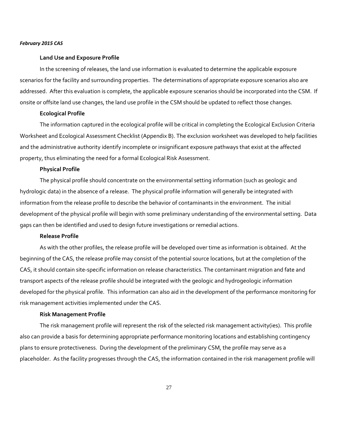#### **Land Use and Exposure Profile**

In the screening of releases, the land use information is evaluated to determine the applicable exposure scenarios for the facility and surrounding properties. The determinations of appropriate exposure scenarios also are addressed. After this evaluation is complete, the applicable exposure scenarios should be incorporated into the CSM. If onsite or offsite land use changes, the land use profile in the CSM should be updated to reflect those changes.

#### **Ecological Profile**

The information captured in the ecological profile will be critical in completing the Ecological Exclusion Criteria Worksheet and Ecological Assessment Checklist (Appendix B). The exclusion worksheet was developed to help facilities and the administrative authority identify incomplete or insignificant exposure pathways that exist at the affected property, thus eliminating the need for a formal Ecological Risk Assessment.

#### **Physical Profile**

The physical profile should concentrate on the environmental setting information (such as geologic and hydrologic data) in the absence of a release. The physical profile information will generally be integrated with information from the release profile to describe the behavior of contaminants in the environment. The initial development of the physical profile will begin with some preliminary understanding of the environmental setting. Data gaps can then be identified and used to design future investigations or remedial actions.

#### **Release Profile**

As with the other profiles, the release profile will be developed over time as information is obtained. At the beginning of the CAS, the release profile may consist of the potential source locations, but at the completion of the CAS, it should contain site‐specific information on release characteristics. The contaminant migration and fate and transport aspects of the release profile should be integrated with the geologic and hydrogeologic information developed for the physical profile. This information can also aid in the development of the performance monitoring for risk management activities implemented under the CAS.

#### **Risk Management Profile**

The risk management profile will represent the risk of the selected risk management activity(ies). This profile also can provide a basis for determining appropriate performance monitoring locations and establishing contingency plans to ensure protectiveness. During the development of the preliminary CSM, the profile may serve as a placeholder. As the facility progresses through the CAS, the information contained in the risk management profile will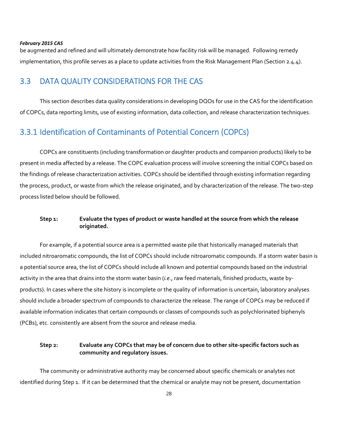be augmented and refined and will ultimately demonstrate how facility risk will be managed. Following remedy implementation, this profile serves as a place to update activities from the Risk Management Plan (Section 2.4.4).

## 3.3 DATA QUALITY CONSIDERATIONS FOR THE CAS

This section describes data quality considerations in developing DQOs for use in the CAS for the identification of COPCs, data reporting limits, use of existing information, data collection, and release characterization techniques.

## 3.3.1 Identification of Contaminants of Potential Concern (COPCs)

COPCs are constituents (including transformation or daughter products and companion products) likely to be present in media affected by a release. The COPC evaluation process will involve screening the initial COPCs based on the findings of release characterization activities. COPCs should be identified through existing information regarding the process, product, or waste from which the release originated, and by characterization of the release. The two‐step process listed below should be followed.

#### **Step 1: Evaluate the types of product or waste handled at the source from which the release originated.**

For example, if a potential source area is a permitted waste pile that historically managed materials that included nitroaromatic compounds, the list of COPCs should include nitroaromatic compounds. If a storm water basin is a potential source area, the list of COPCs should include all known and potential compounds based on the industrial activity in the area that drains into the storm water basin (*i.e*., raw feed materials, finished products, waste by‐ products). In cases where the site history is incomplete or the quality of information is uncertain, laboratory analyses should include a broader spectrum of compounds to characterize the release. The range of COPCs may be reduced if available information indicates that certain compounds or classes of compounds such as polychlorinated biphenyls (PCBs), etc. consistently are absent from the source and release media.

#### Step 2: Evaluate any COPCs that may be of concern due to other site-specific factors such as **community and regulatory issues.**

The community or administrative authority may be concerned about specific chemicals or analytes not identified during Step 1. If it can be determined that the chemical or analyte may not be present, documentation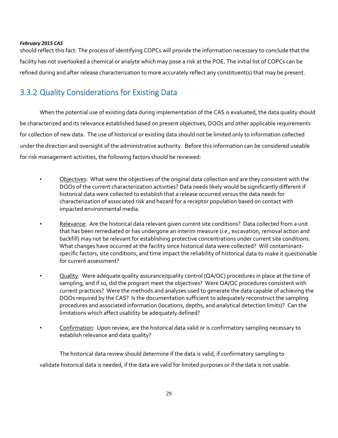should reflect this fact. The process of identifying COPCs will provide the information necessary to conclude that the facility has not overlooked a chemical or analyte which may pose a risk at the POE. The initial list of COPCs can be refined during and after release characterization to more accurately reflect any constituent(s) that may be present.

## 3.3.2 Quality Considerations for Existing Data

When the potential use of existing data during implementation of the CAS is evaluated, the data quality should be characterized and its relevance established based on present objectives, DQOs and other applicable requirements for collection of new data. The use of historical or existing data should not be limited only to information collected under the direction and oversight of the administrative authority. Before this information can be considered useable for risk management activities, the following factors should be reviewed:

- Objectives: What were the objectives of the original data collection and are they consistent with the DQOs of the current characterization activities? Data needs likely would be significantly different if historical data were collected to establish that a release occurred versus the data needs for characterization of associated risk and hazard for a receptor population based on contact with impacted environmental media.
- Relevance: Are the historical data relevant given current site conditions? Data collected from a unit that has been remediated or has undergone an interim measure (*i.e*., excavation, removal action and backfill) may not be relevant for establishing protective concentrations under current site conditions. What changes have occurred at the facility since historical data were collected? Will contaminantspecific factors, site conditions, and time impact the reliability of historical data to make it questionable for current assessment?
- $\Omega$ uality: Were adequate quality assurance/quality control ( $\Omega$ A/QC) procedures in place at the time of sampling, and if so, did the program meet the objectives? Were QA/QC procedures consistent with current practices? Were the methods and analyses used to generate the data capable of achieving the DQOs required by the CAS? Is the documentation sufficient to adequately reconstruct the sampling procedures and associated information (locations, depths, and analytical detection limits)? Can the limitations which affect usability be adequately defined?
- Confirmation: Upon review, are the historical data valid or is confirmatory sampling necessary to establish relevance and data quality?

The historical data review should determine if the data is valid, if confirmatory sampling to validate historical data is needed, if the data are valid for limited purposes or if the data is not usable.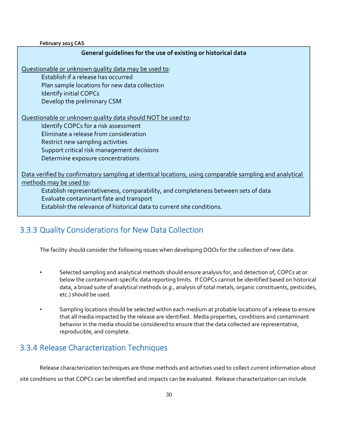| General guidelines for the use of existing or historical data                                                                                                                                                                                                                                                                                 |
|-----------------------------------------------------------------------------------------------------------------------------------------------------------------------------------------------------------------------------------------------------------------------------------------------------------------------------------------------|
| Questionable or unknown quality data may be used to:<br>Establish if a release has occurred<br>Plan sample locations for new data collection<br><b>Identify initial COPCs</b><br>Develop the preliminary CSM                                                                                                                                  |
| Questionable or unknown quality data should NOT be used to:<br>Identify COPCs for a risk assessment<br>Eliminate a release from consideration<br>Restrict new sampling activities<br>Support critical risk management decisions<br>Determine exposure concentrations                                                                          |
| Data verified by confirmatory sampling at identical locations, using comparable sampling and analytical<br>methods may be used to:<br>Establish representativeness, comparability, and completeness between sets of data<br>Evaluate contaminant fate and transport<br>Establish the relevance of historical data to current site conditions. |

## 3.3.3 Quality Considerations for New Data Collection

The facility should consider the following issues when developing DQOs for the collection of new data:

- Selected sampling and analytical methods should ensure analysis for, and detection of, COPCs at or below the contaminant‐specific data reporting limits. If COPCs cannot be identified based on historical data, a broad suite of analytical methods (*e.g*., analysis of total metals, organic constituents, pesticides, etc.) should be used.
- Sampling locations should be selected within each medium at probable locations of a release to ensure that all media impacted by the release are identified. Media properties, conditions and contaminant behavior in the media should be considered to ensure that the data collected are representative, reproducible, and complete.

## 3.3.4 Release Characterization Techniques

Release characterization techniques are those methods and activities used to collect current information about site conditions so that COPCs can be identified and impacts can be evaluated. Release characterization can include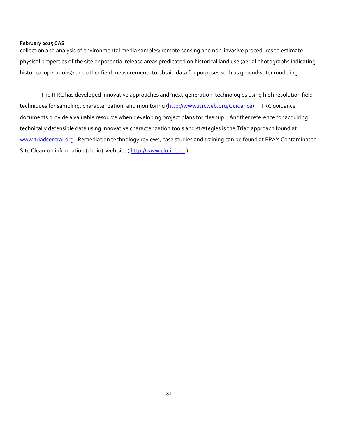collection and analysis of environmental media samples; remote sensing and non‐invasive procedures to estimate physical properties of the site or potential release areas predicated on historical land use (aerial photographs indicating historical operations); and other field measurements to obtain data for purposes such as groundwater modeling.

 The ITRC has developed innovative approaches and 'next‐generation' technologies using high resolution field techniques for sampling, characterization, and monitoring (http://www.itrcweb.org/Guidance). ITRC guidance documents provide a valuable resource when developing project plans for cleanup. Another reference for acquiring technically defensible data using innovative characterization tools and strategies is the Triad approach found at www.triadcentral.org. Remediation technology reviews, case studies and training can be found at EPA's Contaminated Site Clean-up information (clu-in) web site ( http://www.clu-in.org.)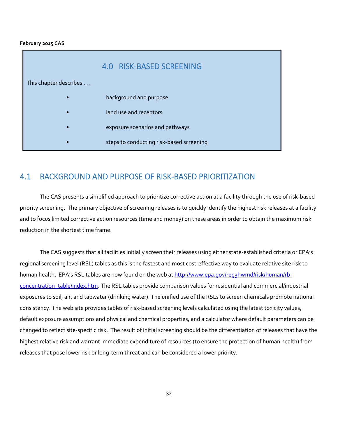

## 4.1 BACKGROUND AND PURPOSE OF RISK‐BASED PRIORITIZATION

The CAS presents a simplified approach to prioritize corrective action at a facility through the use of risk‐based priority screening. The primary objective of screening releases is to quickly identify the highest risk releases at a facility and to focus limited corrective action resources (time and money) on these areas in order to obtain the maximum risk reduction in the shortest time frame.

The CAS suggests that all facilities initially screen their releases using either state‐established criteria or EPA's regional screening level (RSL) tables as this is the fastest and most cost‐effective way to evaluate relative site risk to human health. EPA's RSL tables are now found on the web at http://www.epa.gov/reg3hwmd/risk/human/rbconcentration\_table/index.htm. The RSL tables provide comparison values for residential and commercial/industrial exposures to soil, air, and tapwater (drinking water). The unified use of the RSLs to screen chemicals promote national consistency. The web site provides tables of risk‐based screening levels calculated using the latest toxicity values, default exposure assumptions and physical and chemical properties, and a calculator where default parameters can be changed to reflect site‐specific risk. The result of initial screening should be the differentiation of releases that have the highest relative risk and warrant immediate expenditure of resources (to ensure the protection of human health) from releases that pose lower risk or long‐term threat and can be considered a lower priority.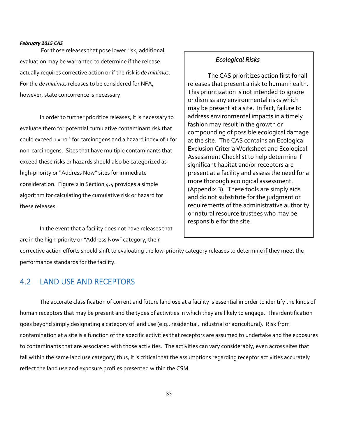For those releases that pose lower risk, additional evaluation may be warranted to determine if the release actually requires corrective action or if the risk is *de minimus*. For the *de minimus* releases to be considered for NFA, however, state concurrence is necessary.

In order to further prioritize releases, it is necessary to evaluate them for potential cumulative contaminant risk that could exceed  $1 \times 10^{-4}$  for carcinogens and a hazard index of  $1$  for non‐carcinogens. Sites that have multiple contaminants that exceed these risks or hazards should also be categorized as high‐priority or "Address Now" sites for immediate consideration. Figure 2 in Section 4.4 provides a simple algorithm for calculating the cumulative risk or hazard for these releases.

In the event that a facility does not have releases that are in the high‐priority or "Address Now" category, their

#### *Ecological Risks*

The CAS prioritizes action first for all releases that present a risk to human health. This prioritization is not intended to ignore or dismiss any environmental risks which may be present at a site. In fact, failure to address environmental impacts in a timely fashion may result in the growth or compounding of possible ecological damage at the site. The CAS contains an Ecological Exclusion Criteria Worksheet and Ecological Assessment Checklist to help determine if significant habitat and/or receptors are present at a facility and assess the need for a more thorough ecological assessment. (Appendix B). These tools are simply aids and do not substitute for the judgment or requirements of the administrative authority or natural resource trustees who may be responsible for the site.

corrective action efforts should shift to evaluating the low‐priority category releases to determine if they meet the performance standards for the facility.

## 4.2 LAND USE AND RECEPTORS

The accurate classification of current and future land use at a facility is essential in order to identify the kinds of human receptors that may be present and the types of activities in which they are likely to engage. This identification goes beyond simply designating a category of land use (e.g., residential, industrial or agricultural). Risk from contamination at a site is a function of the specific activities that receptors are assumed to undertake and the exposures to contaminants that are associated with those activities. The activities can vary considerably, even across sites that fall within the same land use category; thus, it is critical that the assumptions regarding receptor activities accurately reflect the land use and exposure profiles presented within the CSM.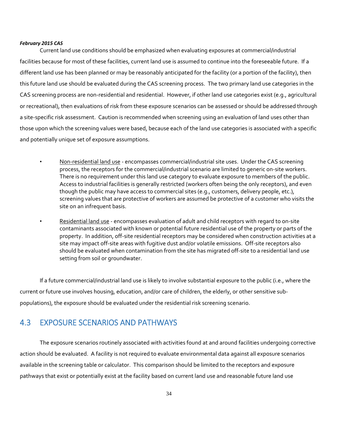Current land use conditions should be emphasized when evaluating exposures at commercial/industrial facilities because for most of these facilities, current land use is assumed to continue into the foreseeable future. If a different land use has been planned or may be reasonably anticipated for the facility (or a portion of the facility), then this future land use should be evaluated during the CAS screening process. The two primary land use categories in the CAS screening process are non‐residential and residential. However, if other land use categories exist (e.g., agricultural or recreational), then evaluations of risk from these exposure scenarios can be assessed or should be addressed through a site-specific risk assessment. Caution is recommended when screening using an evaluation of land uses other than those upon which the screening values were based, because each of the land use categories is associated with a specific and potentially unique set of exposure assumptions.

- Non-residential land use encompasses commercial/industrial site uses. Under the CAS screening process, the receptors for the commercial/industrial scenario are limited to generic on‐site workers. There is no requirement under this land use category to evaluate exposure to members of the public. Access to industrial facilities is generally restricted (workers often being the only receptors), and even though the public may have access to commercial sites (e.g., customers, delivery people, etc.), screening values that are protective of workers are assumed be protective of a customer who visits the site on an infrequent basis.
- Residential land use encompasses evaluation of adult and child receptors with regard to on-site contaminants associated with known or potential future residential use of the property or parts of the property. In addition, off-site residential receptors may be considered when construction activities at a site may impact off-site areas with fugitive dust and/or volatile emissions. Off-site receptors also should be evaluated when contamination from the site has migrated off‐site to a residential land use setting from soil or groundwater.

If a future commercial/industrial land use is likely to involve substantial exposure to the public (i.e., where the current or future use involves housing, education, and/or care of children, the elderly, or other sensitive sub‐ populations), the exposure should be evaluated under the residential risk screening scenario.

## 4.3 EXPOSURE SCENARIOS AND PATHWAYS

The exposure scenarios routinely associated with activities found at and around facilities undergoing corrective action should be evaluated. A facility is not required to evaluate environmental data against all exposure scenarios available in the screening table or calculator. This comparison should be limited to the receptors and exposure pathways that exist or potentially exist at the facility based on current land use and reasonable future land use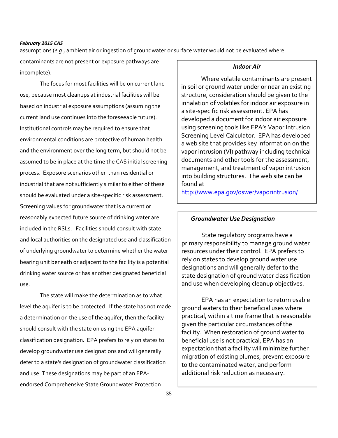assumptions (*e.g*., ambient air or ingestion of groundwater or surface water would not be evaluated where

contaminants are not present or exposure pathways are incomplete).

The focus for most facilities will be on current land use, because most cleanups at industrial facilities will be based on industrial exposure assumptions (assuming the current land use continues into the foreseeable future). Institutional controls may be required to ensure that environmental conditions are protective of human health and the environment over the long term, but should not be assumed to be in place at the time the CAS initial screening process. Exposure scenarios other than residential or industrial that are not sufficiently similar to either of these should be evaluated under a site‐specific risk assessment. Screening values for groundwater that is a current or reasonably expected future source of drinking water are included in the RSLs. Facilities should consult with state and local authorities on the designated use and classification of underlying groundwater to determine whether the water bearing unit beneath or adjacent to the facility is a potential drinking water source or has another designated beneficial use.

 The state will make the determination as to what level the aquifer is to be protected. If the state has not made a determination on the use of the aquifer, then the facility should consult with the state on using the EPA aquifer classification designation. EPA prefers to rely on states to develop groundwater use designations and will generally defer to a state's designation of groundwater classification and use. These designations may be part of an EPA‐ endorsed Comprehensive State Groundwater Protection

#### *Indoor Air*

Where volatile contaminants are present in soil or ground water under or near an existing structure, consideration should be given to the inhalation of volatiles for indoor air exposure in a site‐specific risk assessment. EPA has developed a document for indoor air exposure using screening tools like EPA's Vapor Intrusion Screening Level Calculator. EPA has developed a web site that provides key information on the vapor intrusion (VI) pathway including technical documents and other tools for the assessment, management, and treatment of vapor intrusion into building structures. The web site can be found at

http://www.epa.gov/oswer/vaporintrusion/

#### *Groundwater Use Designation*

State regulatory programs have a primary responsibility to manage ground water resources under their control. EPA prefers to rely on states to develop ground water use designations and will generally defer to the state designation of ground water classification and use when developing cleanup objectives.

EPA has an expectation to return usable ground waters to their beneficial uses where practical, within a time frame that is reasonable given the particular circumstances of the facility. When restoration of ground water to beneficial use is not practical, EPA has an expectation that a facility will minimize further migration of existing plumes, prevent exposure to the contaminated water, and perform additional risk reduction as necessary.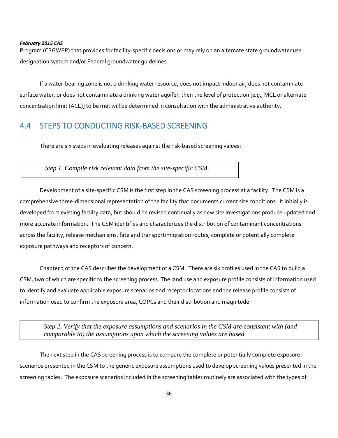Program (CSGWPP) that provides for facility‐specific decisions or may rely on an alternate state groundwater use designation system and/or Federal groundwater guidelines.

If a water‐bearing zone is not a drinking water resource, does not impact indoor air, does not contaminate surface water, or does not contaminate a drinking water aquifer, then the level of protection [*e.g*., MCL or alternate concentration limit (ACL)] to be met will be determined in consultation with the administrative authority.

## 4.4 STEPS TO CONDUCTING RISK‐BASED SCREENING

There are six steps in evaluating releases against the risk‐based screening values:

*Step 1. Compile risk relevant data from the site-specific CSM.*

Development of a site‐specific CSM is the first step in the CAS screening process at a facility. The CSM is a comprehensive three-dimensional representation of the facility that documents current site conditions. It initially is developed from existing facility data, but should be revised continually as new site investigations produce updated and more accurate information. The CSM identifies and characterizes the distribution of contaminant concentrations across the facility, release mechanisms, fate and transport/migration routes, complete or potentially complete exposure pathways and receptors of concern.

Chapter 3 of the CAS describes the development of a CSM. There are six profiles used in the CAS to build a CSM, two of which are specific to the screening process. The land use and exposure profile consists of information used to identify and evaluate applicable exposure scenarios and receptor locations and the release profile consists of information used to confirm the exposure area, COPCs and their distribution and magnitude.

*Step 2. Verify that the exposure assumptions and scenarios in the CSM are consistent with (and comparable to) the assumptions upon which the screening values are based.*

The next step in the CAS screening process is to compare the complete or potentially complete exposure scenarios presented in the CSM to the generic exposure assumptions used to develop screening values presented in the screening tables. The exposure scenarios included in the screening tables routinely are associated with the types of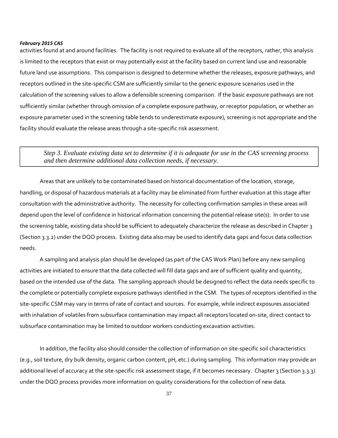activities found at and around facilities. The facility is not required to evaluate all of the receptors, rather, this analysis is limited to the receptors that exist or may potentially exist at the facility based on current land use and reasonable future land use assumptions. This comparison is designed to determine whether the releases, exposure pathways, and receptors outlined in the site‐specific CSM are sufficiently similar to the generic exposure scenarios used in the calculation of the screening values to allow a defensible screening comparison. If the basic exposure pathways are not sufficiently similar (whether through omission of a complete exposure pathway, or receptor population, or whether an exposure parameter used in the screening table tends to underestimate exposure), screening is not appropriate and the facility should evaluate the release areas through a site‐specific risk assessment.

*Step 3. Evaluate existing data set to determine if it is adequate for use in the CAS screening process and then determine additional data collection needs, if necessary.*

Areas that are unlikely to be contaminated based on historical documentation of the location, storage, handling, or disposal of hazardous materials at a facility may be eliminated from further evaluation at this stage after consultation with the administrative authority. The necessity for collecting confirmation samples in these areas will depend upon the level of confidence in historical information concerning the potential release site(s). In order to use the screening table, existing data should be sufficient to adequately characterize the release as described in Chapter 3 (Section 3.3.2) under the DQO process. Existing data also may be used to identify data gaps and focus data collection needs.

A sampling and analysis plan should be developed (as part of the CAS Work Plan) before any new sampling activities are initiated to ensure that the data collected will fill data gaps and are of sufficient quality and quantity, based on the intended use of the data. The sampling approach should be designed to reflect the data needs specific to the complete or potentially complete exposure pathways identified in the CSM. The types of receptors identified in the site-specific CSM may vary in terms of rate of contact and sources. For example, while indirect exposures associated with inhalation of volatiles from subsurface contamination may impact all receptors located on‐site, direct contact to subsurface contamination may be limited to outdoor workers conducting excavation activities.

In addition, the facility also should consider the collection of information on site‐specific soil characteristics (e.g., soil texture, dry bulk density, organic carbon content, pH, etc.) during sampling. This information may provide an additional level of accuracy at the site-specific risk assessment stage, if it becomes necessary. Chapter 3 (Section 3.3.3) under the DQO process provides more information on quality considerations for the collection of new data.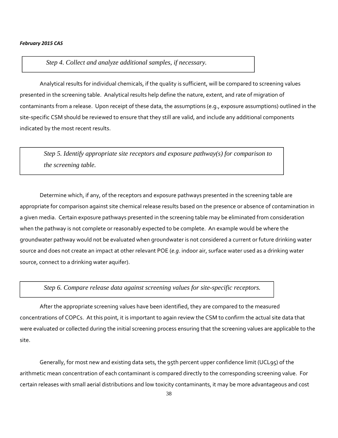*Step 4. Collect and analyze additional samples, if necessary.*

Analytical results for individual chemicals, if the quality is sufficient, will be compared to screening values presented in the screening table. Analytical results help define the nature, extent, and rate of migration of contaminants from a release. Upon receipt of these data, the assumptions (e.g., exposure assumptions) outlined in the site‐specific CSM should be reviewed to ensure that they still are valid, and include any additional components indicated by the most recent results.

*Step 5. Identify appropriate site receptors and exposure pathway(s) for comparison to the screening table.*

Determine which, if any, of the receptors and exposure pathways presented in the screening table are appropriate for comparison against site chemical release results based on the presence or absence of contamination in a given media. Certain exposure pathways presented in the screening table may be eliminated from consideration when the pathway is not complete or reasonably expected to be complete. An example would be where the groundwater pathway would not be evaluated when groundwater is not considered a current or future drinking water source and does not create an impact at other relevant POE (*e.g*. indoor air, surface water used as a drinking water source, connect to a drinking water aquifer).

## *Step 6. Compare release data against screening values for site-specific receptors.*

After the appropriate screening values have been identified, they are compared to the measured concentrations of COPCs. At this point, it is important to again review the CSM to confirm the actual site data that were evaluated or collected during the initial screening process ensuring that the screening values are applicable to the site.

Generally, for most new and existing data sets, the 95th percent upper confidence limit (UCL95) of the arithmetic mean concentration of each contaminant is compared directly to the corresponding screening value. For certain releases with small aerial distributions and low toxicity contaminants, it may be more advantageous and cost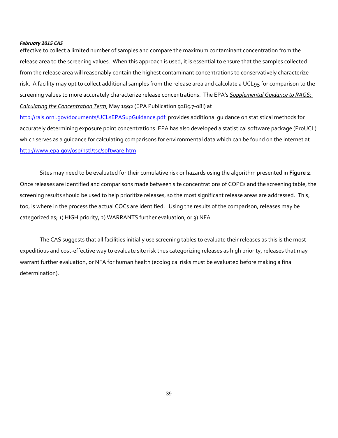effective to collect a limited number of samples and compare the maximum contaminant concentration from the release area to the screening values. When this approach is used, it is essential to ensure that the samples collected from the release area will reasonably contain the highest contaminant concentrations to conservatively characterize risk. A facility may opt to collect additional samples from the release area and calculate a UCL95 for comparison to the screening values to more accurately characterize release concentrations. The EPA's *Supplemental Guidance to RAGS: Calculating the Concentration Term*, May 1992 (EPA Publication 9285.7‐08I) at

http://rais.ornl.gov/documents/UCLsEPASupGuidance.pdf provides additional quidance on statistical methods for accurately determining exposure point concentrations. EPA has also developed a statistical software package (ProUCL) which serves as a guidance for calculating comparisons for environmental data which can be found on the internet at http://www.epa.gov/osp/hstl/tsc/software.htm.

Sites may need to be evaluated for their cumulative risk or hazards using the algorithm presented in **Figure 2**. Once releases are identified and comparisons made between site concentrations of COPCs and the screening table, the screening results should be used to help prioritize releases, so the most significant release areas are addressed. This, too, is where in the process the actual COCs are identified. Using the results of the comparison, releases may be categorized as; 1) HIGH priority, 2) WARRANTS further evaluation, or 3) NFA .

The CAS suggests that all facilities initially use screening tables to evaluate their releases as this is the most expeditious and cost-effective way to evaluate site risk thus categorizing releases as high priority, releases that may warrant further evaluation, or NFA for human health (ecological risks must be evaluated before making a final determination).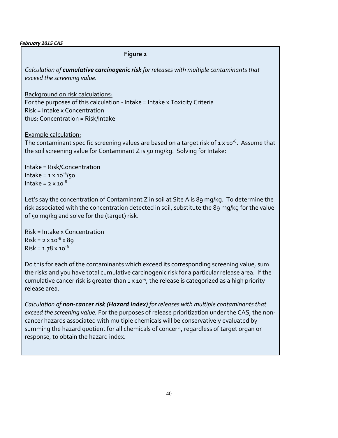**Figure 2** *Calculation of cumulative carcinogenic risk for releases with multiple contaminants that exceed the screening value.* Background on risk calculations: For the purposes of this calculation ‐ Intake = Intake x Toxicity Criteria Risk = Intake x Concentration thus: Concentration = Risk/Intake Example calculation: The contaminant specific screening values are based on a target risk of  $1 \times 10^{-6}$ . Assume that the soil screening value for Contaminant Z is 50 mg/kg. Solving for Intake: Intake = Risk/Concentration Intake =  $1 \times 10^{-6}$ /50 Intake =  $2 \times 10^{-8}$ Let's say the concentration of Contaminant Z in soil at Site A is 89 mg/kg. To determine the risk associated with the concentration detected in soil, substitute the 89 mg/kg for the value of 50 mg/kg and solve for the (target) risk. Risk = Intake x Concentration Risk = 2 x 10 $8$  x 89  $Risk = 1.78 \times 10^{-6}$ Do this for each of the contaminants which exceed its corresponding screening value, sum

the risks and you have total cumulative carcinogenic risk for a particular release area. If the cumulative cancer risk is greater than  $1 \times 10^{-4}$ , the release is categorized as a high priority release area.

*Calculation of non‐cancer risk (Hazard Index) for releases with multiple contaminants that exceed the screening value.* For the purposes of release prioritization under the CAS, the non‐ cancer hazards associated with multiple chemicals will be conservatively evaluated by summing the hazard quotient for all chemicals of concern, regardless of target organ or response, to obtain the hazard index.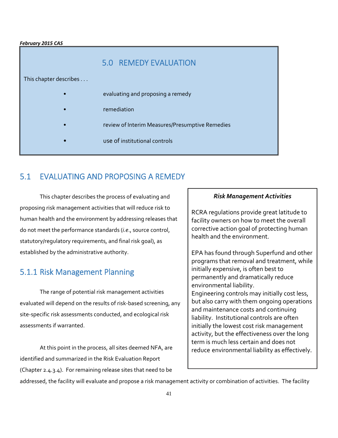

# 5.1 EVALUATING AND PROPOSING A REMEDY

This chapter describes the process of evaluating and proposing risk management activities that will reduce risk to human health and the environment by addressing releases that do not meet the performance standards (*i.e*., source control, statutory/regulatory requirements, and final risk goal), as established by the administrative authority.

# 5.1.1 Risk Management Planning

The range of potential risk management activities evaluated will depend on the results of risk‐based screening, any site‐specific risk assessments conducted, and ecological risk assessments if warranted.

At this point in the process, all sites deemed NFA, are identified and summarized in the Risk Evaluation Report (Chapter 2.4.3.4). For remaining release sites that need to be

# *Risk Management Activities*

RCRA regulations provide great latitude to facility owners on how to meet the overall corrective action goal of protecting human health and the environment.

EPA has found through Superfund and other programs that removal and treatment, while initially expensive, is often best to permanently and dramatically reduce environmental liability. Engineering controls may initially cost less, but also carry with them ongoing operations and maintenance costs and continuing liability. Institutional controls are often initially the lowest cost risk management activity, but the effectiveness over the long term is much less certain and does not reduce environmental liability as effectively.

addressed, the facility will evaluate and propose a risk management activity or combination of activities. The facility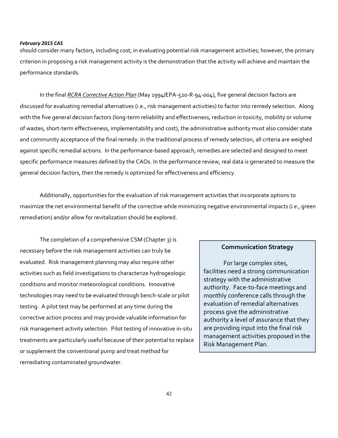should consider many factors, including cost, in evaluating potential risk management activities; however, the primary criterion in proposing a risk management activity is the demonstration that the activity will achieve and maintain the performance standards.

In the final *RCRA Corrective Action Plan* (May 1994/EPA‐520‐R‐94‐004), five general decision factors are discussed for evaluating remedial alternatives (i.e., risk management activities) to factor into remedy selection. Along with the five general decision factors (long-term reliability and effectiveness, reduction in toxicity, mobility or volume of wastes, short‐term effectiveness, implementability and cost), the administrative authority must also consider state and community acceptance of the final remedy. In the traditional process of remedy selection, all criteria are weighed against specific remedial actions. In the performance‐based approach, remedies are selected and designed to meet specific performance measures defined by the CAOs. In the performance review, real data is generated to measure the general decision factors, then the remedy is optimized for effectiveness and efficiency.

Additionally, opportunities for the evaluation of risk management activities that incorporate options to maximize the net environmental benefit of the corrective while minimizing negative environmental impacts (*i.e*., green remediation) and/or allow for revitalization should be explored.

The completion of a comprehensive CSM (Chapter 3) is necessary before the risk management activities can truly be evaluated. Risk management planning may also require other activities such as field investigations to characterize hydrogeologic conditions and monitor meteorological conditions. Innovative technologies may need to be evaluated through bench‐scale or pilot testing. A pilot test may be performed at any time during the corrective action process and may provide valuable information for risk management activity selection. Pilot testing of innovative in‐situ treatments are particularly useful because of their potential to replace or supplement the conventional pump and treat method for remediating contaminated groundwater.

## **Communication Strategy**

For large complex sites, facilities need a strong communication strategy with the administrative authority. Face‐to‐face meetings and monthly conference calls through the evaluation of remedial alternatives process give the administrative authority a level of assurance that they are providing input into the final risk management activities proposed in the Risk Management Plan.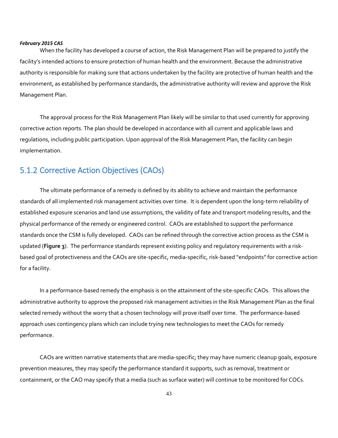When the facility has developed a course of action, the Risk Management Plan will be prepared to justify the facility's intended actions to ensure protection of human health and the environment. Because the administrative authority is responsible for making sure that actions undertaken by the facility are protective of human health and the environment, as established by performance standards, the administrative authority will review and approve the Risk Management Plan.

The approval process for the Risk Management Plan likely will be similar to that used currently for approving corrective action reports. The plan should be developed in accordance with all current and applicable laws and regulations, including public participation. Upon approval of the Risk Management Plan, the facility can begin implementation.

# 5.1.2 Corrective Action Objectives (CAOs)

The ultimate performance of a remedy is defined by its ability to achieve and maintain the performance standards of all implemented risk management activities over time. It is dependent upon the long‐term reliability of established exposure scenarios and land use assumptions, the validity of fate and transport modeling results, and the physical performance of the remedy or engineered control. CAOs are established to support the performance standards once the CSM is fully developed. CAOs can be refined through the corrective action process as the CSM is updated (**Figure 3**). The performance standards represent existing policy and regulatory requirements with a risk‐ based goal of protectiveness and the CAOs are site‐specific, media‐specific, risk‐based "endpoints" for corrective action for a facility.

In a performance‐based remedy the emphasis is on the attainment of the site‐specific CAOs. This allows the administrative authority to approve the proposed risk management activities in the Risk Management Plan as the final selected remedy without the worry that a chosen technology will prove itself over time. The performance-based approach uses contingency plans which can include trying new technologies to meet the CAOs for remedy performance.

CAOs are written narrative statements that are media‐specific; they may have numeric cleanup goals, exposure prevention measures, they may specify the performance standard it supports, such as removal, treatment or containment, or the CAO may specify that a media (such as surface water) will continue to be monitored for COCs.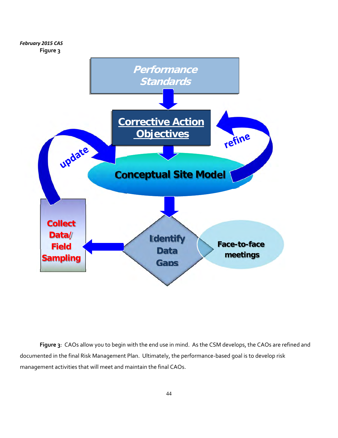

**Figure 3**: CAOs allow you to begin with the end use in mind. As the CSM develops, the CAOs are refined and documented in the final Risk Management Plan. Ultimately, the performance-based goal is to develop risk management activities that will meet and maintain the final CAOs.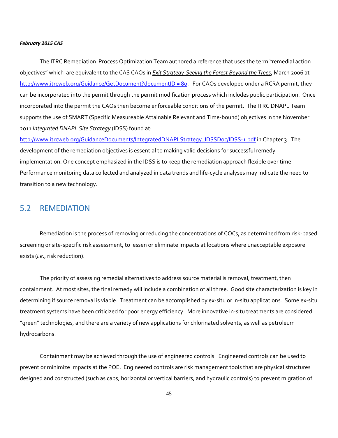The ITRC Remediation Process Optimization Team authored a reference that uses the term "remedial action objectives" which are equivalent to the CAS CAOs in *Exit Strategy‐Seeing the Forest Beyond the Trees*, March 2006 at http://www.itrcweb.org/Guidance/GetDocument?documentID = 80. For CAOs developed under a RCRA permit, they can be incorporated into the permit through the permit modification process which includes public participation. Once incorporated into the permit the CAOs then become enforceable conditions of the permit. The ITRC DNAPL Team supports the use of SMART (Specific Measureable Attainable Relevant and Time‐bound) objectives in the November 2011 *Integrated DNAPL Site Strategy* (IDSS) found at:

http://www.itrcweb.org/GuidanceDocuments/IntegratedDNAPLStrategy\_IDSSDoc/IDSS-1.pdf in Chapter 3. The development of the remediation objectives is essential to making valid decisions for successful remedy implementation. One concept emphasized in the IDSS is to keep the remediation approach flexible over time. Performance monitoring data collected and analyzed in data trends and life‐cycle analyses may indicate the need to transition to a new technology.

# 5.2 REMEDIATION

Remediation is the process of removing or reducing the concentrations of COCs, as determined from risk‐based screening or site-specific risk assessment, to lessen or eliminate impacts at locations where unacceptable exposure exists (*i.e*., risk reduction).

The priority of assessing remedial alternatives to address source material is removal, treatment, then containment. At most sites, the final remedy will include a combination of all three. Good site characterization is key in determining if source removal is viable. Treatment can be accomplished by ex‐situ or in‐situ applications. Some ex‐situ treatment systems have been criticized for poor energy efficiency. More innovative in‐situ treatments are considered "green" technologies, and there are a variety of new applications for chlorinated solvents, as well as petroleum hydrocarbons.

Containment may be achieved through the use of engineered controls. Engineered controls can be used to prevent or minimize impacts at the POE. Engineered controls are risk management tools that are physical structures designed and constructed (such as caps, horizontal or vertical barriers, and hydraulic controls) to prevent migration of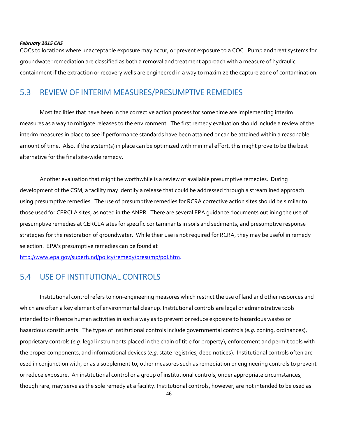COCs to locations where unacceptable exposure may occur, or prevent exposure to a COC. Pump and treat systems for groundwater remediation are classified as both a removal and treatment approach with a measure of hydraulic containment if the extraction or recovery wells are engineered in a way to maximize the capture zone of contamination.

# 5.3 REVIEW OF INTERIM MEASURES/PRESUMPTIVE REMEDIES

Most facilities that have been in the corrective action process for some time are implementing interim measures as a way to mitigate releases to the environment. The first remedy evaluation should include a review of the interim measures in place to see if performance standards have been attained or can be attained within a reasonable amount of time. Also, if the system(s) in place can be optimized with minimal effort, this might prove to be the best alternative for the final site‐wide remedy.

Another evaluation that might be worthwhile is a review of available presumptive remedies. During development of the CSM, a facility may identify a release that could be addressed through a streamlined approach using presumptive remedies. The use of presumptive remedies for RCRA corrective action sites should be similar to those used for CERCLA sites, as noted in the ANPR. There are several EPA guidance documents outlining the use of presumptive remedies at CERCLA sites for specific contaminants in soils and sediments, and presumptive response strategies for the restoration of groundwater. While their use is not required for RCRA, they may be useful in remedy selection. EPA's presumptive remedies can be found at

http://www.epa.gov/superfund/policy/remedy/presump/pol.htm.

# 5.4 USE OF INSTITUTIONAL CONTROLS

Institutional control refers to non‐engineering measures which restrict the use of land and other resources and which are often a key element of environmental cleanup. Institutional controls are legal or administrative tools intended to influence human activities in such a way as to prevent or reduce exposure to hazardous wastes or hazardous constituents. The types of institutional controls include governmental controls (*e.g*. zoning, ordinances), proprietary controls (*e.g*. legal instruments placed in the chain of title for property), enforcement and permit tools with the proper components, and informational devices (*e.g*. state registries, deed notices). Institutional controls often are used in conjunction with, or as a supplement to, other measures such as remediation or engineering controls to prevent or reduce exposure. An institutional control or a group of institutional controls, under appropriate circumstances, though rare, may serve as the sole remedy at a facility. Institutional controls, however, are not intended to be used as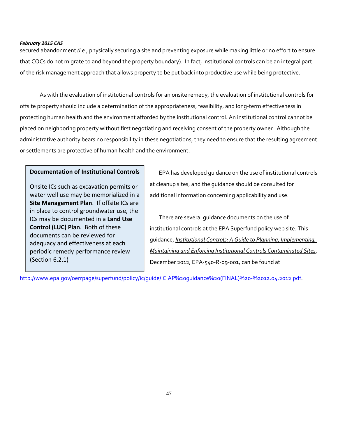secured abandonment *(i.e*., physically securing a site and preventing exposure while making little or no effort to ensure that COCs do not migrate to and beyond the property boundary). In fact, institutional controls can be an integral part of the risk management approach that allows property to be put back into productive use while being protective.

As with the evaluation of institutional controls for an onsite remedy, the evaluation of institutional controls for offsite property should include a determination of the appropriateness, feasibility, and long‐term effectiveness in protecting human health and the environment afforded by the institutional control. An institutional control cannot be placed on neighboring property without first negotiating and receiving consent of the property owner. Although the administrative authority bears no responsibility in these negotiations, they need to ensure that the resulting agreement or settlements are protective of human health and the environment.

# **Documentation of Institutional Controls**

Onsite ICs such as excavation permits or water well use may be memorialized in a **Site Management Plan**. If offsite ICs are in place to control groundwater use, the ICs may be documented in a **Land Use Control (LUC) Plan**. Both of these documents can be reviewed for adequacy and effectiveness at each periodic remedy performance review (Section 6.2.1)

EPA has developed guidance on the use of institutional controls at cleanup sites, and the guidance should be consulted for additional information concerning applicability and use.

There are several guidance documents on the use of institutional controls at the EPA Superfund policy web site. This guidance, *Institutional Controls: A Guide to Planning, Implementing, Maintaining and Enforcing Institutional Controls Contaminated Sites*, December 2012, EPA‐540‐R‐09‐001, can be found at

http://www.epa.gov/oerrpage/superfund/policy/ic/guide/ICIAP%20guidance%20(FINAL)%20‐%2012.04.2012.pdf.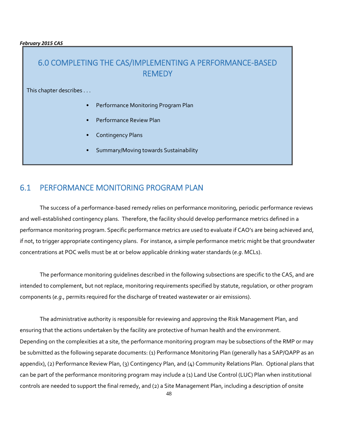# 6.0 COMPLETING THE CAS/IMPLEMENTING A PERFORMANCE‐BASED REMEDY

This chapter describes . . .

- Performance Monitoring Program Plan
- Performance Review Plan
- Contingency Plans
- Summary/Moving towards Sustainability

# 6.1 PERFORMANCE MONITORING PROGRAM PLAN

The success of a performance‐based remedy relies on performance monitoring, periodic performance reviews and well-established contingency plans. Therefore, the facility should develop performance metrics defined in a performance monitoring program. Specific performance metrics are used to evaluate if CAO's are being achieved and, if not, to trigger appropriate contingency plans. For instance, a simple performance metric might be that groundwater concentrations at POC wells must be at or below applicable drinking water standards (*e.g*. MCLs).

The performance monitoring guidelines described in the following subsections are specific to the CAS, and are intended to complement, but not replace, monitoring requirements specified by statute, regulation, or other program components (*e.g.,* permits required for the discharge of treated wastewater or air emissions).

The administrative authority is responsible for reviewing and approving the Risk Management Plan, and ensuring that the actions undertaken by the facility are protective of human health and the environment. Depending on the complexities at a site, the performance monitoring program may be subsections of the RMP or may be submitted as the following separate documents: (1) Performance Monitoring Plan (generally has a SAP/QAPP as an appendix), (2) Performance Review Plan, (3) Contingency Plan, and (4) Community Relations Plan. Optional plans that can be part of the performance monitoring program may include a (1) Land Use Control (LUC) Plan when institutional controls are needed to support the final remedy, and (2) a Site Management Plan, including a description of onsite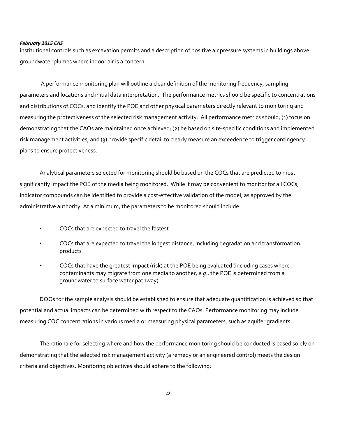institutional controls such as excavation permits and a description of positive air pressure systems in buildings above groundwater plumes where indoor air is a concern.

A performance monitoring plan will outline a clear definition of the monitoring frequency, sampling parameters and locations and initial data interpretation. The performance metrics should be specific to concentrations and distributions of COCs, and identify the POE and other physical parameters directly relevant to monitoring and measuring the protectiveness of the selected risk management activity. All performance metrics should; (1) focus on demonstrating that the CAOs are maintained once achieved; (2) be based on site‐specific conditions and implemented risk management activities; and (3) provide specific detail to clearly measure an exceedence to trigger contingency plans to ensure protectiveness.

Analytical parameters selected for monitoring should be based on the COCs that are predicted to most significantly impact the POE of the media being monitored. While it may be convenient to monitor for all COCs, indicator compounds can be identified to provide a cost‐effective validation of the model, as approved by the administrative authority. At a minimum, the parameters to be monitored should include:

- COCs that are expected to travel the fastest
- COCs that are expected to travel the longest distance, including degradation and transformation products
- COCs that have the greatest impact (risk) at the POE being evaluated (including cases where contaminants may migrate from one media to another, *e.g*., the POE is determined from a groundwater to surface water pathway)

DQOs for the sample analysis should be established to ensure that adequate quantification is achieved so that potential and actual impacts can be determined with respect to the CAOs. Performance monitoring may include measuring COC concentrations in various media or measuring physical parameters, such as aquifer gradients.

The rationale for selecting where and how the performance monitoring should be conducted is based solely on demonstrating that the selected risk management activity (a remedy or an engineered control) meets the design criteria and objectives. Monitoring objectives should adhere to the following: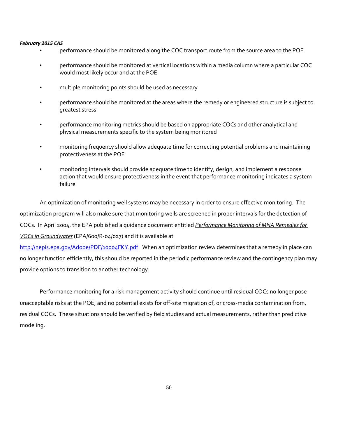- performance should be monitored along the COC transport route from the source area to the POE
- performance should be monitored at vertical locations within a media column where a particular COC would most likely occur and at the POE
- multiple monitoring points should be used as necessary
- performance should be monitored at the areas where the remedy or engineered structure is subject to greatest stress
- performance monitoring metrics should be based on appropriate COCs and other analytical and physical measurements specific to the system being monitored
- monitoring frequency should allow adequate time for correcting potential problems and maintaining protectiveness at the POE
- monitoring intervals should provide adequate time to identify, design, and implement a response action that would ensure protectiveness in the event that performance monitoring indicates a system failure

An optimization of monitoring well systems may be necessary in order to ensure effective monitoring. The optimization program will also make sure that monitoring wells are screened in proper intervals for the detection of COCs. In April 2004, the EPA published a guidance document entitled *Performance Monitoring of MNA Remedies for VOCs in Groundwater* (EPA/600/R‐04/027) and it is available at

http://nepis.epa.gov/Adobe/PDF/10004FKY.pdf. When an optimization review determines that a remedy in place can no longer function efficiently, this should be reported in the periodic performance review and the contingency plan may provide options to transition to another technology.

Performance monitoring for a risk management activity should continue until residual COCs no longer pose unacceptable risks at the POE, and no potential exists for off-site migration of, or cross-media contamination from, residual COCs. These situations should be verified by field studies and actual measurements, rather than predictive modeling.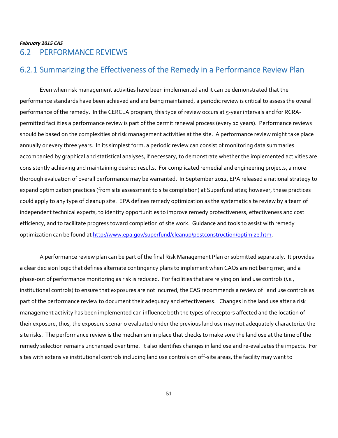# *February 2015 CAS* 6.2 PERFORMANCE REVIEWS

# 6.2.1 Summarizing the Effectiveness of the Remedy in a Performance Review Plan

Even when risk management activities have been implemented and it can be demonstrated that the performance standards have been achieved and are being maintained, a periodic review is critical to assess the overall performance of the remedy. In the CERCLA program, this type of review occurs at 5‐year intervals and for RCRA‐ permitted facilities a performance review is part of the permit renewal process (every 10 years). Performance reviews should be based on the complexities of risk management activities at the site. A performance review might take place annually or every three years. In its simplest form, a periodic review can consist of monitoring data summaries accompanied by graphical and statistical analyses, if necessary, to demonstrate whether the implemented activities are consistently achieving and maintaining desired results. For complicated remedial and engineering projects, a more thorough evaluation of overall performance may be warranted. In September 2012, EPA released a national strategy to expand optimization practices (from site assessment to site completion) at Superfund sites; however, these practices could apply to any type of cleanup site. EPA defines remedy optimization as the systematic site review by a team of independent technical experts, to identity opportunities to improve remedy protectiveness, effectiveness and cost efficiency, and to facilitate progress toward completion of site work. Guidance and tools to assist with remedy optimization can be found at http://www.epa.gov/superfund/cleanup/postconstruction/optimize.htm.

A performance review plan can be part of the final Risk Management Plan or submitted separately. It provides a clear decision logic that defines alternate contingency plans to implement when CAOs are not being met, and a phase‐out of performance monitoring as risk is reduced. For facilities that are relying on land use controls (*i.e.,* institutional controls) to ensure that exposures are not incurred, the CAS recommends a review of land use controls as part of the performance review to document their adequacy and effectiveness. Changes in the land use after a risk management activity has been implemented can influence both the types of receptors affected and the location of their exposure, thus, the exposure scenario evaluated under the previous land use may not adequately characterize the site risks. The performance review is the mechanism in place that checks to make sure the land use at the time of the remedy selection remains unchanged over time. It also identifies changes in land use and re‐evaluates the impacts. For sites with extensive institutional controls including land use controls on off‐site areas, the facility may want to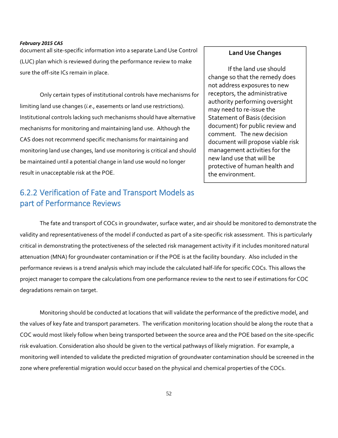document all site‐specific information into a separate Land Use Control (LUC) plan which is reviewed during the performance review to make sure the off‐site ICs remain in place.

Only certain types of institutional controls have mechanisms for limiting land use changes (*i.e*., easements or land use restrictions). Institutional controls lacking such mechanisms should have alternative mechanisms for monitoring and maintaining land use. Although the CAS does not recommend specific mechanisms for maintaining and monitoring land use changes, land use monitoring is critical and should be maintained until a potential change in land use would no longer result in unacceptable risk at the POE.

# 6.2.2 Verification of Fate and Transport Models as part of Performance Reviews

## **Land Use Changes**

If the land use should change so that the remedy does not address exposures to new receptors, the administrative authority performing oversight may need to re‐issue the Statement of Basis (decision document) for public review and comment. The new decision document will propose viable risk management activities for the new land use that will be protective of human health and the environment.

The fate and transport of COCs in groundwater, surface water, and air should be monitored to demonstrate the validity and representativeness of the model if conducted as part of a site‐specific risk assessment. This is particularly critical in demonstrating the protectiveness of the selected risk management activity if it includes monitored natural attenuation (MNA) for groundwater contamination or if the POE is at the facility boundary. Also included in the performance reviews is a trend analysis which may include the calculated half-life for specific COCs. This allows the project manager to compare the calculations from one performance review to the next to see if estimations for COC degradations remain on target.

Monitoring should be conducted at locations that will validate the performance of the predictive model, and the values of key fate and transport parameters. The verification monitoring location should be along the route that a COC would most likely follow when being transported between the source area and the POE based on the site‐specific risk evaluation. Consideration also should be given to the vertical pathways of likely migration. For example, a monitoring well intended to validate the predicted migration of groundwater contamination should be screened in the zone where preferential migration would occur based on the physical and chemical properties of the COCs.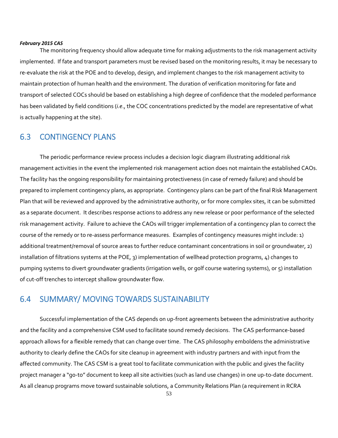The monitoring frequency should allow adequate time for making adjustments to the risk management activity implemented. If fate and transport parameters must be revised based on the monitoring results, it may be necessary to re‐evaluate the risk at the POE and to develop, design, and implement changes to the risk management activity to maintain protection of human health and the environment. The duration of verification monitoring for fate and transport of selected COCs should be based on establishing a high degree of confidence that the modeled performance has been validated by field conditions (*i.e*., the COC concentrations predicted by the model are representative of what is actually happening at the site).

# 6.3 CONTINGENCY PLANS

The periodic performance review process includes a decision logic diagram illustrating additional risk management activities in the event the implemented risk management action does not maintain the established CAOs. The facility has the ongoing responsibility for maintaining protectiveness (in case of remedy failure) and should be prepared to implement contingency plans, as appropriate. Contingency plans can be part of the final Risk Management Plan that will be reviewed and approved by the administrative authority, or for more complex sites, it can be submitted as a separate document. It describes response actions to address any new release or poor performance of the selected risk management activity. Failure to achieve the CAOs will trigger implementation of a contingency plan to correct the course of the remedy or to re‐assess performance measures. Examples of contingency measures might include: 1) additional treatment/removal of source areas to further reduce contaminant concentrations in soil or groundwater, 2) installation of filtrations systems at the POE, 3) implementation of wellhead protection programs, 4) changes to pumping systems to divert groundwater gradients (irrigation wells, or golf course watering systems), or 5) installation of cut-off trenches to intercept shallow groundwater flow.

# 6.4 SUMMARY/ MOVING TOWARDS SUSTAINABILITY

Successful implementation of the CAS depends on up‐front agreements between the administrative authority and the facility and a comprehensive CSM used to facilitate sound remedy decisions. The CAS performance‐based approach allows for a flexible remedy that can change over time. The CAS philosophy emboldens the administrative authority to clearly define the CAOs for site cleanup in agreement with industry partners and with input from the affected community. The CAS CSM is a great tool to facilitate communication with the public and gives the facility project manager a "go‐to" document to keep all site activities (such as land use changes) in one up‐to‐date document. As all cleanup programs move toward sustainable solutions, a Community Relations Plan (a requirement in RCRA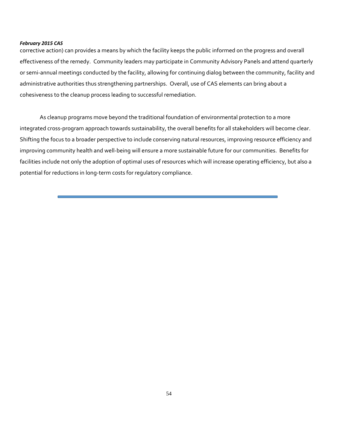corrective action) can provides a means by which the facility keeps the public informed on the progress and overall effectiveness of the remedy. Community leaders may participate in Community Advisory Panels and attend quarterly or semi-annual meetings conducted by the facility, allowing for continuing dialog between the community, facility and administrative authorities thus strengthening partnerships. Overall, use of CAS elements can bring about a cohesiveness to the cleanup process leading to successful remediation.

As cleanup programs move beyond the traditional foundation of environmental protection to a more integrated cross-program approach towards sustainability, the overall benefits for all stakeholders will become clear. Shifting the focus to a broader perspective to include conserving natural resources, improving resource efficiency and improving community health and well‐being will ensure a more sustainable future for our communities. Benefits for facilities include not only the adoption of optimal uses of resources which will increase operating efficiency, but also a potential for reductions in long‐term costs for regulatory compliance.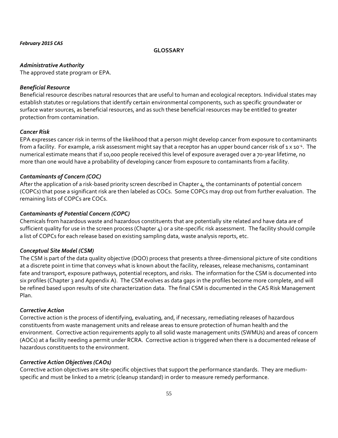#### **GLOSSARY**

#### *Administrative Authority*

The approved state program or EPA.

## *Beneficial Resource*

Beneficial resource describes natural resources that are useful to human and ecological receptors. Individual states may establish statutes or regulations that identify certain environmental components, such as specific groundwater or surface water sources, as beneficial resources, and as such these beneficial resources may be entitled to greater protection from contamination.

## *Cancer Risk*

EPA expresses cancer risk in terms of the likelihood that a person might develop cancer from exposure to contaminants from a facility. For example, a risk assessment might say that a receptor has an upper bound cancer risk of 1 x 10<sup>-4</sup>. The numerical estimate means that if 10,000 people received this level of exposure averaged over a 70‐year lifetime, no more than one would have a probability of developing cancer from exposure to contaminants from a facility.

## *Contaminants of Concern (COC)*

After the application of a risk-based priority screen described in Chapter 4, the contaminants of potential concern (COPCs) that pose a significant risk are then labeled as COCs. Some COPCs may drop out from further evaluation. The remaining lists of COPCs are COCs.

## *Contaminants of Potential Concern (COPC)*

Chemicals from hazardous waste and hazardous constituents that are potentially site related and have data are of sufficient quality for use in the screen process (Chapter 4) or a site‐specific risk assessment. The facility should compile a list of COPCs for each release based on existing sampling data, waste analysis reports, etc.

#### *Conceptual Site Model (CSM)*

The CSM is part of the data quality objective (DQO) process that presents a three-dimensional picture of site conditions at a discrete point in time that conveys what is known about the facility, releases, release mechanisms, contaminant fate and transport, exposure pathways, potential receptors, and risks. The information for the CSM is documented into six profiles (Chapter 3 and Appendix A). The CSM evolves as data gaps in the profiles become more complete, and will be refined based upon results of site characterization data. The final CSM is documented in the CAS Risk Management Plan.

## *Corrective Action*

Corrective action is the process of identifying, evaluating, and, if necessary, remediating releases of hazardous constituents from waste management units and release areas to ensure protection of human health and the environment. Corrective action requirements apply to all solid waste management units (SWMUs) and areas of concern (AOCs) at a facility needing a permit under RCRA. Corrective action is triggered when there is a documented release of hazardous constituents to the environment.

#### *Corrective Action Objectives (CAOs)*

Corrective action objectives are site‐specific objectives that support the performance standards. They are medium‐ specific and must be linked to a metric (cleanup standard) in order to measure remedy performance.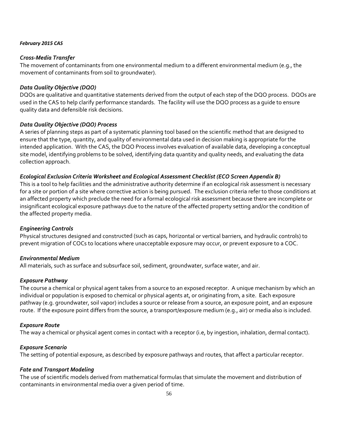# *Cross‐Media Transfer*

The movement of contaminants from one environmental medium to a different environmental medium (e.g., the movement of contaminants from soil to groundwater).

# *Data Quality Objective (DQO)*

DQOs are qualitative and quantitative statements derived from the output of each step of the DQO process. DQOs are used in the CAS to help clarify performance standards. The facility will use the DQO process as a guide to ensure quality data and defensible risk decisions.

# *Data Quality Objective (DQO) Process*

A series of planning steps as part of a systematic planning tool based on the scientific method that are designed to ensure that the type, quantity, and quality of environmental data used in decision making is appropriate for the intended application. With the CAS, the DQO Process involves evaluation of available data, developing a conceptual site model, identifying problems to be solved, identifying data quantity and quality needs, and evaluating the data collection approach.

# *Ecological Exclusion Criteria Worksheet and Ecological Assessment Checklist (ECO Screen Appendix B)*

This is a tool to help facilities and the administrative authority determine if an ecological risk assessment is necessary for a site or portion of a site where corrective action is being pursued. The exclusion criteria refer to those conditions at an affected property which preclude the need for a formal ecological risk assessment because there are incomplete or insignificant ecological exposure pathways due to the nature of the affected property setting and/or the condition of the affected property media.

# *Engineering Controls*

Physical structures designed and constructed (such as caps, horizontal or vertical barriers, and hydraulic controls) to prevent migration of COCs to locations where unacceptable exposure may occur, or prevent exposure to a COC.

# *Environmental Medium*

All materials, such as surface and subsurface soil, sediment, groundwater, surface water, and air.

# *Exposure Pathway*

The course a chemical or physical agent takes from a source to an exposed receptor. A unique mechanism by which an individual or population is exposed to chemical or physical agents at, or originating from, a site. Each exposure pathway (e.g. groundwater, soil vapor) includes a source or release from a source, an exposure point, and an exposure route. If the exposure point differs from the source, a transport/exposure medium (e.g., air) or media also is included.

# *Exposure Route*

The way a chemical or physical agent comes in contact with a receptor (i.e, by ingestion, inhalation, dermal contact).

# *Exposure Scenario*

The setting of potential exposure, as described by exposure pathways and routes, that affect a particular receptor.

# *Fate and Transport Modeling*

The use of scientific models derived from mathematical formulas that simulate the movement and distribution of contaminants in environmental media over a given period of time.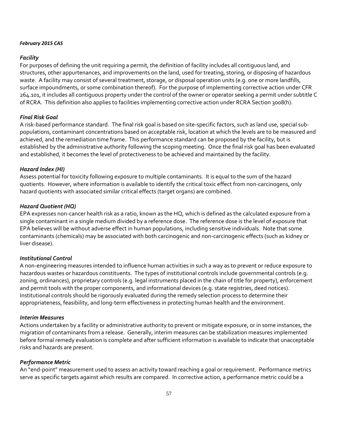## *Facility*

For purposes of defining the unit requiring a permit, the definition of facility includes all contiguous land, and structures, other appurtenances, and improvements on the land, used for treating, storing, or disposing of hazardous waste. A facility may consist of several treatment, storage, or disposal operation units (e.g. one or more landfills, surface impoundments, or some combination thereof). For the purpose of implementing corrective action under CFR 264.101, it includes all contiguous property under the control of the owner or operator seeking a permit under subtitle C of RCRA. This definition also applies to facilities implementing corrective action under RCRA Section 3008(h).

## *Final Risk Goal*

A risk‐based performance standard. The final risk goal is based on site‐specific factors, such as land use, special sub‐ populations, contaminant concentrations based on acceptable risk, location at which the levels are to be measured and achieved, and the remediation time frame. This performance standard can be proposed by the facility, but is established by the administrative authority following the scoping meeting. Once the final risk goal has been evaluated and established, it becomes the level of protectiveness to be achieved and maintained by the facility.

#### *Hazard Index (HI)*

Assess potential for toxicity following exposure to multiple contaminants. It is equal to the sum of the hazard quotients. However, where information is available to identify the critical toxic effect from non‐carcinogens, only hazard quotients with associated similar critical effects (target organs) are combined.

#### *Hazard Quotient (HQ)*

EPA expresses non-cancer health risk as a ratio, known as the HQ, which is defined as the calculated exposure from a single contaminant in a single medium divided by a reference dose. The reference dose is the level of exposure that EPA believes will be without adverse effect in human populations, including sensitive individuals. Note that some contaminants (chemicals) may be associated with both carcinogenic and non‐carcinogenic effects (such as kidney or liver disease).

## *Institutional Control*

A non‐engineering measures intended to influence human activities in such a way as to prevent or reduce exposure to hazardous wastes or hazardous constituents. The types of institutional controls include governmental controls (e.g. zoning, ordinances), proprietary controls (e.g. legal instruments placed in the chain of title for property), enforcement and permit tools with the proper components, and informational devices (e.g. state registries, deed notices). Institutional controls should be rigorously evaluated during the remedy selection process to determine their appropriateness, feasibility, and long-term effectiveness in protecting human health and the environment.

#### *Interim Measures*

Actions undertaken by a facility or administrative authority to prevent or mitigate exposure, or in some instances, the migration of contaminants from a release. Generally, interim measures can be stabilization measures implemented before formal remedy evaluation is complete and after sufficient information is available to indicate that unacceptable risks and hazards are present.

### *Performance Metric*

An "end‐point" measurement used to assess an activity toward reaching a goal or requirement. Performance metrics serve as specific targets against which results are compared. In corrective action, a performance metric could be a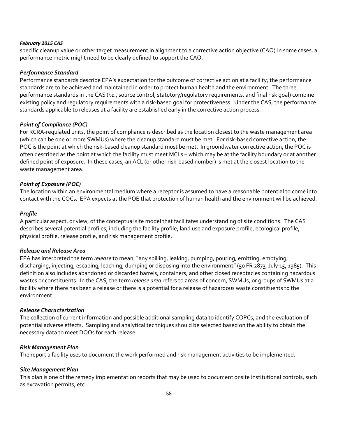specific cleanup value or other target measurement in alignment to a corrective action objective (CAO).In some cases, a performance metric might need to be clearly defined to support the CAO.

## *Performance Standard*

Performance standards describe EPA's expectation for the outcome of corrective action at a facility; the performance standards are to be achieved and maintained in order to protect human health and the environment. The three performance standards in the CAS (*i.e*., source control, statutory/regulatory requirements, and final risk goal) combine existing policy and regulatory requirements with a risk‐based goal for protectiveness. Under the CAS, the performance standards applicable to releases at a facility are established early in the corrective action process.

# *Point of Compliance (POC)*

For RCRA‐regulated units, the point of compliance is described as the location closest to the waste management area (which can be one or more SWMUs) where the cleanup standard must be met. For risk‐based corrective action, the POC is the point at which the risk‐based cleanup standard must be met. In groundwater corrective action, the POC is often described as the point at which the facility must meet MCLs – which may be at the facility boundary or at another defined point of exposure. In these cases, an ACL (or other risk‐based number) is met at the closest location to the waste management area.

## *Point of Exposure (POE)*

The location within an environmental medium where a receptor is assumed to have a reasonable potential to come into contact with the COCs. EPA expects at the POE that protection of human health and the environment will be achieved.

## *Profile*

A particular aspect, or view, of the conceptual site model that facilitates understanding of site conditions. The CAS describes several potential profiles, including the facility profile, land use and exposure profile, ecological profile, physical profile, release profile, and risk management profile.

#### *Release and Release Area*

EPA has interpreted the term *release* to mean, "any spilling, leaking, pumping, pouring, emitting, emptying, discharging, injecting, escaping, leaching, dumping or disposing into the environment" (50 FR 2873, July 15, 1985). This definition also includes abandoned or discarded barrels, containers, and other closed receptacles containing hazardous wastes or constituents. In the CAS, the term *release area* refers to areas of concern, SWMUs, or groups of SWMUs at a facility where there has been a release or there is a potential for a release of hazardous waste constituents to the environment.

# *Release Characterization*

The collection of current information and possible additional sampling data to identify COPCs, and the evaluation of potential adverse effects. Sampling and analytical techniques should be selected based on the ability to obtain the necessary data to meet DQOs for each release.

#### *Risk Management Plan*

The report a facility uses to document the work performed and risk management activities to be implemented.

# *Site Management Plan*

This plan is one of the remedy implementation reports that may be used to document onsite institutional controls, such as excavation permits, etc.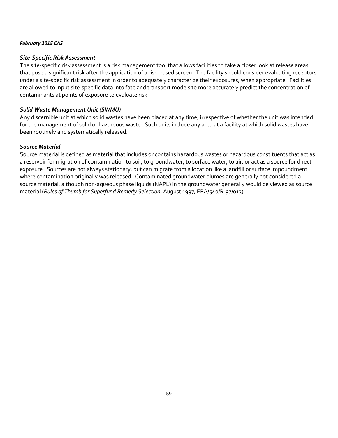# *Site‐Specific Risk Assessment*

The site‐specific risk assessment is a risk management tool that allows facilities to take a closer look at release areas that pose a significant risk after the application of a risk‐based screen. The facility should consider evaluating receptors under a site-specific risk assessment in order to adequately characterize their exposures, when appropriate. Facilities are allowed to input site‐specific data into fate and transport models to more accurately predict the concentration of contaminants at points of exposure to evaluate risk.

# *Solid Waste Management Unit (SWMU)*

Any discernible unit at which solid wastes have been placed at any time, irrespective of whether the unit was intended for the management of solid or hazardous waste. Such units include any area at a facility at which solid wastes have been routinely and systematically released.

# *Source Material*

Source material is defined as material that includes or contains hazardous wastes or hazardous constituents that act as a reservoir for migration of contamination to soil, to groundwater, to surface water, to air, or act as a source for direct exposure. Sources are not always stationary, but can migrate from a location like a landfill or surface impoundment where contamination originally was released. Contaminated groundwater plumes are generally not considered a source material, although non‐aqueous phase liquids (NAPL) in the groundwater generally would be viewed as source material (*Rules of Thumb for Superfund Remedy Selection*, August 1997, EPA/540/R‐97/013)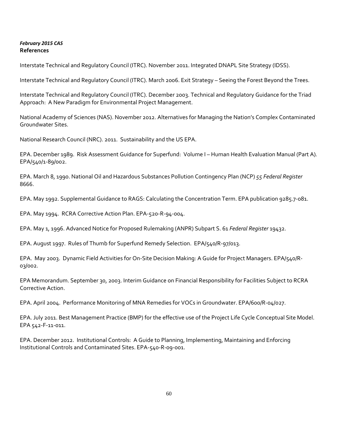## *February 2015 CAS* **References**

Interstate Technical and Regulatory Council (ITRC). November 2011. Integrated DNAPL Site Strategy (IDSS).

Interstate Technical and Regulatory Council (ITRC). March 2006. Exit Strategy – Seeing the Forest Beyond the Trees.

Interstate Technical and Regulatory Council (ITRC). December 2003. Technical and Regulatory Guidance for the Triad Approach: A New Paradigm for Environmental Project Management.

National Academy of Sciences (NAS). November 2012. Alternatives for Managing the Nation's Complex Contaminated Groundwater Sites.

National Research Council (NRC). 2011. Sustainability and the US EPA.

EPA. December 1989. Risk Assessment Guidance for Superfund: Volume I – Human Health Evaluation Manual (Part A)*.* EPA/540/1‐89/002.

EPA. March 8, 1990. National Oil and Hazardous Substances Pollution Contingency Plan (NCP) *55 Federal Register* 8666.

EPA. May 1992. Supplemental Guidance to RAGS: Calculating the Concentration Term. EPA publication 9285.7‐081.

EPA. May 1994. RCRA Corrective Action Plan. EPA‐520‐R‐94‐004.

EPA. May 1, 1996. Advanced Notice for Proposed Rulemaking (ANPR) Subpart S. 61 *Federal Register* 19432.

EPA. August 1997. Rules of Thumb for Superfund Remedy Selection. EPA/540/R‐97/013.

EPA. May 2003. Dynamic Field Activities for On‐Site Decision Making: A Guide for Project Managers. EPA/540/R‐ 03/002.

EPA Memorandum. September 30, 2003. Interim Guidance on Financial Responsibility for Facilities Subject to RCRA Corrective Action.

EPA. April 2004. Performance Monitoring of MNA Remedies for VOCs in Groundwater. EPA/600/R‐04/027.

EPA. July 2011. Best Management Practice (BMP) for the effective use of the Project Life Cycle Conceptual Site Model. EPA 542‐F‐11‐011.

EPA. December 2012. Institutional Controls: A Guide to Planning, Implementing, Maintaining and Enforcing Institutional Controls and Contaminated Sites. EPA‐540‐R‐09‐001.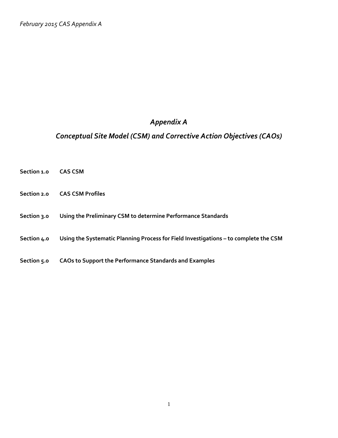# *Appendix A*

# *Conceptual Site Model (CSM) and Corrective Action Objectives (CAOs)*

- **Section 1.0 CAS CSM**
- **Section 2.0 CAS CSM Profiles**
- **Section 3.0 Using the Preliminary CSM to determine Performance Standards**
- **Section 4.0 Using the Systematic Planning Process for Field Investigations – to complete the CSM**
- **Section 5.0 CAOs to Support the Performance Standards and Examples**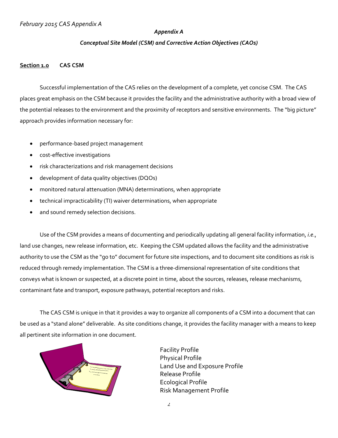# *Appendix A*

# *Conceptual Site Model (CSM) and Corrective Action Objectives (CAOs)*

# **Section 1.0 CAS CSM**

Successful implementation of the CAS relies on the development of a complete, yet concise CSM. The CAS places great emphasis on the CSM because it provides the facility and the administrative authority with a broad view of the potential releases to the environment and the proximity of receptors and sensitive environments. The "big picture" approach provides information necessary for:

- performance‐based project management
- cost‐effective investigations
- risk characterizations and risk management decisions
- development of data quality objectives (DQOs)
- monitored natural attenuation (MNA) determinations, when appropriate
- technical impracticability (TI) waiver determinations, when appropriate
- and sound remedy selection decisions.

Use of the CSM provides a means of documenting and periodically updating all general facility information, *i.e*., land use changes, new release information, etc. Keeping the CSM updated allows the facility and the administrative authority to use the CSM as the "go to" document for future site inspections, and to document site conditions as risk is reduced through remedy implementation. The CSM is a three‐dimensional representation of site conditions that conveys what is known or suspected, at a discrete point in time, about the sources, releases, release mechanisms, contaminant fate and transport, exposure pathways, potential receptors and risks.

The CAS CSM is unique in that it provides a way to organize all components of a CSM into a document that can be used as a "stand alone" deliverable. As site conditions change, it provides the facility manager with a means to keep all pertinent site information in one document.



Facility Profile Physical Profile Land Use and Exposure Profile Release Profile Ecological Profile Risk Management Profile

2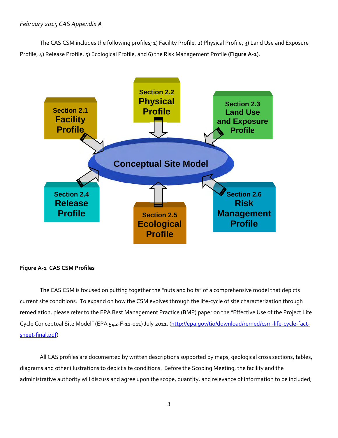The CAS CSM includes the following profiles; 1) Facility Profile, 2) Physical Profile, 3) Land Use and Exposure Profile, 4) Release Profile, 5) Ecological Profile, and 6) the Risk Management Profile (**Figure A‐1**).



# **Figure A‐1 CAS CSM Profiles**

The CAS CSM is focused on putting together the "nuts and bolts" of a comprehensive model that depicts current site conditions. To expand on how the CSM evolves through the life‐cycle of site characterization through remediation, please refer to the EPA Best Management Practice (BMP) paper on the "Effective Use of the Project Life Cycle Conceptual Site Model" (EPA 542‐F‐11‐011) July 2011. (http://epa.gov/tio/download/remed/csm‐life‐cycle‐fact‐ sheet-final.pdf)

All CAS profiles are documented by written descriptions supported by maps, geological cross sections, tables, diagrams and other illustrations to depict site conditions. Before the Scoping Meeting, the facility and the administrative authority will discuss and agree upon the scope, quantity, and relevance of information to be included,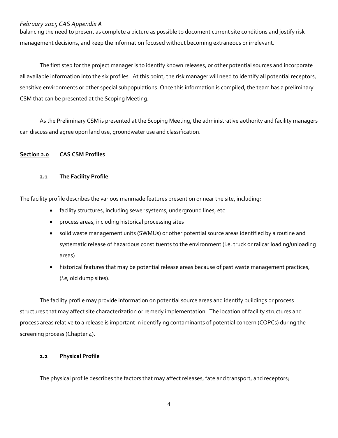balancing the need to present as complete a picture as possible to document current site conditions and justify risk management decisions, and keep the information focused without becoming extraneous or irrelevant.

The first step for the project manager is to identify known releases, or other potential sources and incorporate all available information into the six profiles. At this point, the risk manager will need to identify all potential receptors, sensitive environments or other special subpopulations. Once this information is compiled, the team has a preliminary CSM that can be presented at the Scoping Meeting.

As the Preliminary CSM is presented at the Scoping Meeting, the administrative authority and facility managers can discuss and agree upon land use, groundwater use and classification.

# **Section 2.0 CAS CSM Profiles**

# **2.1 The Facility Profile**

The facility profile describes the various manmade features present on or near the site, including:

- facility structures, including sewer systems, underground lines, etc.
- process areas, including historical processing sites
- solid waste management units (SWMUs) or other potential source areas identified by a routine and systematic release of hazardous constituents to the environment (i.e. truck or railcar loading/unloading areas)
- historical features that may be potential release areas because of past waste management practices, (*i.e*, old dump sites).

The facility profile may provide information on potential source areas and identify buildings or process structures that may affect site characterization or remedy implementation. The location of facility structures and process areas relative to a release is important in identifying contaminants of potential concern (COPCs) during the screening process (Chapter 4).

# **2.2 Physical Profile**

The physical profile describes the factors that may affect releases, fate and transport, and receptors;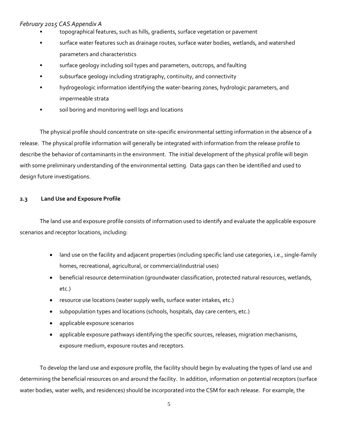- topographical features, such as hills, gradients, surface vegetation or pavement
- surface water features such as drainage routes, surface water bodies, wetlands, and watershed parameters and characteristics
- surface geology including soil types and parameters, outcrops, and faulting
- subsurface geology including stratigraphy, continuity, and connectivity
- hydrogeologic information identifying the water-bearing zones, hydrologic parameters, and impermeable strata
- soil boring and monitoring well logs and locations

The physical profile should concentrate on site‐specific environmental setting information in the absence of a release. The physical profile information will generally be integrated with information from the release profile to describe the behavior of contaminants in the environment. The initial development of the physical profile will begin with some preliminary understanding of the environmental setting. Data gaps can then be identified and used to design future investigations.

# **2.3 Land Use and Exposure Profile**

The land use and exposure profile consists of information used to identify and evaluate the applicable exposure scenarios and receptor locations, including:

- land use on the facility and adjacent properties (including specific land use categories, i.e., single‐family homes, recreational, agricultural, or commercial/industrial uses)
- beneficial resource determination (groundwater classification, protected natural resources, wetlands, etc.)
- resource use locations (water supply wells, surface water intakes, etc.)
- subpopulation types and locations (schools, hospitals, day care centers, etc.)
- applicable exposure scenarios
- applicable exposure pathways identifying the specific sources, releases, migration mechanisms, exposure medium, exposure routes and receptors.

To develop the land use and exposure profile, the facility should begin by evaluating the types of land use and determining the beneficial resources on and around the facility. In addition, information on potential receptors (surface water bodies, water wells, and residences) should be incorporated into the CSM for each release. For example, the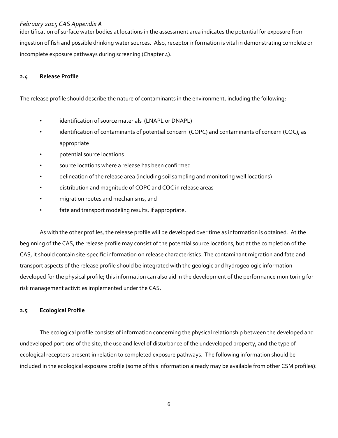identification of surface water bodies at locations in the assessment area indicates the potential for exposure from ingestion of fish and possible drinking water sources. Also, receptor information is vital in demonstrating complete or incomplete exposure pathways during screening (Chapter 4).

# **2.4 Release Profile**

The release profile should describe the nature of contaminants in the environment, including the following:

- identification of source materials (LNAPL or DNAPL)
- identification of contaminants of potential concern (COPC) and contaminants of concern (COC), as appropriate
- potential source locations
- source locations where a release has been confirmed
- delineation of the release area (including soil sampling and monitoring well locations)
- distribution and magnitude of COPC and COC in release areas
- migration routes and mechanisms, and
- fate and transport modeling results, if appropriate.

As with the other profiles, the release profile will be developed over time as information is obtained. At the beginning of the CAS, the release profile may consist of the potential source locations, but at the completion of the CAS, it should contain site‐specific information on release characteristics. The contaminant migration and fate and transport aspects of the release profile should be integrated with the geologic and hydrogeologic information developed for the physical profile; this information can also aid in the development of the performance monitoring for risk management activities implemented under the CAS.

# **2.5 Ecological Profile**

The ecological profile consists of information concerning the physical relationship between the developed and undeveloped portions of the site, the use and level of disturbance of the undeveloped property, and the type of ecological receptors present in relation to completed exposure pathways. The following information should be included in the ecological exposure profile (some of this information already may be available from other CSM profiles):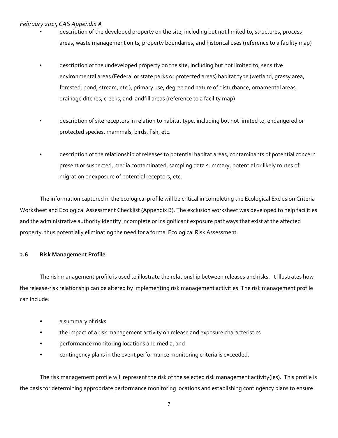- description of the developed property on the site, including but not limited to, structures, process areas, waste management units, property boundaries, and historical uses (reference to a facility map)
- description of the undeveloped property on the site, including but not limited to, sensitive environmental areas (Federal or state parks or protected areas) habitat type (wetland, grassy area, forested, pond, stream, etc.), primary use, degree and nature of disturbance, ornamental areas, drainage ditches, creeks, and landfill areas (reference to a facility map)
- description of site receptors in relation to habitat type, including but not limited to, endangered or protected species, mammals, birds, fish, etc.
- description of the relationship of releases to potential habitat areas, contaminants of potential concern present or suspected, media contaminated, sampling data summary, potential or likely routes of migration or exposure of potential receptors, etc.

The information captured in the ecological profile will be critical in completing the Ecological Exclusion Criteria Worksheet and Ecological Assessment Checklist (Appendix B). The exclusion worksheet was developed to help facilities and the administrative authority identify incomplete or insignificant exposure pathways that exist at the affected property, thus potentially eliminating the need for a formal Ecological Risk Assessment.

# **2.6 Risk Management Profile**

The risk management profile is used to illustrate the relationship between releases and risks. It illustrates how the release‐risk relationship can be altered by implementing risk management activities. The risk management profile can include:

- a summary of risks
- the impact of a risk management activity on release and exposure characteristics
- performance monitoring locations and media, and
- contingency plans in the event performance monitoring criteria is exceeded.

The risk management profile will represent the risk of the selected risk management activity(ies). This profile is the basis for determining appropriate performance monitoring locations and establishing contingency plans to ensure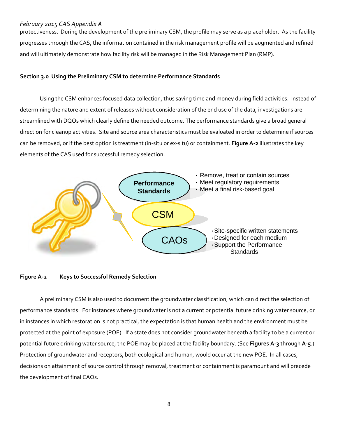protectiveness. During the development of the preliminary CSM, the profile may serve as a placeholder. As the facility progresses through the CAS, the information contained in the risk management profile will be augmented and refined and will ultimately demonstrate how facility risk will be managed in the Risk Management Plan (RMP).

# **Section 3.0 Using the Preliminary CSM to determine Performance Standards**

Using the CSM enhances focused data collection, thus saving time and money during field activities. Instead of determining the nature and extent of releases without consideration of the end use of the data, investigations are streamlined with DQOs which clearly define the needed outcome. The performance standards give a broad general direction for cleanup activities. Site and source area characteristics must be evaluated in order to determine if sources can be removed, or if the best option is treatment (in‐situ or ex‐situ) or containment. **Figure A‐2** illustrates the key elements of the CAS used for successful remedy selection.



# **Figure A‐2 Keys to Successful Remedy Selection**

A preliminary CSM is also used to document the groundwater classification, which can direct the selection of performance standards. For instances where groundwater is not a current or potential future drinking water source, or in instances in which restoration is not practical, the expectation is that human health and the environment must be protected at the point of exposure (POE). If a state does not consider groundwater beneath a facility to be a current or potential future drinking water source, the POE may be placed at the facility boundary. (See **Figures A‐3** through **A‐5**.) Protection of groundwater and receptors, both ecological and human, would occur at the new POE. In all cases, decisions on attainment of source control through removal, treatment or containment is paramount and will precede the development of final CAOs.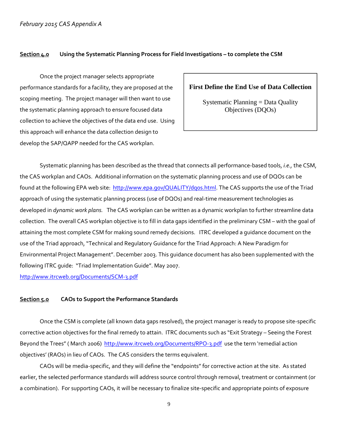### **Section 4.0 Using the Systematic Planning Process for Field Investigations – to complete the CSM**

Once the project manager selects appropriate performance standards for a facility, they are proposed at the scoping meeting. The project manager will then want to use the systematic planning approach to ensure focused data collection to achieve the objectives of the data end use. Using this approach will enhance the data collection design to develop the SAP/QAPP needed for the CAS workplan.

# **First Define the End Use of Data Collection**

Systematic Planning = Data Quality Objectives (DQOs)

Systematic planning has been described as the thread that connects all performance‐based tools, *i.e.,* the CSM, the CAS workplan and CAOs. Additional information on the systematic planning process and use of DQOs can be found at the following EPA web site: http://www.epa.gov/QUALITY/dgos.html. The CAS supports the use of the Triad approach of using the systematic planning process (use of DQOs) and real-time measurement technologies as developed in *dynamic work plans.*  The CAS workplan can be written as a dynamic workplan to further streamline data collection. The overall CAS workplan objective is to fill in data gaps identified in the preliminary CSM – with the goal of attaining the most complete CSM for making sound remedy decisions. ITRC developed a guidance document on the use of the Triad approach, "Technical and Regulatory Guidance for the Triad Approach: A New Paradigm for Environmental Project Management". December 2003. This guidance document has also been supplemented with the following ITRC guide: "Triad Implementation Guide". May 2007.

http://www.itrcweb.org/Documents/SCM‐3.pdf

#### **Section 5.0 CAOs to Support the Performance Standards**

Once the CSM is complete (all known data gaps resolved), the project manager is ready to propose site‐specific corrective action objectives for the final remedy to attain. ITRC documents such as "Exit Strategy – Seeing the Forest Beyond the Trees" (March 2006) http://www.itrcweb.org/Documents/RPO-3.pdf use the term 'remedial action objectives' (RAOs) in lieu of CAOs. The CAS considers the terms equivalent.

CAOs will be media‐specific, and they will define the "endpoints" for corrective action at the site. As stated earlier, the selected performance standards will address source control through removal, treatment or containment (or a combination). For supporting CAOs, it will be necessary to finalize site‐specific and appropriate points of exposure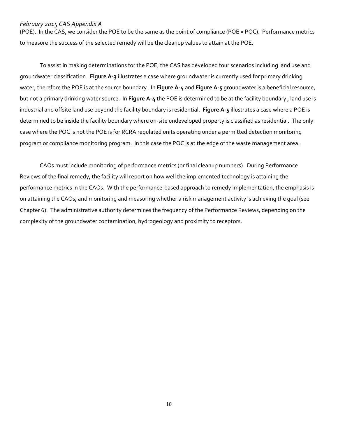(POE). In the CAS, we consider the POE to be the same as the point of compliance (POE = POC). Performance metrics to measure the success of the selected remedy will be the cleanup values to attain at the POE.

To assist in making determinations for the POE, the CAS has developed four scenarios including land use and groundwater classification. **Figure A‐3** illustrates a case where groundwater is currently used for primary drinking water, therefore the POE is at the source boundary.In **Figure A‐4** and **Figure A‐5** groundwater is a beneficial resource, but not a primary drinking water source. In **Figure A‐4** the POE is determined to be at the facility boundary , land use is industrial and offsite land use beyond the facility boundary is residential. **Figure A‐5** illustrates a case where a POE is determined to be inside the facility boundary where on‐site undeveloped property is classified as residential. The only case where the POC is not the POE is for RCRA regulated units operating under a permitted detection monitoring program or compliance monitoring program. In this case the POC is at the edge of the waste management area.

CAOs must include monitoring of performance metrics (or final cleanup numbers). During Performance Reviews of the final remedy, the facility will report on how well the implemented technology is attaining the performance metrics in the CAOs. With the performance-based approach to remedy implementation, the emphasis is on attaining the CAOs, and monitoring and measuring whether a risk management activity is achieving the goal (see Chapter 6). The administrative authority determines the frequency of the Performance Reviews, depending on the complexity of the groundwater contamination, hydrogeology and proximity to receptors.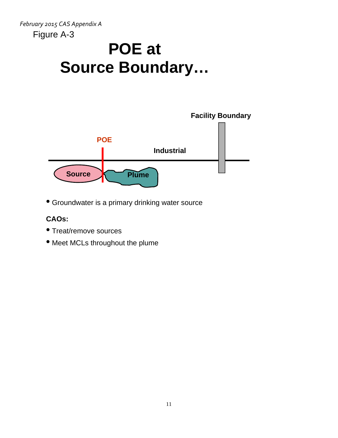*February 2015 CAS Appendix A*  Figure A-3

# **POE at Source Boundary…**



• Groundwater is a primary drinking water source

# **CAOs:**

- Treat/remove sources
- Meet MCLs throughout the plume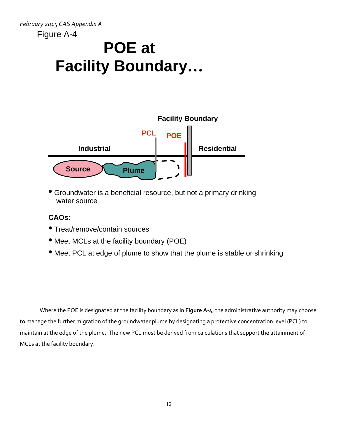*February 2015 CAS Appendix A*  Figure A-4

# **POE at Facility Boundary…**



• Groundwater is a beneficial resource, but not a primary drinking water source

# **CAOs:**

- Treat/remove/contain sources
- Meet MCLs at the facility boundary (POE)
- Meet PCL at edge of plume to show that the plume is stable or shrinking

Where the POE is designated at the facility boundary as in **Figure A‐4**, the administrative authority may choose to manage the further migration of the groundwater plume by designating a protective concentration level (PCL) to maintain at the edge of the plume. The new PCL must be derived from calculations that support the attainment of MCLs at the facility boundary.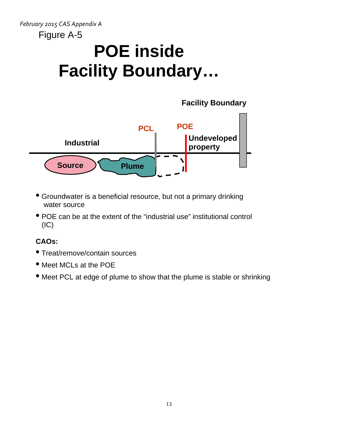# **POE inside Facility Boundary…**

# **Facility Boundary**



- Groundwater is a beneficial resource, but not a primary drinking water source
- POE can be at the extent of the "industrial use" institutional control  $(IC)$

# **CAOs:**

- Treat/remove/contain sources
- Meet MCLs at the POE
- Meet PCL at edge of plume to show that the plume is stable or shrinking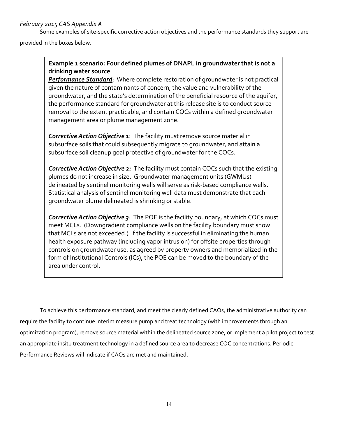# *February 2015 CAS Appendix A*

Some examples of site‐specific corrective action objectives and the performance standards they support are provided in the boxes below.

**Example 1 scenario: Four defined plumes of DNAPL in groundwater that is not a drinking water source**

*Performance Standard*: Where complete restoration of groundwater is not practical given the nature of contaminants of concern, the value and vulnerability of the groundwater, and the state's determination of the beneficial resource of the aquifer, the performance standard for groundwater at this release site is to conduct source removal to the extent practicable, and contain COCs within a defined groundwater management area or plume management zone.

*Corrective Action Objective 1*: The facility must remove source material in subsurface soils that could subsequently migrate to groundwater, and attain a subsurface soil cleanup goal protective of groundwater for the COCs.

*Corrective Action Objective 2:* The facility must contain COCs such that the existing plumes do not increase in size. Groundwater management units (GWMUs) delineated by sentinel monitoring wells will serve as risk‐based compliance wells. Statistical analysis of sentinel monitoring well data must demonstrate that each groundwater plume delineated is shrinking or stable.

*Corrective Action Objective 3*: The POE is the facility boundary, at which COCs must meet MCLs. (Downgradient compliance wells on the facility boundary must show that MCLs are not exceeded.) If the facility is successful in eliminating the human health exposure pathway (including vapor intrusion) for offsite properties through controls on groundwater use, as agreed by property owners and memorialized in the form of Institutional Controls (ICs), the POE can be moved to the boundary of the area under control.

To achieve this performance standard, and meet the clearly defined CAOs, the administrative authority can require the facility to continue interim measure pump and treat technology (with improvements through an optimization program), remove source material within the delineated source zone, or implement a pilot project to test an appropriate insitu treatment technology in a defined source area to decrease COC concentrations. Periodic Performance Reviews will indicate if CAOs are met and maintained.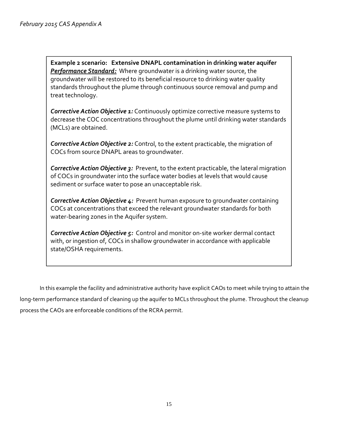**Example 2 scenario: Extensive DNAPL contamination in drinking water aquifer**  *Performance Standard:* Where groundwater is a drinking water source, the groundwater will be restored to its beneficial resource to drinking water quality standards throughout the plume through continuous source removal and pump and treat technology.

*Corrective Action Objective 1:* Continuously optimize corrective measure systems to decrease the COC concentrations throughout the plume until drinking water standards (MCLs) are obtained.

*Corrective Action Objective 2:* Control, to the extent practicable, the migration of COCs from source DNAPL areas to groundwater.

*Corrective Action Objective* 3: Prevent, to the extent practicable, the lateral migration of COCs in groundwater into the surface water bodies at levels that would cause sediment or surface water to pose an unacceptable risk.

**Corrective Action Objective 4:** Prevent human exposure to groundwater containing COCs at concentrations that exceed the relevant groundwater standards for both water‐bearing zones in the Aquifer system.

**Corrective Action Objective** 5: Control and monitor on-site worker dermal contact with, or ingestion of, COCs in shallow groundwater in accordance with applicable state/OSHA requirements.

In this example the facility and administrative authority have explicit CAOs to meet while trying to attain the long-term performance standard of cleaning up the aquifer to MCLs throughout the plume. Throughout the cleanup process the CAOs are enforceable conditions of the RCRA permit.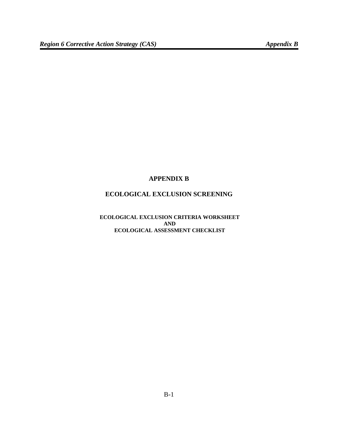# **APPENDIX B**

# **ECOLOGICAL EXCLUSION SCREENING**

 **ECOLOGICAL EXCLUSION CRITERIA WORKSHEET AND ECOLOGICAL ASSESSMENT CHECKLIST**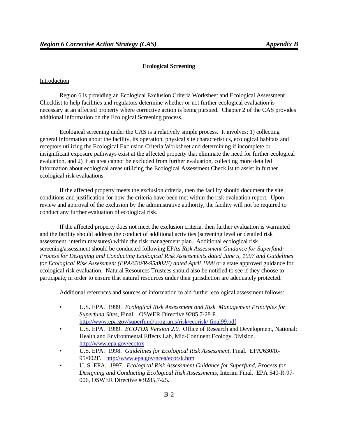#### **Ecological Screening**

#### Introduction

Region 6 is providing an Ecological Exclusion Criteria Worksheet and Ecological Assessment Checklist to help facilities and regulators determine whether or not further ecological evaluation is necessary at an affected property where corrective action is being pursued. Chapter 2 of the CAS provides additional information on the Ecological Screening process.

Ecological screening under the CAS is a relatively simple process. It involves; 1) collecting general information about the facility, its operation, physical site characteristics, ecological habitats and receptors utilizing the Ecological Exclusion Criteria Worksheet and determining if incomplete or insignificant exposure pathways exist at the affected property that eliminate the need for further ecological evaluation, and 2) if an area cannot be excluded from further evaluation, collecting more detailed information about ecological areas utilizing the Ecological Assessment Checklist to assist in further ecological risk evaluations.

If the affected property meets the exclusion criteria, then the facility should document the site conditions and justification for how the criteria have been met within the risk evaluation report. Upon review and approval of the exclusion by the administrative authority, the facility will not be required to conduct any further evaluation of ecological risk.

If the affected property does not meet the exclusion criteria, then further evaluation is warranted and the facility should address the conduct of additional activities (screening level or detailed risk assessment, interim measures) within the risk management plan. Additional ecological risk screening/assessment should be conducted following EPAs *Risk Assessment Guidance for Superfund: Process for Designing and Conducting Ecological Risk Assessments dated June 5, 1997 and Guidelines for Ecological Risk Assessment (EPA/630/R-95/002F) dated April 1998* or a state approved guidance for ecological risk evaluation. Natural Resources Trustees should also be notified to see if they choose to participate, in order to ensure that natural resources under their jurisdiction are adequately protected.

Additional references and sources of information to aid further ecological assessment follows:

- U.S. EPA. 1999. *Ecological Risk Assessment and Risk Management Principles for Superfund Sites*, Final. OSWER Directive 9285.7-28 P. <http://www.epa.gov/superfund/programs/risk/ecorisk/> final99.pdf
- U.S. EPA. 1999. *ECOTOX Version 2.0*. Office of Research and Development, National; Health and Environmental Effects Lab, Mid-Continent Ecology Division. <http://www.epa.gov/ecotox>
- U.S. EPA. 1998. *Guidelines for Ecological Risk Assessment*, Final. EPA/630/R-95/002F. <http://www.epa.gov/ncea/ecorsk.htm>
- U. S. EPA. 1997. *Ecological Risk Assessment Guidance for Superfund, Process for Designing and Conducting Ecological Risk Assessments*, Interim Final. EPA 540-R-97- 006, OSWER Directive # 9285.7-25.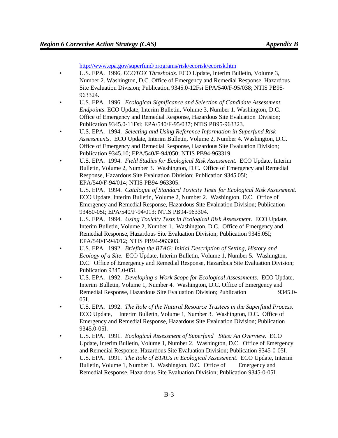<http://www.epa.gov/superfund/programs/risk/ecorisk/ecorisk.htm>

- U.S. EPA. 1996. *ECOTOX Thresholds*. ECO Update, Interim Bulletin, Volume 3, Number 2. Washington, D.C. Office of Emergency and Remedial Response, Hazardous Site Evaluation Division; Publication 9345.0-12Fsi EPA/540/F-95/038; NTIS PB95- 963324.
- U.S. EPA. 1996. *Ecological Significance and Selection of Candidate Assessment Endpoints*. ECO Update, Interim Bulletin, Volume 3, Number 1. Washington, D.C. Office of Emergency and Remedial Response, Hazardous Site Evaluation Division; Publication 9345.0-11Fsi; EPA/540/F-95/037; NTIS PB95-963323.
- U.S. EPA. 1994. *Selecting and Using Reference Information in Superfund Risk Assessments*. ECO Update, Interim Bulletin, Volume 2, Number 4. Washington, D.C. Office of Emergency and Remedial Response, Hazardous Site Evaluation Division; Publication 9345.10; EPA/540/F-94/050; NTIS PB94-963319.
- U.S. EPA. 1994. *Field Studies for Ecological Risk Assessment*. ECO Update, Interim Bulletin, Volume 2, Number 3. Washington, D.C. Office of Emergency and Remedial Response, Hazardous Site Evaluation Division; Publication 9345.05I; EPA/540/F-94/014; NTIS PB94-963305.
- U.S. EPA. 1994. *Catalogue of Standard Toxicity Tests for Ecological Risk Assessment*. ECO Update, Interim Bulletin, Volume 2, Number 2. Washington, D.C. Office of Emergency and Remedial Response, Hazardous Site Evaluation Division; Publication 93450-05I; EPA/540/F-94/013; NTIS PB94-963304.
- U.S. EPA. 1994. *Using Toxicity Tests in Ecological Risk Assessment*. ECO Update, Interim Bulletin, Volume 2, Number 1. Washington, D.C. Office of Emergency and Remedial Response, Hazardous Site Evaluation Division; Publication 9345.05I; EPA/540/F-94/012; NTIS PB94-963303.
- U.S. EPA. 1992. *Briefing the BTAG: Initial Description of Setting, History and Ecology of a Site*. ECO Update, Interim Bulletin, Volume 1, Number 5. Washington, D.C. Office of Emergency and Remedial Response, Hazardous Site Evaluation Division; Publication 9345.0-05I.
- U.S. EPA. 1992. *Developing a Work Scope for Ecological Assessments*. ECO Update, Interim Bulletin, Volume 1, Number 4. Washington, D.C. Office of Emergency and Remedial Response, Hazardous Site Evaluation Division; Publication 9345.0- 05I.
- U.S. EPA. 1992. *The Role of the Natural Resource Trustees in the Superfund Process*. ECO Update, Interim Bulletin, Volume 1, Number 3. Washington, D.C. Office of Emergency and Remedial Response, Hazardous Site Evaluation Division; Publication 9345.0-05I.
- U.S. EPA. 1991. *Ecological Assessment of Superfund Sites: An Overview*. ECO Update, Interim Bulletin, Volume 1, Number 2. Washington, D.C. Office of Emergency and Remedial Response, Hazardous Site Evaluation Division; Publication 9345-0-05I.
- U.S. EPA. 1991. *The Role of BTAGs in Ecological Assessment*. ECO Update, Interim Bulletin, Volume 1, Number 1. Washington, D.C. Office of Emergency and Remedial Response, Hazardous Site Evaluation Division; Publication 9345-0-05I.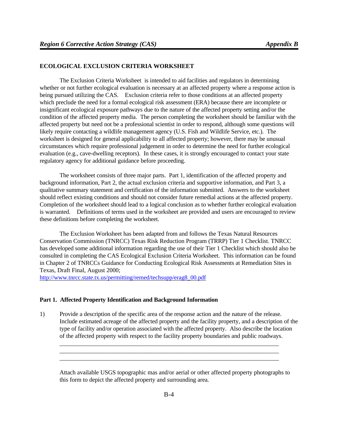## **ECOLOGICAL EXCLUSION CRITERIA WORKSHEET**

The Exclusion Criteria Worksheet is intended to aid facilities and regulators in determining whether or not further ecological evaluation is necessary at an affected property where a response action is being pursued utilizing the CAS. Exclusion criteria refer to those conditions at an affected property which preclude the need for a formal ecological risk assessment (ERA) because there are incomplete or insignificant ecological exposure pathways due to the nature of the affected property setting and/or the condition of the affected property media. The person completing the worksheet should be familiar with the affected property but need not be a professional scientist in order to respond, although some questions will likely require contacting a wildlife management agency (U.S. Fish and Wildlife Service, etc.). The worksheet is designed for general applicability to all affected property; however, there may be unusual circumstances which require professional judgement in order to determine the need for further ecological evaluation (e.g., cave-dwelling receptors). In these cases, it is strongly encouraged to contact your state regulatory agency for additional guidance before proceeding.

The worksheet consists of three major parts. Part 1, identification of the affected property and background information, Part 2, the actual exclusion criteria and supportive information, and Part 3, a qualitative summary statement and certification of the information submitted. Answers to the worksheet should reflect existing conditions and should not consider future remedial actions at the affected property. Completion of the worksheet should lead to a logical conclusion as to whether further ecological evaluation is warranted. Definitions of terms used in the worksheet are provided and users are encouraged to review these definitions before completing the worksheet.

The Exclusion Worksheet has been adapted from and follows the Texas Natural Resources Conservation Commission (TNRCC) Texas Risk Reduction Program (TRRP) Tier 1 Checklist. TNRCC has developed some additional information regarding the use of their Tier 1 Checklist which should also be consulted in completing the CAS Ecological Exclusion Criteria Worksheet. This information can be found in Chapter 2 of TNRCCs Guidance for Conducting Ecological Risk Assessments at Remediation Sites in Texas, Draft Final, August 2000;

[http://www.tnrcc.state.tx.us/permitting/remed/techsupp/erag8\\_00.pdf](http://www.tnrcc.state.tx.us/permitting/remed/techsupp/erag8_00.pdf)

#### **Part 1. Affected Property Identification and Background Information**

1) Provide a description of the specific area of the response action and the nature of the release. Include estimated acreage of the affected property and the facility property, and a description of the type of facility and/or operation associated with the affected property. Also describe the location of the affected property with respect to the facility property boundaries and public roadways.

\_\_\_\_\_\_\_\_\_\_\_\_\_\_\_\_\_\_\_\_\_\_\_\_\_\_\_\_\_\_\_\_\_\_\_\_\_\_\_\_\_\_\_\_\_\_\_\_\_\_\_\_\_\_\_\_\_\_\_\_\_\_\_\_\_\_\_\_\_\_\_\_ \_\_\_\_\_\_\_\_\_\_\_\_\_\_\_\_\_\_\_\_\_\_\_\_\_\_\_\_\_\_\_\_\_\_\_\_\_\_\_\_\_\_\_\_\_\_\_\_\_\_\_\_\_\_\_\_\_\_\_\_\_\_\_\_\_\_\_\_\_\_\_\_ \_\_\_\_\_\_\_\_\_\_\_\_\_\_\_\_\_\_\_\_\_\_\_\_\_\_\_\_\_\_\_\_\_\_\_\_\_\_\_\_\_\_\_\_\_\_\_\_\_\_\_\_\_\_\_\_\_\_\_\_\_\_\_\_\_\_\_\_\_\_\_\_

Attach available USGS topographic mas and/or aerial or other affected property photographs to this form to depict the affected property and surrounding area.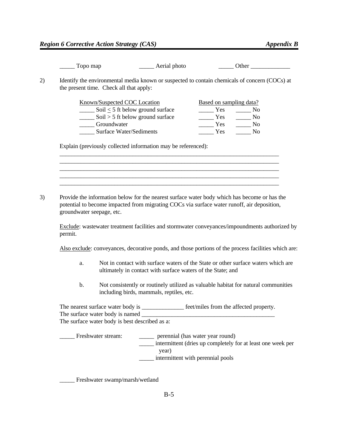| opo map | Aerial photo | Jther |
|---------|--------------|-------|
|         |              |       |

2) Identify the environmental media known or suspected to contain chemicals of concern (COCs) at the present time. Check all that apply:

| Known/Suspected COC Location       | Based on sampling data? |     |
|------------------------------------|-------------------------|-----|
| Soil $<$ 5 ft below ground surface | Yes                     | No. |
| $Soil > 5$ ft below ground surface | Yes                     | No. |
| Groundwater                        | Yes                     | No. |
| Surface Water/Sediments            | Yes                     | No. |

\_\_\_\_\_\_\_\_\_\_\_\_\_\_\_\_\_\_\_\_\_\_\_\_\_\_\_\_\_\_\_\_\_\_\_\_\_\_\_\_\_\_\_\_\_\_\_\_\_\_\_\_\_\_\_\_\_\_\_\_\_\_\_\_\_\_\_\_\_\_\_\_ \_\_\_\_\_\_\_\_\_\_\_\_\_\_\_\_\_\_\_\_\_\_\_\_\_\_\_\_\_\_\_\_\_\_\_\_\_\_\_\_\_\_\_\_\_\_\_\_\_\_\_\_\_\_\_\_\_\_\_\_\_\_\_\_\_\_\_\_\_\_\_\_ \_\_\_\_\_\_\_\_\_\_\_\_\_\_\_\_\_\_\_\_\_\_\_\_\_\_\_\_\_\_\_\_\_\_\_\_\_\_\_\_\_\_\_\_\_\_\_\_\_\_\_\_\_\_\_\_\_\_\_\_\_\_\_\_\_\_\_\_\_\_\_\_ \_\_\_\_\_\_\_\_\_\_\_\_\_\_\_\_\_\_\_\_\_\_\_\_\_\_\_\_\_\_\_\_\_\_\_\_\_\_\_\_\_\_\_\_\_\_\_\_\_\_\_\_\_\_\_\_\_\_\_\_\_\_\_\_\_\_\_\_\_\_\_\_ \_\_\_\_\_\_\_\_\_\_\_\_\_\_\_\_\_\_\_\_\_\_\_\_\_\_\_\_\_\_\_\_\_\_\_\_\_\_\_\_\_\_\_\_\_\_\_\_\_\_\_\_\_\_\_\_\_\_\_\_\_\_\_\_\_\_\_\_\_\_\_\_

Explain (previously collected information may be referenced):

3) Provide the information below for the nearest surface water body which has become or has the potential to become impacted from migrating COCs via surface water runoff, air deposition, groundwater seepage, etc.

Exclude: wastewater treatment facilities and stormwater conveyances/impoundments authorized by permit.

Also exclude: conveyances, decorative ponds, and those portions of the process facilities which are:

- a. Not in contact with surface waters of the State or other surface waters which are ultimately in contact with surface waters of the State; and
- b. Not consistently or routinely utilized as valuable habitat for natural communities including birds, mammals, reptiles, etc.

The nearest surface water body is \_\_\_\_\_\_\_\_\_\_\_\_\_\_\_ feet/miles from the affected property. The surface water body is named The surface water body is best described as a:

| Freshwater stream: | perennial (has water year round)                            |  |
|--------------------|-------------------------------------------------------------|--|
|                    | intermittent (dries up completely for at least one week per |  |
|                    | year)                                                       |  |
|                    | intermittent with perennial pools                           |  |

\_\_\_\_\_ Freshwater swamp/marsh/wetland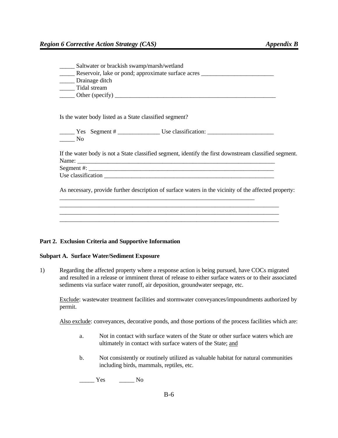|                                                         | Saltwater or brackish swamp/marsh/wetland                                                              |
|---------------------------------------------------------|--------------------------------------------------------------------------------------------------------|
|                                                         | Reservoir, lake or pond; approximate surface acres                                                     |
| Drainage ditch                                          |                                                                                                        |
| Tidal stream                                            |                                                                                                        |
|                                                         |                                                                                                        |
|                                                         |                                                                                                        |
| Is the water body listed as a State classified segment? |                                                                                                        |
|                                                         |                                                                                                        |
| No.                                                     |                                                                                                        |
|                                                         |                                                                                                        |
|                                                         |                                                                                                        |
|                                                         | If the water body is not a State classified segment, identify the first downstream classified segment. |
|                                                         |                                                                                                        |
|                                                         |                                                                                                        |
|                                                         |                                                                                                        |
|                                                         | As necessary, provide further description of surface waters in the vicinity of the affected property:  |
|                                                         |                                                                                                        |
|                                                         |                                                                                                        |
|                                                         |                                                                                                        |

# **Part 2. Exclusion Criteria and Supportive Information**

# **Subpart A. Surface Water/Sediment Exposure**

1) Regarding the affected property where a response action is being pursued, have COCs migrated and resulted in a release or imminent threat of release to either surface waters or to their associated sediments via surface water runoff, air deposition, groundwater seepage, etc.

Exclude: wastewater treatment facilities and stormwater conveyances/impoundments authorized by permit.

Also exclude: conveyances, decorative ponds, and those portions of the process facilities which are:

- a. Not in contact with surface waters of the State or other surface waters which are ultimately in contact with surface waters of the State; and
- b. Not consistently or routinely utilized as valuable habitat for natural communities including birds, mammals, reptiles, etc.
- \_\_\_\_\_ Yes \_\_\_\_\_ No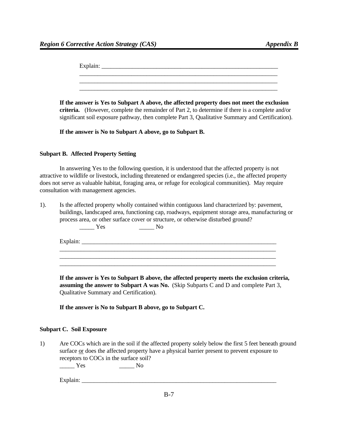| Explain: _ |  |  |  |
|------------|--|--|--|
|            |  |  |  |
|            |  |  |  |
|            |  |  |  |

**If the answer is Yes to Subpart A above, the affected property does not meet the exclusion criteria.** (However, complete the remainder of Part 2, to determine if there is a complete and/or significant soil exposure pathway, then complete Part 3, Qualitative Summary and Certification).

**If the answer is No to Subpart A above, go to Subpart B.**

# **Subpart B. Affected Property Setting**

In answering Yes to the following question, it is understood that the affected property is not attractive to wildlife or livestock, including threatened or endangered species (i.e., the affected property does not serve as valuable habitat, foraging area, or refuge for ecological communities). May require consultation with management agencies.

1). Is the affected property wholly contained within contiguous land characterized by: pavement, buildings, landscaped area, functioning cap, roadways, equipment storage area, manufacturing or process area, or other surface cover or structure, or otherwise disturbed ground?<br>No  $\overline{\phantom{a}}$  No

Explain: \_\_\_\_\_\_\_\_\_\_\_\_\_\_\_\_\_\_\_\_\_\_\_\_\_\_\_\_\_\_\_\_\_\_\_\_\_\_\_\_\_\_\_\_\_\_\_\_\_\_\_\_\_\_\_\_\_\_\_\_\_\_\_\_

\_\_\_\_\_\_\_\_\_\_\_\_\_\_\_\_\_\_\_\_\_\_\_\_\_\_\_\_\_\_\_\_\_\_\_\_\_\_\_\_\_\_\_\_\_\_\_\_\_\_\_\_\_\_\_\_\_\_\_\_\_\_\_\_\_\_\_\_\_\_\_ \_\_\_\_\_\_\_\_\_\_\_\_\_\_\_\_\_\_\_\_\_\_\_\_\_\_\_\_\_\_\_\_\_\_\_\_\_\_\_\_\_\_\_\_\_\_\_\_\_\_\_\_\_\_\_\_\_\_\_\_\_\_\_\_\_\_\_\_\_\_\_

**If the answer is Yes to Subpart B above, the affected property meets the exclusion criteria, assuming the answer to Subpart A was No.** (Skip Subparts C and D and complete Part 3, Qualitative Summary and Certification).

**If the answer is No to Subpart B above, go to Subpart C.**

# **Subpart C. Soil Exposure**

1) Are COCs which are in the soil if the affected property solely below the first 5 feet beneath ground surface or does the affected property have a physical barrier present to prevent exposure to receptors to COCs in the surface soil?

\_\_\_\_\_ Yes \_\_\_\_\_ No

Explain: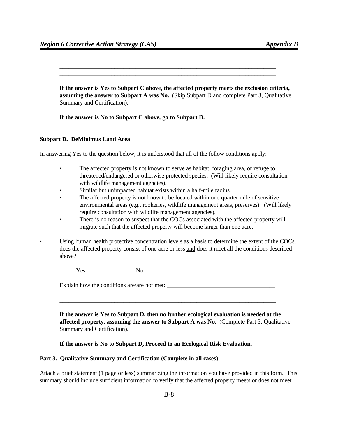**If the answer is Yes to Subpart C above, the affected property meets the exclusion criteria, assuming the answer to Subpart A was No.** (Skip Subpart D and complete Part 3, Qualitative Summary and Certification).

\_\_\_\_\_\_\_\_\_\_\_\_\_\_\_\_\_\_\_\_\_\_\_\_\_\_\_\_\_\_\_\_\_\_\_\_\_\_\_\_\_\_\_\_\_\_\_\_\_\_\_\_\_\_\_\_\_\_\_\_\_\_\_\_\_\_\_\_\_\_\_ \_\_\_\_\_\_\_\_\_\_\_\_\_\_\_\_\_\_\_\_\_\_\_\_\_\_\_\_\_\_\_\_\_\_\_\_\_\_\_\_\_\_\_\_\_\_\_\_\_\_\_\_\_\_\_\_\_\_\_\_\_\_\_\_\_\_\_\_\_\_\_

**If the answer is No to Subpart C above, go to Subpart D.**

#### **Subpart D. DeMinimus Land Area**

In answering Yes to the question below, it is understood that all of the follow conditions apply:

- The affected property is not known to serve as habitat, foraging area, or refuge to threatened/endangered or otherwise protected species. (Will likely require consultation with wildlife management agencies).
- Similar but unimpacted habitat exists within a half-mile radius.
- The affected property is not know to be located within one-quarter mile of sensitive environmental areas (e.g., rookeries, wildlife management areas, preserves). (Will likely require consultation with wildlife management agencies).
- There is no reason to suspect that the COCs associated with the affected property will migrate such that the affected property will become larger than one acre.
- Using human health protective concentration levels as a basis to determine the extent of the COCs, does the affected property consist of one acre or less and does it meet all the conditions described above?

\_\_\_\_\_\_\_\_\_\_\_\_\_\_\_\_\_\_\_\_\_\_\_\_\_\_\_\_\_\_\_\_\_\_\_\_\_\_\_\_\_\_\_\_\_\_\_\_\_\_\_\_\_\_\_\_\_\_\_\_\_\_\_\_\_\_\_\_\_\_\_ \_\_\_\_\_\_\_\_\_\_\_\_\_\_\_\_\_\_\_\_\_\_\_\_\_\_\_\_\_\_\_\_\_\_\_\_\_\_\_\_\_\_\_\_\_\_\_\_\_\_\_\_\_\_\_\_\_\_\_\_\_\_\_\_\_\_\_\_\_\_\_

\_\_\_\_\_ Yes \_\_\_\_\_ No

Explain how the conditions are/are not met: \_\_\_\_\_\_\_\_\_\_\_\_\_\_\_\_\_\_\_\_\_\_\_\_\_\_\_\_\_\_\_\_\_\_\_\_

**If the answer is Yes to Subpart D, then no further ecological evaluation is needed at the affected property, assuming the answer to Subpart A was No.** (Complete Part 3, Qualitative Summary and Certification).

# **If the answer is No to Subpart D, Proceed to an Ecological Risk Evaluation.**

#### **Part 3. Qualitative Summary and Certification (Complete in all cases)**

Attach a brief statement (1 page or less) summarizing the information you have provided in this form. This summary should include sufficient information to verify that the affected property meets or does not meet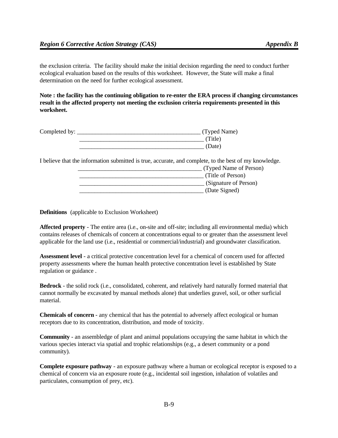the exclusion criteria. The facility should make the initial decision regarding the need to conduct further ecological evaluation based on the results of this worksheet. However, the State will make a final determination on the need for further ecological assessment.

**Note : the facility has the continuing obligation to re-enter the ERA process if changing circumstances result in the affected property not meeting the exclusion criteria requirements presented in this worksheet.**

| Completed by: | (Typed Name) |
|---------------|--------------|
|               | (Title)      |
|               | (Date)       |

I believe that the information submitted is true, accurate, and complete, to the best of my knowledge.

| (Typed Name of Person) |
|------------------------|
| (Title of Person)      |
| (Signature of Person)  |
| (Date Signed)          |

**Definitions** (applicable to Exclusion Worksheet)

**Affected property** - The entire area (i.e., on-site and off-site; including all environmental media) which contains releases of chemicals of concern at concentrations equal to or greater than the assessment level applicable for the land use (i.e., residential or commercial/industrial) and groundwater classification.

**Assessment level** - a critical protective concentration level for a chemical of concern used for affected property assessments where the human health protective concentration level is established by State regulation or guidance .

**Bedrock** - the solid rock (i.e., consolidated, coherent, and relatively hard naturally formed material that cannot normally be excavated by manual methods alone) that underlies gravel, soil, or other surficial material.

**Chemicals of concern** - any chemical that has the potential to adversely affect ecological or human receptors due to its concentration, distribution, and mode of toxicity.

**Community** - an assembledge of plant and animal populations occupying the same habitat in which the various species interact via spatial and trophic relationships (e.g., a desert community or a pond community).

**Complete exposure pathway** - an exposure pathway where a human or ecological receptor is exposed to a chemical of concern via an exposure route (e.g., incidental soil ingestion, inhalation of volatiles and particulates, consumption of prey, etc).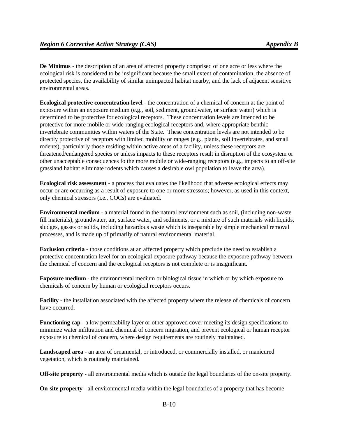**De Minimus** - the description of an area of affected property comprised of one acre or less where the ecological risk is considered to be insignificant because the small extent of contamination, the absence of protected species, the availability of similar unimpacted habitat nearby, and the lack of adjacent sensitive environmental areas.

**Ecological protective concentration level** - the concentration of a chemical of concern at the point of exposure within an exposure medium (e.g., soil, sediment, groundwater, or surface water) which is determined to be protective for ecological receptors. These concentration levels are intended to be protective for more mobile or wide-ranging ecological receptors and, where appropriate benthic invertebrate communities within waters of the State. These concentration levels are not intended to be directly protective of receptors with limited mobility or ranges (e.g., plants, soil invertebrates, and small rodents), particularly those residing within active areas of a facility, unless these receptors are threatened/endangered species or unless impacts to these receptors result in disruption of the ecosystem or other unacceptable consequences fo the more mobile or wide-ranging receptors (e.g., impacts to an off-site grassland habitat eliminate rodents which causes a desirable owl population to leave the area).

**Ecological risk assessment** - a process that evaluates the likelihood that adverse ecological effects may occur or are occurring as a result of exposure to one or more stressors; however, as used in this context, only chemical stressors (i.e., COCs) are evaluated.

**Environmental medium** - a material found in the natural environment such as soil, (including non-waste fill materials), groundwater, air, surface water, and sediments, or a mixture of such materials with liquids, sludges, gasses or solids, including hazardous waste which is inseparable by simple mechanical removal processes, and is made up of primarily of natural environmental material.

**Exclusion criteria** - those conditions at an affected property which preclude the need to establish a protective concentration level for an ecological exposure pathway because the exposure pathway between the chemical of concern and the ecological receptors is not complete or is insignificant.

**Exposure medium** - the environmental medium or biological tissue in which or by which exposure to chemicals of concern by human or ecological receptors occurs.

**Facility** - the installation associated with the affected property where the release of chemicals of concern have occurred.

**Functioning cap** - a low permeability layer or other approved cover meeting its design specifications to minimize water infiltration and chemical of concern migration, and prevent ecological or human receptor exposure to chemical of concern, where design requirements are routinely maintained.

**Landscaped area** - an area of ornamental, or introduced, or commercially installed, or manicured vegetation, which is routinely maintained.

**Off-site property** - all environmental media which is outside the legal boundaries of the on-site property.

**On-site property** - all environmental media within the legal boundaries of a property that has become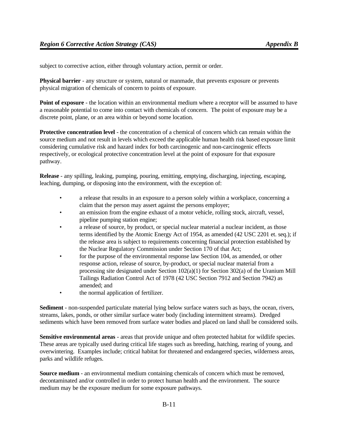subject to corrective action, either through voluntary action, permit or order.

**Physical barrier** - any structure or system, natural or manmade, that prevents exposure or prevents physical migration of chemicals of concern to points of exposure.

**Point of exposure** - the location within an environmental medium where a receptor will be assumed to have a reasonable potential to come into contact with chemicals of concern. The point of exposure may be a discrete point, plane, or an area within or beyond some location.

**Protective concentration level** - the concentration of a chemical of concern which can remain within the source medium and not result in levels which exceed the applicable human health risk based exposure limit considering cumulative risk and hazard index for both carcinogenic and non-carcinogenic effects respectively, or ecological protective concentration level at the point of exposure for that exposure pathway.

**Release** - any spilling, leaking, pumping, pouring, emitting, emptying, discharging, injecting, escaping, leaching, dumping, or disposing into the environment, with the exception of:

- a release that results in an exposure to a person solely within a workplace, concerning a claim that the person may assert against the persons employer;
- an emission from the engine exhaust of a motor vehicle, rolling stock, aircraft, vessel, pipeline pumping station engine;
- a release of source, by product, or special nuclear material a nuclear incident, as those terms identified by the Atomic Energy Act of 1954, as amended (42 USC 2201 et. seq.); if the release area is subject to requirements concerning financial protection established by the Nuclear Regulatory Commission under Section 170 of that Act;
- for the purpose of the environmental response law Section 104, as amended, or other response action, release of source, by-product, or special nuclear material from a processing site designated under Section 102(a)(1) for Section 302(a) of the Uranium Mill Tailings Radiation Control Act of 1978 (42 USC Section 7912 and Section 7942) as amended; and
- the normal application of fertilizer.

**Sediment** - non-suspended particulate material lying below surface waters such as bays, the ocean, rivers, streams, lakes, ponds, or other similar surface water body (including intermittent streams). Dredged sediments which have been removed from surface water bodies and placed on land shall be considered soils.

**Sensitive environmental areas** - areas that provide unique and often protected habitat for wildlife species. These areas are typically used during critical life stages such as breeding, hatching, rearing of young, and overwintering. Examples include; critical habitat for threatened and endangered species, wilderness areas, parks and wildlife refuges.

**Source medium** - an environmental medium containing chemicals of concern which must be removed, decontaminated and/or controlled in order to protect human health and the environment. The source medium may be the exposure medium for some exposure pathways.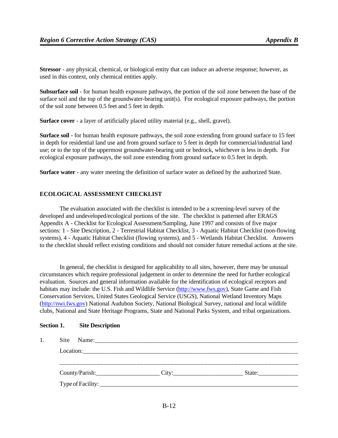**Stressor** - any physical, chemical, or biological entity that can induce an adverse response; however, as used in this context, only chemical entities apply.

**Subsurface soil** - for human health exposure pathways, the portion of the soil zone between the base of the surface soil and the top of the groundwater-bearing unit(s). For ecological exposure pathways, the portion of the soil zone between 0.5 feet and 5 feet in depth.

**Surface cover** - a layer of artificially placed utility material (e.g., shell, gravel).

**Surface soil** - for human health exposure pathways, the soil zone extending from ground surface to 15 feet in depth for residential land use and from ground surface to 5 feet in depth for commercial/industrial land use; or to the top of the uppermost groundwater-bearing unit or bedrock, whichever is less in depth. For ecological exposure pathways, the soil zone extending from ground surface to 0.5 feet in depth.

**Surface water** - any water meeting the definition of surface water as defined by the authorized State.

# **ECOLOGICAL ASSESSMENT CHECKLIST**

The evaluation associated with the checklist is intended to be a screening-level survey of the developed and undeveloped/ecological portions of the site. The checklist is patterned after ERAGS Appendix A - Checklist for Ecological Assessment/Sampling, June 1997 and consists of five major sections: 1 - Site Description, 2 - Terrestrial Habitat Checklist, 3 - Aquatic Habitat Checklist (non-flowing systems), 4 - Aquatic Habitat Checklist (flowing systems), and 5 - Wetlands Habitat Checklist. Answers to the checklist should reflect existing conditions and should not consider future remedial actions at the site.

In general, the checklist is designed for applicability to all sites, however, there may be unusual circumstances which require professional judgement in order to determine the need for further ecological evaluation. Sources and general information available for the identification of ecological receptors and habitats may include: the U.S. Fish and Wildlife Service [\(http://www.fws.gov\),](http://www.fws.gov) State Game and Fish Conservation Services, United States Geological Service (USGS), National Wetland Inventory Maps [\(http://nwi.fws.gov\)](http://nwi.fws.gov) National Audubon Society, National Biological Survey, national and local wildlife clubs, National and State Heritage Programs, State and National Parks System, and tribal organizations.

### **Section 1. Site Description**

| Location: |                            |        |  |
|-----------|----------------------------|--------|--|
|           |                            |        |  |
|           | County/Parish: City: City: | State: |  |
|           |                            |        |  |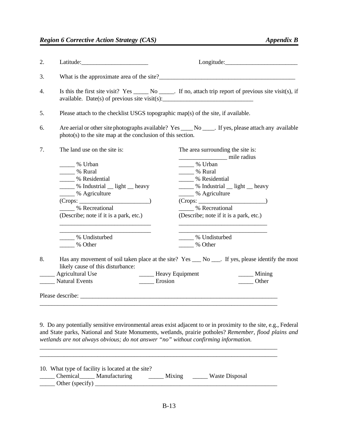| 2. |                                                                                                      | Longitude:                                                                                                    |  |  |
|----|------------------------------------------------------------------------------------------------------|---------------------------------------------------------------------------------------------------------------|--|--|
| 3. |                                                                                                      | What is the approximate area of the site?                                                                     |  |  |
| 4. | available. Date(s) of previous site visit(s): ___________________________________                    | Is this the first site visit? Yes ________ No ______. If no, attach trip report of previous site visit(s), if |  |  |
| 5. | Please attach to the checklist USGS topographic map(s) of the site, if available.                    |                                                                                                               |  |  |
| 6. | $photo(s)$ to the site map at the conclusion of this section.                                        | Are aerial or other site photographs available? Yes _____ No _____. If yes, please attach any available       |  |  |
| 7. | The land use on the site is:                                                                         | The area surrounding the site is:<br>mile radius                                                              |  |  |
|    | _____ % Urban                                                                                        | _____ % Urban                                                                                                 |  |  |
|    | _____ % Rural                                                                                        | _____ % Rural                                                                                                 |  |  |
|    | ____ % Residential                                                                                   | <sup>%</sup> Residential                                                                                      |  |  |
|    | _____ % Industrial __ light __ heavy                                                                 | ______% Industrial __ light __ heavy                                                                          |  |  |
|    | <sub>20</sub> % Agriculture                                                                          | ____ % Agriculture                                                                                            |  |  |
|    |                                                                                                      |                                                                                                               |  |  |
|    | 6 Recreational                                                                                       | _____ % Recreational                                                                                          |  |  |
|    | (Describe; note if it is a park, etc.)<br><u> 1989 - Johann Barn, amerikansk politiker (d. 1989)</u> | (Describe; note if it is a park, etc.)<br><u> 1980 - Johann John Stone, mars eta biztanleria (h. 1980).</u>   |  |  |
|    | % Undisturbed                                                                                        | % Undisturbed                                                                                                 |  |  |
|    | _____ % Other                                                                                        | 600 W Other                                                                                                   |  |  |
| 8. | likely cause of this disturbance:                                                                    | Has any movement of soil taken place at the site? Yes __ No __ If yes, please identify the most               |  |  |
|    | <b>Agricultural Use</b>                                                                              | - Heavy Equipment<br>$\_\_\_\$ Mining                                                                         |  |  |
|    | <b>Natural Events</b><br>Erosion                                                                     | Other                                                                                                         |  |  |
|    |                                                                                                      |                                                                                                               |  |  |
|    |                                                                                                      |                                                                                                               |  |  |
|    |                                                                                                      |                                                                                                               |  |  |

9. Do any potentially sensitive environmental areas exist adjacent to or in proximity to the site, e.g., Federal and State parks, National and State Monuments, wetlands, prairie potholes? *Remember, flood plains and wetlands are not always obvious; do not answer "no" without confirming information.*

| 10. What type of facility is located at the site? |        |                |  |
|---------------------------------------------------|--------|----------------|--|
| Chemical_______ Manufacturing<br>Other (specify)  | Mixing | Waste Disposal |  |

\_\_\_\_\_\_\_\_\_\_\_\_\_\_\_\_\_\_\_\_\_\_\_\_\_\_\_\_\_\_\_\_\_\_\_\_\_\_\_\_\_\_\_\_\_\_\_\_\_\_\_\_\_\_\_\_\_\_\_\_\_\_\_\_\_\_\_\_\_\_\_\_\_\_\_\_\_\_ \_\_\_\_\_\_\_\_\_\_\_\_\_\_\_\_\_\_\_\_\_\_\_\_\_\_\_\_\_\_\_\_\_\_\_\_\_\_\_\_\_\_\_\_\_\_\_\_\_\_\_\_\_\_\_\_\_\_\_\_\_\_\_\_\_\_\_\_\_\_\_\_\_\_\_\_\_\_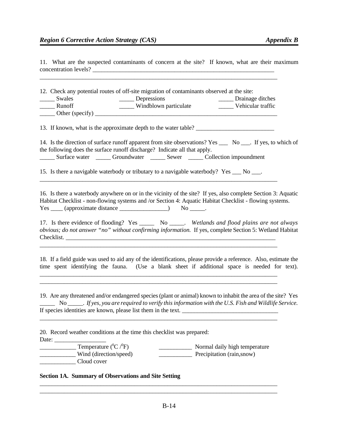11. What are the suspected contaminants of concern at the site? If known, what are their maximum concentration levels? \_\_\_\_\_\_\_\_\_\_\_\_\_\_\_\_\_\_\_\_\_\_\_\_\_\_\_\_\_\_\_\_\_\_\_\_\_\_\_\_\_\_\_\_\_\_\_\_\_\_\_\_\_\_\_\_\_\_\_\_

| 12. Check any potential routes of off-site migration of contaminants observed at the site:<br>______ Swales<br>______ Runoff                                                                                                                                                                                     |  | Depressions<br>Windblown particulate<br>Wehicular traffic   |  |
|------------------------------------------------------------------------------------------------------------------------------------------------------------------------------------------------------------------------------------------------------------------------------------------------------------------|--|-------------------------------------------------------------|--|
| 13. If known, what is the approximate depth to the water table?                                                                                                                                                                                                                                                  |  |                                                             |  |
| 14. Is the direction of surface runoff apparent from site observations? Yes ______ No _____. If yes, to which of<br>the following does the surface runoff discharge? Indicate all that apply.<br>______ Surface water _______ Groundwater _______ Sewer ______ Collection impoundment                            |  |                                                             |  |
| 15. Is there a navigable waterbody or tributary to a navigable waterbody? Yes ___ No ___.                                                                                                                                                                                                                        |  |                                                             |  |
| 16. Is there a waterbody anywhere on or in the vicinity of the site? If yes, also complete Section 3: Aquatic<br>Habitat Checklist - non-flowing systems and /or Section 4: Aquatic Habitat Checklist - flowing systems.<br>Yes ____ (approximate distance _______________) No ______.                           |  |                                                             |  |
| 17. Is there evidence of flooding? Yes _______ No _____. Wetlands and flood plains are not always<br>obvious; do not answer "no" without confirming information. If yes, complete Section 5: Wetland Habitat                                                                                                     |  |                                                             |  |
| 18. If a field guide was used to aid any of the identifications, please provide a reference. Also, estimate the<br>time spent identifying the fauna. (Use a blank sheet if additional space is needed for text).                                                                                                 |  |                                                             |  |
| 19. Are any threatened and/or endangered species (plant or animal) known to inhabit the area of the site? Yes<br>$\frac{1}{1}$ No $\frac{1}{1}$ . If yes, you are required to verify this information with the U.S. Fish and Wildlife Service.<br>If species identities are known, please list them in the text. |  |                                                             |  |
| 20. Record weather conditions at the time this checklist was prepared:<br>Date:                                                                                                                                                                                                                                  |  |                                                             |  |
| Temperature ( ${}^{0}C/{}^{0}F$ )<br>Wind (direction/speed)<br>Cloud cover                                                                                                                                                                                                                                       |  | Normal daily high temperature<br>Precipitation (rain, snow) |  |

# **Section 1A. Summary of Observations and Site Setting**

\_\_\_\_\_\_\_\_\_\_\_\_\_\_\_\_\_\_\_\_\_\_\_\_\_\_\_\_\_\_\_\_\_\_\_\_\_\_\_\_\_\_\_\_\_\_\_\_\_\_\_\_\_\_\_\_\_\_\_\_\_\_\_\_\_\_\_\_\_\_\_\_\_\_\_\_\_\_ \_\_\_\_\_\_\_\_\_\_\_\_\_\_\_\_\_\_\_\_\_\_\_\_\_\_\_\_\_\_\_\_\_\_\_\_\_\_\_\_\_\_\_\_\_\_\_\_\_\_\_\_\_\_\_\_\_\_\_\_\_\_\_\_\_\_\_\_\_\_\_\_\_\_\_\_\_\_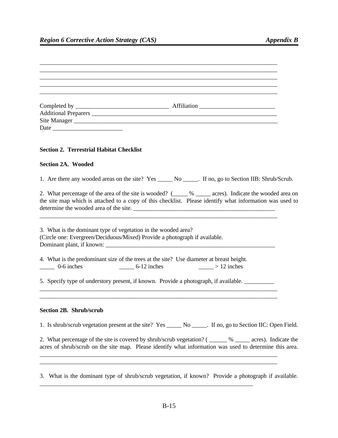| Site Manager                                                                                                                                                                                                                                                   |
|----------------------------------------------------------------------------------------------------------------------------------------------------------------------------------------------------------------------------------------------------------------|
| <b>Section 2. Terrestrial Habitat Checklist</b>                                                                                                                                                                                                                |
| <b>Section 2A. Wooded</b>                                                                                                                                                                                                                                      |
| 1. Are there any wooded areas on the site? Yes _______ No ______. If no, go to Section IIB: Shrub/Scrub.                                                                                                                                                       |
| 2. What percentage of the area of the site is wooded? (_____ % _____ acres). Indicate the wooded area on<br>the site map which is attached to a copy of this checklist. Please identify what information was used to<br>determine the wooded area of the site. |
| 3. What is the dominant type of vegetation in the wooded area?<br>(Circle one: Evergreen/Deciduous/Mixed) Provide a photograph if available.                                                                                                                   |
| 4. What is the predominant size of the trees at the site? Use diameter at breast height.<br>$\frac{1}{2}$ 0-6 inches<br>$\frac{6-12}{2}$ inches<br>$\frac{1}{2}$ > 12 inches                                                                                   |
| 5. Specify type of understory present, if known. Provide a photograph, if available.                                                                                                                                                                           |
| Section 2B. Shrub/scrub                                                                                                                                                                                                                                        |
| 1. Is shrub/scrub vegetation present at the site? Yes ______ No _____. If no, go to Section IIC: Open Field.                                                                                                                                                   |
| 2. What percentage of the site is covered by shrub/scrub vegetation? (_____ % ____ acres). Indicate the<br>acres of shrub/scrub on the site map. Please identify what information was used to determine this area.                                             |
| 3. What is the dominant type of shrub/scrub vegetation, if known? Provide a photograph if available.                                                                                                                                                           |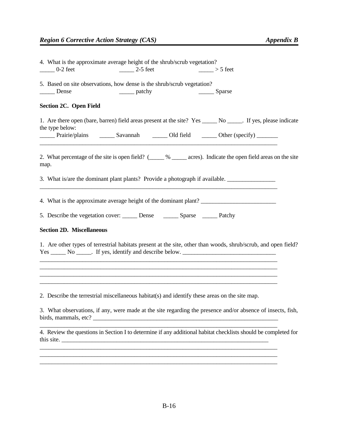| $0-2$ feet                       | 4. What is the approximate average height of the shrub/scrub vegetation?<br>$\frac{1}{2}$ 2-5 feet                                                                                                         | $\frac{1}{2}$ > 5 feet |  |
|----------------------------------|------------------------------------------------------------------------------------------------------------------------------------------------------------------------------------------------------------|------------------------|--|
|                                  |                                                                                                                                                                                                            |                        |  |
| Dense                            | 5. Based on site observations, how dense is the shrub/scrub vegetation?<br>__________ patchy                                                                                                               | Sparse                 |  |
| Section 2C. Open Field           |                                                                                                                                                                                                            |                        |  |
| the type below:                  | 1. Are there open (bare, barren) field areas present at the site? Yes ______ No _____. If yes, please indicate                                                                                             |                        |  |
|                                  | Prairie/plains ________ Savannah _________ Old field ________ Other (specify) ________                                                                                                                     |                        |  |
| map.                             | 2. What percentage of the site is open field? (_____ % ______ acres). Indicate the open field areas on the site                                                                                            |                        |  |
|                                  | 3. What is/are the dominant plant plants? Provide a photograph if available.                                                                                                                               |                        |  |
|                                  | 4. What is the approximate average height of the dominant plant?                                                                                                                                           |                        |  |
|                                  | 5. Describe the vegetation cover: _______ Dense ________ Sparse _______ Patchy                                                                                                                             |                        |  |
| <b>Section 2D. Miscellaneous</b> |                                                                                                                                                                                                            |                        |  |
|                                  | 1. Are other types of terrestrial habitats present at the site, other than woods, shrub/scrub, and open field?                                                                                             |                        |  |
|                                  | ,我们也不能在这里的,我们也不能在这里的时候,我们也不能不能不能不能不能不能不能不能不能不能不能不能不能不能不能。""我们,我们也不能不能不能不能不能不能不能不能<br><u> 1989 - Johann Stoff, deutscher Stoff, der Stoff, der Stoff, der Stoff, der Stoff, der Stoff, der Stoff, der S</u> |                        |  |
|                                  | 2. Describe the terrestrial miscellaneous habitat(s) and identify these areas on the site map.                                                                                                             |                        |  |
|                                  | 3. What observations, if any, were made at the site regarding the presence and/or absence of insects, fish,                                                                                                |                        |  |
|                                  | 4. Review the questions in Section I to determine if any additional habitat checklists should be completed for<br>this site.                                                                               |                        |  |
|                                  |                                                                                                                                                                                                            |                        |  |
|                                  |                                                                                                                                                                                                            |                        |  |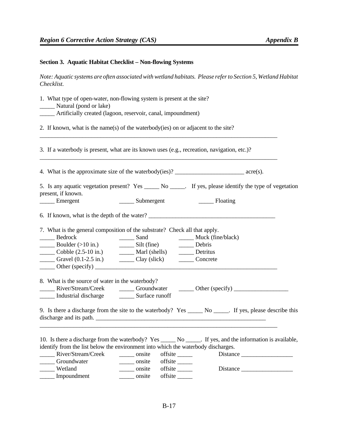# **Section 3. Aquatic Habitat Checklist – Non-flowing Systems**

*Note: Aquatic systems are often associated with wetland habitats. Please refer to Section 5, Wetland Habitat Checklist.*

| 1. What type of open-water, non-flowing system is present at the site?<br>Natural (pond or lake)<br>Artificially created (lagoon, reservoir, canal, impoundment) |                               |                   |  |
|------------------------------------------------------------------------------------------------------------------------------------------------------------------|-------------------------------|-------------------|--|
| 2. If known, what is the name(s) of the waterbody(ies) on or adjacent to the site?                                                                               |                               |                   |  |
| 3. If a waterbody is present, what are its known uses (e.g., recreation, navigation, etc.)?                                                                      |                               |                   |  |
| 4. What is the approximate size of the waterbody(ies)? __________________________ acre(s).                                                                       |                               |                   |  |
| 5. Is any aquatic vegetation present? Yes ______ No _____. If yes, please identify the type of vegetation                                                        |                               |                   |  |
| present, if known.                                                                                                                                               |                               |                   |  |
| Emergent                                                                                                                                                         | ______ Submergent             | Floating          |  |
| 6. If known, what is the depth of the water?                                                                                                                     |                               |                   |  |
| 7. What is the general composition of the substrate? Check all that apply.                                                                                       |                               |                   |  |
| Bedrock                                                                                                                                                          | $\_\_\_\$ Sand                | Muck (fine/black) |  |
|                                                                                                                                                                  |                               |                   |  |
| Cobble (2.5-10 in.) Marl (shells) Detritus<br>Gravel (0.1-2.5 in.) Clay (slick) Concrete                                                                         |                               |                   |  |
|                                                                                                                                                                  |                               |                   |  |
|                                                                                                                                                                  |                               |                   |  |
| 8. What is the source of water in the waterbody?                                                                                                                 |                               |                   |  |
| River/Stream/Creek _________Groundwater _________ Other (specify) ______________                                                                                 |                               |                   |  |
| Industrial discharge Surface runoff                                                                                                                              |                               |                   |  |
| 9. Is there a discharge from the site to the waterbody? Yes _______ No ______. If yes, please describe this<br>discharge and its path.                           |                               |                   |  |
|                                                                                                                                                                  |                               |                   |  |
|                                                                                                                                                                  |                               |                   |  |
| identify from the list below the environment into which the waterbody discharges.                                                                                |                               |                   |  |
| _______ River/Stream/Creek                                                                                                                                       |                               |                   |  |
| _____ Groundwater                                                                                                                                                | ______ onsite offsite _______ |                   |  |
| Wetland                                                                                                                                                          | ______ onsite offsite ______  |                   |  |
| Impoundment                                                                                                                                                      | offsite<br>______ onsite      |                   |  |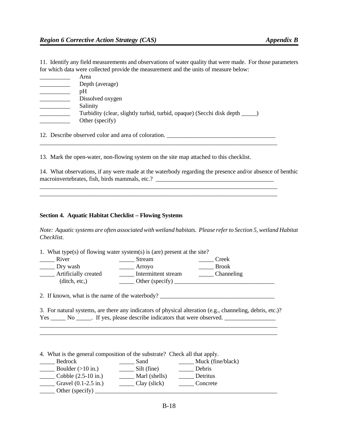11. Identify any field measurements and observations of water quality that were made. For those parameters for which data were collected provide the measurement and the units of measure below:

| Area                                                                  |
|-----------------------------------------------------------------------|
| Depth (average)                                                       |
| pΗ                                                                    |
| Dissolved oxygen                                                      |
| Salinity                                                              |
| Turbidity (clear, slightly turbid, turbid, opaque) (Secchi disk depth |
| Other (specify)                                                       |

12. Describe observed color and area of coloration. \_\_\_\_\_\_\_\_\_\_\_\_\_\_\_\_\_\_\_\_\_\_\_\_\_\_\_\_\_\_\_\_\_\_\_\_

13. Mark the open-water, non-flowing system on the site map attached to this checklist.

\_\_\_\_\_\_\_\_\_\_\_\_\_\_\_\_\_\_\_\_\_\_\_\_\_\_\_\_\_\_\_\_\_\_\_\_\_\_\_\_\_\_\_\_\_\_\_\_\_\_\_\_\_\_\_\_\_\_\_\_\_\_\_\_\_\_\_\_\_\_\_\_\_\_\_\_\_\_

\_\_\_\_\_\_\_\_\_\_\_\_\_\_\_\_\_\_\_\_\_\_\_\_\_\_\_\_\_\_\_\_\_\_\_\_\_\_\_\_\_\_\_\_\_\_\_\_\_\_\_\_\_\_\_\_\_\_\_\_\_\_\_\_\_\_\_\_\_\_\_\_\_\_\_\_\_\_ \_\_\_\_\_\_\_\_\_\_\_\_\_\_\_\_\_\_\_\_\_\_\_\_\_\_\_\_\_\_\_\_\_\_\_\_\_\_\_\_\_\_\_\_\_\_\_\_\_\_\_\_\_\_\_\_\_\_\_\_\_\_\_\_\_\_\_\_\_\_\_\_\_\_\_\_\_\_

14. What observations, if any were made at the waterbody regarding the presence and/or absence of benthic macroinvertebrates, fish, birds mammals, etc.? \_\_\_\_\_\_\_\_\_\_\_\_\_\_\_\_\_\_\_\_\_\_\_\_\_\_\_\_\_\_\_\_\_\_

#### **Section 4. Aquatic Habitat Checklist – Flowing Systems**

*Note: Aquatic systems are often associated with wetland habitats. Please refer to Section 5, wetland Habitat Checklist.*

1. What type(s) of flowing water system(s) is (are) present at the site?

| River                     | Stream              | Creek        |
|---------------------------|---------------------|--------------|
| Dry wash<br>$\frac{1}{2}$ | Arroyo              | <b>Brook</b> |
| Artificially created      | Intermittent stream | Channeling   |
| (ditch, etc.)             | Other (specify)     |              |

2. If known, what is the name of the waterbody?  $\frac{1}{\sqrt{2\pi}}$ 

|     | 3. For natural systems, are there any indicators of physical alteration (e.g., channeling, debris, etc.)? |                                                        |  |  |  |  |
|-----|-----------------------------------------------------------------------------------------------------------|--------------------------------------------------------|--|--|--|--|
| Yes | No.                                                                                                       | If yes, please describe indicators that were observed. |  |  |  |  |

\_\_\_\_\_\_\_\_\_\_\_\_\_\_\_\_\_\_\_\_\_\_\_\_\_\_\_\_\_\_\_\_\_\_\_\_\_\_\_\_\_\_\_\_\_\_\_\_\_\_\_\_\_\_\_\_\_\_\_\_\_\_\_\_\_\_\_\_\_\_\_\_\_\_\_\_\_\_ \_\_\_\_\_\_\_\_\_\_\_\_\_\_\_\_\_\_\_\_\_\_\_\_\_\_\_\_\_\_\_\_\_\_\_\_\_\_\_\_\_\_\_\_\_\_\_\_\_\_\_\_\_\_\_\_\_\_\_\_\_\_\_\_\_\_\_\_\_\_\_\_\_\_\_\_\_\_

4. What is the general composition of the substrate? Check all that apply.

| <b>Bedrock</b>                 | Sand          | Muck (fine/black) |
|--------------------------------|---------------|-------------------|
| Boulder $(>10 \text{ in.})$    | Silt (fine)   | <b>Debris</b>     |
| Cobble $(2.5-10 \text{ in.})$  | Marl (shells) | Detritus          |
| Gravel $(0.1-2.5 \text{ in.})$ | Clay (slick)  | Concrete          |
| Other (specify)                |               |                   |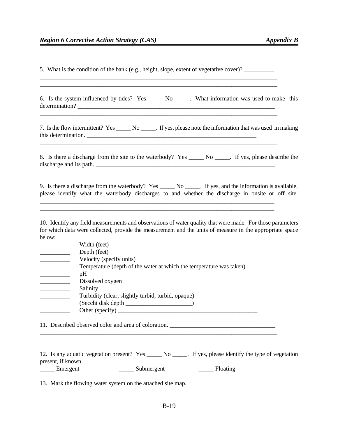| 5. What is the condition of the bank (e.g., height, slope, extent of vegetative cover)?                                                                                                                                                                                                                                                                                                                                                                                                                                                                                                |
|----------------------------------------------------------------------------------------------------------------------------------------------------------------------------------------------------------------------------------------------------------------------------------------------------------------------------------------------------------------------------------------------------------------------------------------------------------------------------------------------------------------------------------------------------------------------------------------|
| 6. Is the system influenced by tides? Yes _______ No ______. What information was used to make this<br><u> 1989 - Johann Stoff, amerikansk politiker (d. 1989)</u>                                                                                                                                                                                                                                                                                                                                                                                                                     |
| 7. Is the flow intermittent? Yes _______ No _______. If yes, please note the information that was used in making<br>this determination.                                                                                                                                                                                                                                                                                                                                                                                                                                                |
| 8. Is there a discharge from the site to the waterbody? Yes ______ No _____. If yes, please describe the<br>discharge and its path.<br><u> 1989 - Johann John Harry, mars and deutscher Stadt and deutscher Stadt and deutscher Stadt and deutscher Stadt</u>                                                                                                                                                                                                                                                                                                                          |
| 9. Is there a discharge from the waterbody? Yes ______ No _____. If yes, and the information is available,<br>please identify what the waterbody discharges to and whether the discharge in onsite or off site.<br><u> 1989 - Johann Stoff, amerikansk politiker (d. 1989)</u>                                                                                                                                                                                                                                                                                                         |
| 10. Identify any field measurements and observations of water quality that were made. For those parameters<br>for which data were collected, provide the measurement and the units of measure in the appropriate space<br>below:<br>Width (feet)<br>Depth (feet)<br>Velocity (specify units)<br>Temperature (depth of the water at which the temperature was taken)<br>pH<br>Dissolved oxygen<br>Salinity<br>Turbidity (clear, slightly turbid, turbid, opaque)<br><u> Listen de la componenta</u><br>11. Described observed color and area of coloration. ___________________________ |
| ______ Submergent<br>Emergent                                                                                                                                                                                                                                                                                                                                                                                                                                                                                                                                                          |
| 12. Is any aquatic vegetation present? Yes _______ No ______. If yes, please identify the type of vegetation<br>present, if known.<br>13. Mark the flowing water system on the attached site map.                                                                                                                                                                                                                                                                                                                                                                                      |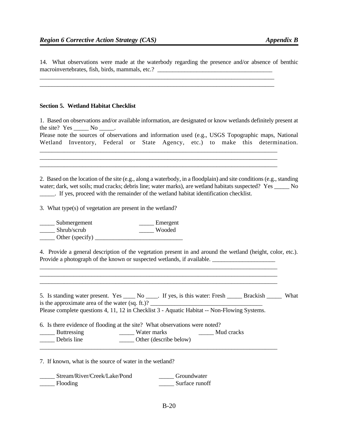14. What observations were made at the waterbody regarding the presence and/or absence of benthic macroinvertebrates, fish, birds, mammals, etc.? \_\_\_\_\_\_\_\_\_\_\_\_\_\_\_\_\_\_\_\_\_\_\_\_\_\_\_\_\_\_\_\_

\_\_\_\_\_\_\_\_\_\_\_\_\_\_\_\_\_\_\_\_\_\_\_\_\_\_\_\_\_\_\_\_\_\_\_\_\_\_\_\_\_\_\_\_\_\_\_\_\_\_\_\_\_\_\_\_\_\_\_\_\_\_\_\_\_\_\_\_\_\_\_\_\_\_\_\_\_ \_\_\_\_\_\_\_\_\_\_\_\_\_\_\_\_\_\_\_\_\_\_\_\_\_\_\_\_\_\_\_\_\_\_\_\_\_\_\_\_\_\_\_\_\_\_\_\_\_\_\_\_\_\_\_\_\_\_\_\_\_\_\_\_\_\_\_\_\_\_\_\_\_\_\_\_\_

#### **Section 5. Wetland Habitat Checklist**

1. Based on observations and/or available information, are designated or know wetlands definitely present at the site?  $Yes \_\_ No \_\_$ .

Please note the sources of observations and information used (e.g., USGS Topographic maps, National Wetland Inventory, Federal or State Agency, etc.) to make this determination.

\_\_\_\_\_\_\_\_\_\_\_\_\_\_\_\_\_\_\_\_\_\_\_\_\_\_\_\_\_\_\_\_\_\_\_\_\_\_\_\_\_\_\_\_\_\_\_\_\_\_\_\_\_\_\_\_\_\_\_\_\_\_\_\_\_\_\_\_\_\_\_\_\_\_\_\_\_\_ \_\_\_\_\_\_\_\_\_\_\_\_\_\_\_\_\_\_\_\_\_\_\_\_\_\_\_\_\_\_\_\_\_\_\_\_\_\_\_\_\_\_\_\_\_\_\_\_\_\_\_\_\_\_\_\_\_\_\_\_\_\_\_\_\_\_\_\_\_\_\_\_\_\_\_\_\_\_ \_\_\_\_\_\_\_\_\_\_\_\_\_\_\_\_\_\_\_\_\_\_\_\_\_\_\_\_\_\_\_\_\_\_\_\_\_\_\_\_\_\_\_\_\_\_\_\_\_\_\_\_\_\_\_\_\_\_\_\_\_\_\_\_\_\_\_\_\_\_\_\_\_\_\_\_\_\_

2. Based on the location of the site (e.g., along a waterbody, in a floodplain) and site conditions (e.g., standing water; dark, wet soils; mud cracks; debris line; water marks), are wetland habitats suspected? Yes No \_\_\_\_\_. If yes, proceed with the remainder of the wetland habitat identification checklist.

3. What type(s) of vegetation are present in the wetland?

\_\_\_\_\_\_\_ Submergement \_\_\_\_\_\_\_\_\_ Emergent \_\_\_\_\_\_\_\_ Emergent \_\_\_\_\_\_\_ Wooded  $\frac{1}{\sqrt{2\pi}}$  Shrub/scrub  $\frac{\text{Other (specificity)}}{\text{other (specificity)}}$ 

4. Provide a general description of the vegetation present in and around the wetland (height, color, etc.). Provide a photograph of the known or suspected wetlands, if available.

\_\_\_\_\_\_\_\_\_\_\_\_\_\_\_\_\_\_\_\_\_\_\_\_\_\_\_\_\_\_\_\_\_\_\_\_\_\_\_\_\_\_\_\_\_\_\_\_\_\_\_\_\_\_\_\_\_\_\_\_\_\_\_\_\_\_\_\_\_\_\_\_\_\_\_\_\_\_ \_\_\_\_\_\_\_\_\_\_\_\_\_\_\_\_\_\_\_\_\_\_\_\_\_\_\_\_\_\_\_\_\_\_\_\_\_\_\_\_\_\_\_\_\_\_\_\_\_\_\_\_\_\_\_\_\_\_\_\_\_\_\_\_\_\_\_\_\_\_\_\_\_\_\_\_\_\_ \_\_\_\_\_\_\_\_\_\_\_\_\_\_\_\_\_\_\_\_\_\_\_\_\_\_\_\_\_\_\_\_\_\_\_\_\_\_\_\_\_\_\_\_\_\_\_\_\_\_\_\_\_\_\_\_\_\_\_\_\_\_\_\_\_\_\_\_\_\_\_\_\_\_\_\_\_\_

| is the approximate area of the water $(sq, ft.)$ ?                                           |            | What |
|----------------------------------------------------------------------------------------------|------------|------|
| Please complete questions 4, 11, 12 in Checklist 3 - Aquatic Habitat -- Non-Flowing Systems. |            |      |
| 6. Is there evidence of flooding at the site? What observations were noted?                  |            |      |
| <b>E</b> Buttressing                                                                         | Mud cracks |      |

| $D$ utu Cooling | VV AWI THAINS          | Triuu Giacho |
|-----------------|------------------------|--------------|
| Debris line     | Other (describe below) |              |
|                 |                        |              |
|                 |                        |              |

7. If known, what is the source of water in the wetland?

| Stream/River/Creek/Lake/Pond | Groundwater    |
|------------------------------|----------------|
| Flooding                     | Surface runoff |